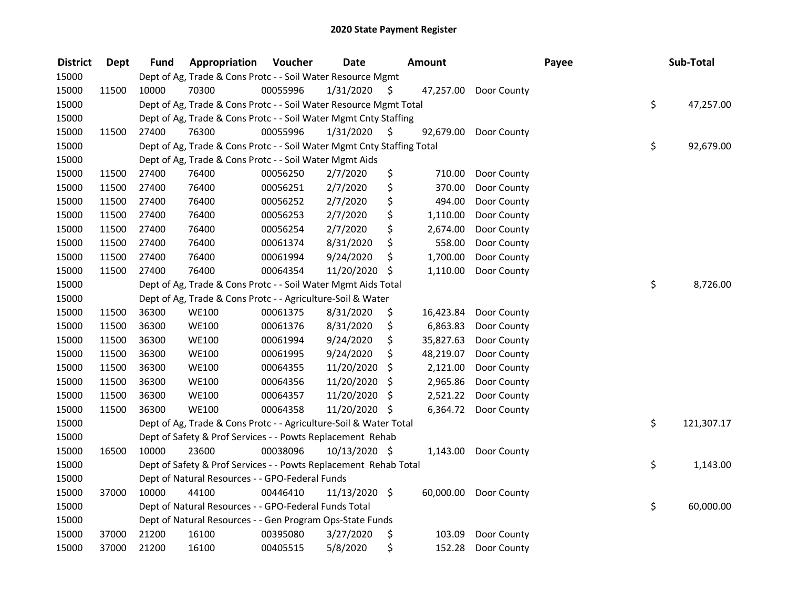| <b>District</b> | <b>Dept</b> | <b>Fund</b> | Appropriation                                                          | Voucher  | <b>Date</b>   |     | <b>Amount</b> |             | Payee | Sub-Total        |
|-----------------|-------------|-------------|------------------------------------------------------------------------|----------|---------------|-----|---------------|-------------|-------|------------------|
| 15000           |             |             | Dept of Ag, Trade & Cons Protc - - Soil Water Resource Mgmt            |          |               |     |               |             |       |                  |
| 15000           | 11500       | 10000       | 70300                                                                  | 00055996 | 1/31/2020     | \$. | 47,257.00     | Door County |       |                  |
| 15000           |             |             | Dept of Ag, Trade & Cons Protc - - Soil Water Resource Mgmt Total      |          |               |     |               |             |       | \$<br>47,257.00  |
| 15000           |             |             | Dept of Ag, Trade & Cons Protc - - Soil Water Mgmt Cnty Staffing       |          |               |     |               |             |       |                  |
| 15000           | 11500       | 27400       | 76300                                                                  | 00055996 | 1/31/2020     | S   | 92,679.00     | Door County |       |                  |
| 15000           |             |             | Dept of Ag, Trade & Cons Protc - - Soil Water Mgmt Cnty Staffing Total |          |               |     |               |             |       | \$<br>92,679.00  |
| 15000           |             |             | Dept of Ag, Trade & Cons Protc - - Soil Water Mgmt Aids                |          |               |     |               |             |       |                  |
| 15000           | 11500       | 27400       | 76400                                                                  | 00056250 | 2/7/2020      | \$  | 710.00        | Door County |       |                  |
| 15000           | 11500       | 27400       | 76400                                                                  | 00056251 | 2/7/2020      | \$  | 370.00        | Door County |       |                  |
| 15000           | 11500       | 27400       | 76400                                                                  | 00056252 | 2/7/2020      | \$  | 494.00        | Door County |       |                  |
| 15000           | 11500       | 27400       | 76400                                                                  | 00056253 | 2/7/2020      | \$  | 1,110.00      | Door County |       |                  |
| 15000           | 11500       | 27400       | 76400                                                                  | 00056254 | 2/7/2020      | \$  | 2,674.00      | Door County |       |                  |
| 15000           | 11500       | 27400       | 76400                                                                  | 00061374 | 8/31/2020     | \$  | 558.00        | Door County |       |                  |
| 15000           | 11500       | 27400       | 76400                                                                  | 00061994 | 9/24/2020     | \$  | 1,700.00      | Door County |       |                  |
| 15000           | 11500       | 27400       | 76400                                                                  | 00064354 | 11/20/2020    | \$  | 1,110.00      | Door County |       |                  |
| 15000           |             |             | Dept of Ag, Trade & Cons Protc - - Soil Water Mgmt Aids Total          |          |               |     |               |             |       | \$<br>8,726.00   |
| 15000           |             |             | Dept of Ag, Trade & Cons Protc - - Agriculture-Soil & Water            |          |               |     |               |             |       |                  |
| 15000           | 11500       | 36300       | <b>WE100</b>                                                           | 00061375 | 8/31/2020     | \$  | 16,423.84     | Door County |       |                  |
| 15000           | 11500       | 36300       | <b>WE100</b>                                                           | 00061376 | 8/31/2020     | \$  | 6,863.83      | Door County |       |                  |
| 15000           | 11500       | 36300       | <b>WE100</b>                                                           | 00061994 | 9/24/2020     | \$  | 35,827.63     | Door County |       |                  |
| 15000           | 11500       | 36300       | <b>WE100</b>                                                           | 00061995 | 9/24/2020     | \$  | 48,219.07     | Door County |       |                  |
| 15000           | 11500       | 36300       | <b>WE100</b>                                                           | 00064355 | 11/20/2020    | \$  | 2,121.00      | Door County |       |                  |
| 15000           | 11500       | 36300       | <b>WE100</b>                                                           | 00064356 | 11/20/2020    | \$  | 2,965.86      | Door County |       |                  |
| 15000           | 11500       | 36300       | <b>WE100</b>                                                           | 00064357 | 11/20/2020    | \$  | 2,521.22      | Door County |       |                  |
| 15000           | 11500       | 36300       | <b>WE100</b>                                                           | 00064358 | 11/20/2020 \$ |     | 6,364.72      | Door County |       |                  |
| 15000           |             |             | Dept of Ag, Trade & Cons Protc - - Agriculture-Soil & Water Total      |          |               |     |               |             |       | \$<br>121,307.17 |
| 15000           |             |             | Dept of Safety & Prof Services - - Powts Replacement Rehab             |          |               |     |               |             |       |                  |
| 15000           | 16500       | 10000       | 23600                                                                  | 00038096 | 10/13/2020 \$ |     | 1,143.00      | Door County |       |                  |
| 15000           |             |             | Dept of Safety & Prof Services - - Powts Replacement Rehab Total       |          |               |     |               |             |       | \$<br>1,143.00   |
| 15000           |             |             | Dept of Natural Resources - - GPO-Federal Funds                        |          |               |     |               |             |       |                  |
| 15000           | 37000       | 10000       | 44100                                                                  | 00446410 | 11/13/2020 \$ |     | 60,000.00     | Door County |       |                  |
| 15000           |             |             | Dept of Natural Resources - - GPO-Federal Funds Total                  |          |               |     |               |             |       | \$<br>60,000.00  |
| 15000           |             |             | Dept of Natural Resources - - Gen Program Ops-State Funds              |          |               |     |               |             |       |                  |
| 15000           | 37000       | 21200       | 16100                                                                  | 00395080 | 3/27/2020     | \$  | 103.09        | Door County |       |                  |
| 15000           | 37000       | 21200       | 16100                                                                  | 00405515 | 5/8/2020      | \$  | 152.28        | Door County |       |                  |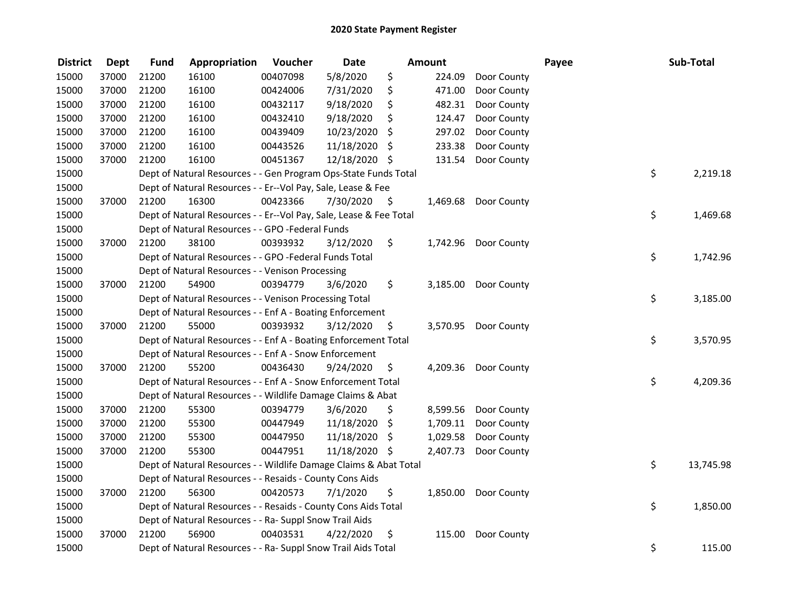| <b>District</b> | <b>Dept</b> | <b>Fund</b> | Appropriation                                                      | Voucher  | <b>Date</b>   |      | Amount   |                      | Payee | Sub-Total |           |
|-----------------|-------------|-------------|--------------------------------------------------------------------|----------|---------------|------|----------|----------------------|-------|-----------|-----------|
| 15000           | 37000       | 21200       | 16100                                                              | 00407098 | 5/8/2020      | \$   | 224.09   | Door County          |       |           |           |
| 15000           | 37000       | 21200       | 16100                                                              | 00424006 | 7/31/2020     | \$   | 471.00   | Door County          |       |           |           |
| 15000           | 37000       | 21200       | 16100                                                              | 00432117 | 9/18/2020     | \$   | 482.31   | Door County          |       |           |           |
| 15000           | 37000       | 21200       | 16100                                                              | 00432410 | 9/18/2020     | \$   | 124.47   | Door County          |       |           |           |
| 15000           | 37000       | 21200       | 16100                                                              | 00439409 | 10/23/2020    | \$   | 297.02   | Door County          |       |           |           |
| 15000           | 37000       | 21200       | 16100                                                              | 00443526 | 11/18/2020    | \$   | 233.38   | Door County          |       |           |           |
| 15000           | 37000       | 21200       | 16100                                                              | 00451367 | 12/18/2020 \$ |      | 131.54   | Door County          |       |           |           |
| 15000           |             |             | Dept of Natural Resources - - Gen Program Ops-State Funds Total    |          |               |      |          |                      | \$    |           | 2,219.18  |
| 15000           |             |             | Dept of Natural Resources - - Er--Vol Pay, Sale, Lease & Fee       |          |               |      |          |                      |       |           |           |
| 15000           | 37000       | 21200       | 16300                                                              | 00423366 | 7/30/2020     | - \$ |          | 1,469.68 Door County |       |           |           |
| 15000           |             |             | Dept of Natural Resources - - Er--Vol Pay, Sale, Lease & Fee Total |          |               |      |          |                      |       | \$        | 1,469.68  |
| 15000           |             |             | Dept of Natural Resources - - GPO -Federal Funds                   |          |               |      |          |                      |       |           |           |
| 15000           | 37000       | 21200       | 38100                                                              | 00393932 | 3/12/2020     | \$   |          | 1,742.96 Door County |       |           |           |
| 15000           |             |             | Dept of Natural Resources - - GPO -Federal Funds Total             |          |               |      |          |                      | \$    |           | 1,742.96  |
| 15000           |             |             | Dept of Natural Resources - - Venison Processing                   |          |               |      |          |                      |       |           |           |
| 15000           | 37000       | 21200       | 54900                                                              | 00394779 | 3/6/2020      | \$   | 3,185.00 | Door County          |       |           |           |
| 15000           |             |             | Dept of Natural Resources - - Venison Processing Total             |          |               |      |          |                      |       | \$        | 3,185.00  |
| 15000           |             |             | Dept of Natural Resources - - Enf A - Boating Enforcement          |          |               |      |          |                      |       |           |           |
| 15000           | 37000       | 21200       | 55000                                                              | 00393932 | 3/12/2020     | \$   |          | 3,570.95 Door County |       |           |           |
| 15000           |             |             | Dept of Natural Resources - - Enf A - Boating Enforcement Total    |          |               |      |          |                      | \$    |           | 3,570.95  |
| 15000           |             |             | Dept of Natural Resources - - Enf A - Snow Enforcement             |          |               |      |          |                      |       |           |           |
| 15000           | 37000       | 21200       | 55200                                                              | 00436430 | 9/24/2020     | \$   |          | 4,209.36 Door County |       |           |           |
| 15000           |             |             | Dept of Natural Resources - - Enf A - Snow Enforcement Total       |          |               |      |          |                      |       | \$        | 4,209.36  |
| 15000           |             |             | Dept of Natural Resources - - Wildlife Damage Claims & Abat        |          |               |      |          |                      |       |           |           |
| 15000           | 37000       | 21200       | 55300                                                              | 00394779 | 3/6/2020      | \$   | 8,599.56 | Door County          |       |           |           |
| 15000           | 37000       | 21200       | 55300                                                              | 00447949 | 11/18/2020    | \$   | 1,709.11 | Door County          |       |           |           |
| 15000           | 37000       | 21200       | 55300                                                              | 00447950 | 11/18/2020    | \$   | 1,029.58 | Door County          |       |           |           |
| 15000           | 37000       | 21200       | 55300                                                              | 00447951 | 11/18/2020 \$ |      | 2,407.73 | Door County          |       |           |           |
| 15000           |             |             | Dept of Natural Resources - - Wildlife Damage Claims & Abat Total  |          |               |      |          |                      |       | \$        | 13,745.98 |
| 15000           |             |             | Dept of Natural Resources - - Resaids - County Cons Aids           |          |               |      |          |                      |       |           |           |
| 15000           | 37000       | 21200       | 56300                                                              | 00420573 | 7/1/2020      | \$   |          | 1,850.00 Door County |       |           |           |
| 15000           |             |             | Dept of Natural Resources - - Resaids - County Cons Aids Total     |          |               |      |          |                      | \$    |           | 1,850.00  |
| 15000           |             |             | Dept of Natural Resources - - Ra- Suppl Snow Trail Aids            |          |               |      |          |                      |       |           |           |
| 15000           | 37000       | 21200       | 56900                                                              | 00403531 | 4/22/2020     | \$   | 115.00   | Door County          |       |           |           |
| 15000           |             |             | Dept of Natural Resources - - Ra- Suppl Snow Trail Aids Total      |          |               |      |          |                      | \$    |           | 115.00    |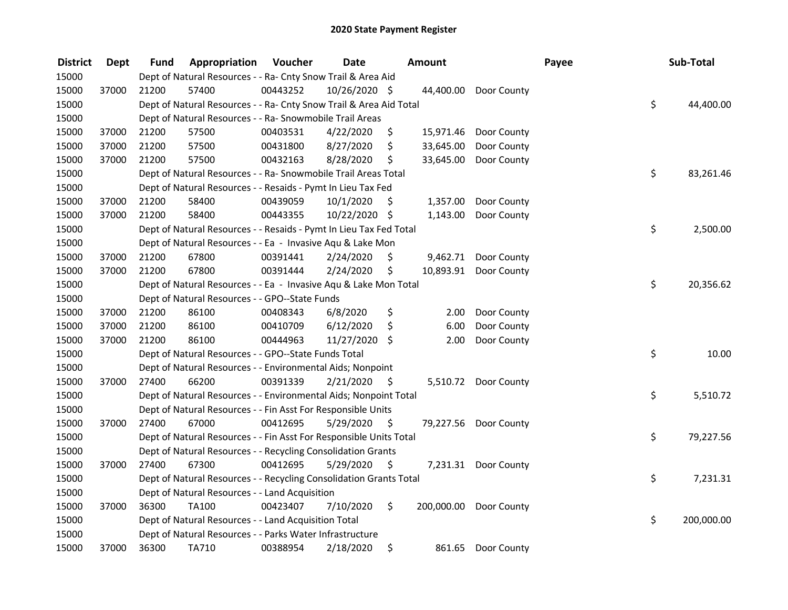| <b>District</b> | <b>Dept</b> | Fund  | Appropriation                                                      | Voucher  | <b>Date</b>   |      | Amount    |                        | Payee | Sub-Total        |
|-----------------|-------------|-------|--------------------------------------------------------------------|----------|---------------|------|-----------|------------------------|-------|------------------|
| 15000           |             |       | Dept of Natural Resources - - Ra- Cnty Snow Trail & Area Aid       |          |               |      |           |                        |       |                  |
| 15000           | 37000       | 21200 | 57400                                                              | 00443252 | 10/26/2020 \$ |      | 44,400.00 | Door County            |       |                  |
| 15000           |             |       | Dept of Natural Resources - - Ra- Cnty Snow Trail & Area Aid Total |          |               |      |           |                        |       | \$<br>44,400.00  |
| 15000           |             |       | Dept of Natural Resources - - Ra- Snowmobile Trail Areas           |          |               |      |           |                        |       |                  |
| 15000           | 37000       | 21200 | 57500                                                              | 00403531 | 4/22/2020     | \$   | 15,971.46 | Door County            |       |                  |
| 15000           | 37000       | 21200 | 57500                                                              | 00431800 | 8/27/2020     | \$   | 33,645.00 | Door County            |       |                  |
| 15000           | 37000       | 21200 | 57500                                                              | 00432163 | 8/28/2020     | \$   | 33,645.00 | Door County            |       |                  |
| 15000           |             |       | Dept of Natural Resources - - Ra- Snowmobile Trail Areas Total     |          |               |      |           |                        |       | \$<br>83,261.46  |
| 15000           |             |       | Dept of Natural Resources - - Resaids - Pymt In Lieu Tax Fed       |          |               |      |           |                        |       |                  |
| 15000           | 37000       | 21200 | 58400                                                              | 00439059 | 10/1/2020     | \$.  | 1,357.00  | Door County            |       |                  |
| 15000           | 37000       | 21200 | 58400                                                              | 00443355 | 10/22/2020 \$ |      | 1,143.00  | Door County            |       |                  |
| 15000           |             |       | Dept of Natural Resources - - Resaids - Pymt In Lieu Tax Fed Total |          |               |      |           |                        |       | \$<br>2,500.00   |
| 15000           |             |       | Dept of Natural Resources - - Ea - Invasive Aqu & Lake Mon         |          |               |      |           |                        |       |                  |
| 15000           | 37000       | 21200 | 67800                                                              | 00391441 | 2/24/2020     | \$.  | 9,462.71  | Door County            |       |                  |
| 15000           | 37000       | 21200 | 67800                                                              | 00391444 | 2/24/2020     | \$   |           | 10,893.91 Door County  |       |                  |
| 15000           |             |       | Dept of Natural Resources - - Ea - Invasive Aqu & Lake Mon Total   |          |               |      |           |                        |       | \$<br>20,356.62  |
| 15000           |             |       | Dept of Natural Resources - - GPO--State Funds                     |          |               |      |           |                        |       |                  |
| 15000           | 37000       | 21200 | 86100                                                              | 00408343 | 6/8/2020      | \$   | 2.00      | Door County            |       |                  |
| 15000           | 37000       | 21200 | 86100                                                              | 00410709 | 6/12/2020     | \$   | 6.00      | Door County            |       |                  |
| 15000           | 37000       | 21200 | 86100                                                              | 00444963 | 11/27/2020    | \$   | 2.00      | Door County            |       |                  |
| 15000           |             |       | Dept of Natural Resources - - GPO--State Funds Total               |          |               |      |           |                        |       | \$<br>10.00      |
| 15000           |             |       | Dept of Natural Resources - - Environmental Aids; Nonpoint         |          |               |      |           |                        |       |                  |
| 15000           | 37000       | 27400 | 66200                                                              | 00391339 | 2/21/2020     | - S  |           | 5,510.72 Door County   |       |                  |
| 15000           |             |       | Dept of Natural Resources - - Environmental Aids; Nonpoint Total   |          |               |      |           |                        |       | \$<br>5,510.72   |
| 15000           |             |       | Dept of Natural Resources - - Fin Asst For Responsible Units       |          |               |      |           |                        |       |                  |
| 15000           | 37000       | 27400 | 67000                                                              | 00412695 | 5/29/2020     | - \$ |           | 79,227.56 Door County  |       |                  |
| 15000           |             |       | Dept of Natural Resources - - Fin Asst For Responsible Units Total |          |               |      |           |                        |       | \$<br>79,227.56  |
| 15000           |             |       | Dept of Natural Resources - - Recycling Consolidation Grants       |          |               |      |           |                        |       |                  |
| 15000           | 37000       | 27400 | 67300                                                              | 00412695 | 5/29/2020     | \$   |           | 7,231.31 Door County   |       |                  |
| 15000           |             |       | Dept of Natural Resources - - Recycling Consolidation Grants Total |          |               |      |           |                        |       | \$<br>7,231.31   |
| 15000           |             |       | Dept of Natural Resources - - Land Acquisition                     |          |               |      |           |                        |       |                  |
| 15000           | 37000       | 36300 | TA100                                                              | 00423407 | 7/10/2020     | \$   |           | 200,000.00 Door County |       |                  |
| 15000           |             |       | Dept of Natural Resources - - Land Acquisition Total               |          |               |      |           |                        |       | \$<br>200,000.00 |
| 15000           |             |       | Dept of Natural Resources - - Parks Water Infrastructure           |          |               |      |           |                        |       |                  |
| 15000           | 37000       | 36300 | TA710                                                              | 00388954 | 2/18/2020     | \$   | 861.65    | Door County            |       |                  |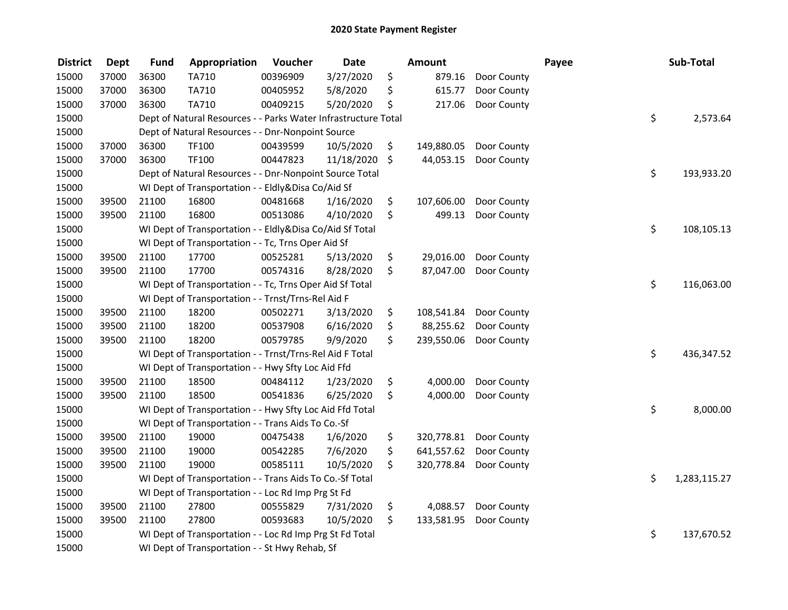| <b>District</b> | <b>Dept</b> | <b>Fund</b> | Appropriation                                                  | Voucher  | <b>Date</b> | Amount           |             | Payee | Sub-Total          |
|-----------------|-------------|-------------|----------------------------------------------------------------|----------|-------------|------------------|-------------|-------|--------------------|
| 15000           | 37000       | 36300       | TA710                                                          | 00396909 | 3/27/2020   | \$<br>879.16     | Door County |       |                    |
| 15000           | 37000       | 36300       | TA710                                                          | 00405952 | 5/8/2020    | \$<br>615.77     | Door County |       |                    |
| 15000           | 37000       | 36300       | TA710                                                          | 00409215 | 5/20/2020   | \$<br>217.06     | Door County |       |                    |
| 15000           |             |             | Dept of Natural Resources - - Parks Water Infrastructure Total |          |             |                  |             |       | \$<br>2,573.64     |
| 15000           |             |             | Dept of Natural Resources - - Dnr-Nonpoint Source              |          |             |                  |             |       |                    |
| 15000           | 37000       | 36300       | <b>TF100</b>                                                   | 00439599 | 10/5/2020   | \$<br>149,880.05 | Door County |       |                    |
| 15000           | 37000       | 36300       | <b>TF100</b>                                                   | 00447823 | 11/18/2020  | \$<br>44,053.15  | Door County |       |                    |
| 15000           |             |             | Dept of Natural Resources - - Dnr-Nonpoint Source Total        |          |             |                  |             |       | \$<br>193,933.20   |
| 15000           |             |             | WI Dept of Transportation - - Eldly&Disa Co/Aid Sf             |          |             |                  |             |       |                    |
| 15000           | 39500       | 21100       | 16800                                                          | 00481668 | 1/16/2020   | \$<br>107,606.00 | Door County |       |                    |
| 15000           | 39500       | 21100       | 16800                                                          | 00513086 | 4/10/2020   | \$<br>499.13     | Door County |       |                    |
| 15000           |             |             | WI Dept of Transportation - - Eldly&Disa Co/Aid Sf Total       |          |             |                  |             |       | \$<br>108,105.13   |
| 15000           |             |             | WI Dept of Transportation - - Tc, Trns Oper Aid Sf             |          |             |                  |             |       |                    |
| 15000           | 39500       | 21100       | 17700                                                          | 00525281 | 5/13/2020   | \$<br>29,016.00  | Door County |       |                    |
| 15000           | 39500       | 21100       | 17700                                                          | 00574316 | 8/28/2020   | \$<br>87,047.00  | Door County |       |                    |
| 15000           |             |             | WI Dept of Transportation - - Tc, Trns Oper Aid Sf Total       |          |             |                  |             |       | \$<br>116,063.00   |
| 15000           |             |             | WI Dept of Transportation - - Trnst/Trns-Rel Aid F             |          |             |                  |             |       |                    |
| 15000           | 39500       | 21100       | 18200                                                          | 00502271 | 3/13/2020   | \$<br>108,541.84 | Door County |       |                    |
| 15000           | 39500       | 21100       | 18200                                                          | 00537908 | 6/16/2020   | \$<br>88,255.62  | Door County |       |                    |
| 15000           | 39500       | 21100       | 18200                                                          | 00579785 | 9/9/2020    | \$<br>239,550.06 | Door County |       |                    |
| 15000           |             |             | WI Dept of Transportation - - Trnst/Trns-Rel Aid F Total       |          |             |                  |             |       | \$<br>436,347.52   |
| 15000           |             |             | WI Dept of Transportation - - Hwy Sfty Loc Aid Ffd             |          |             |                  |             |       |                    |
| 15000           | 39500       | 21100       | 18500                                                          | 00484112 | 1/23/2020   | \$<br>4,000.00   | Door County |       |                    |
| 15000           | 39500       | 21100       | 18500                                                          | 00541836 | 6/25/2020   | \$<br>4,000.00   | Door County |       |                    |
| 15000           |             |             | WI Dept of Transportation - - Hwy Sfty Loc Aid Ffd Total       |          |             |                  |             |       | \$<br>8,000.00     |
| 15000           |             |             | WI Dept of Transportation - - Trans Aids To Co.-Sf             |          |             |                  |             |       |                    |
| 15000           | 39500       | 21100       | 19000                                                          | 00475438 | 1/6/2020    | \$<br>320,778.81 | Door County |       |                    |
| 15000           | 39500       | 21100       | 19000                                                          | 00542285 | 7/6/2020    | \$<br>641,557.62 | Door County |       |                    |
| 15000           | 39500       | 21100       | 19000                                                          | 00585111 | 10/5/2020   | \$<br>320,778.84 | Door County |       |                    |
| 15000           |             |             | WI Dept of Transportation - - Trans Aids To Co.-Sf Total       |          |             |                  |             |       | \$<br>1,283,115.27 |
| 15000           |             |             | WI Dept of Transportation - - Loc Rd Imp Prg St Fd             |          |             |                  |             |       |                    |
| 15000           | 39500       | 21100       | 27800                                                          | 00555829 | 7/31/2020   | \$<br>4,088.57   | Door County |       |                    |
| 15000           | 39500       | 21100       | 27800                                                          | 00593683 | 10/5/2020   | \$<br>133,581.95 | Door County |       |                    |
| 15000           |             |             | WI Dept of Transportation - - Loc Rd Imp Prg St Fd Total       |          |             |                  |             |       | \$<br>137,670.52   |
| 15000           |             |             | WI Dept of Transportation - - St Hwy Rehab, Sf                 |          |             |                  |             |       |                    |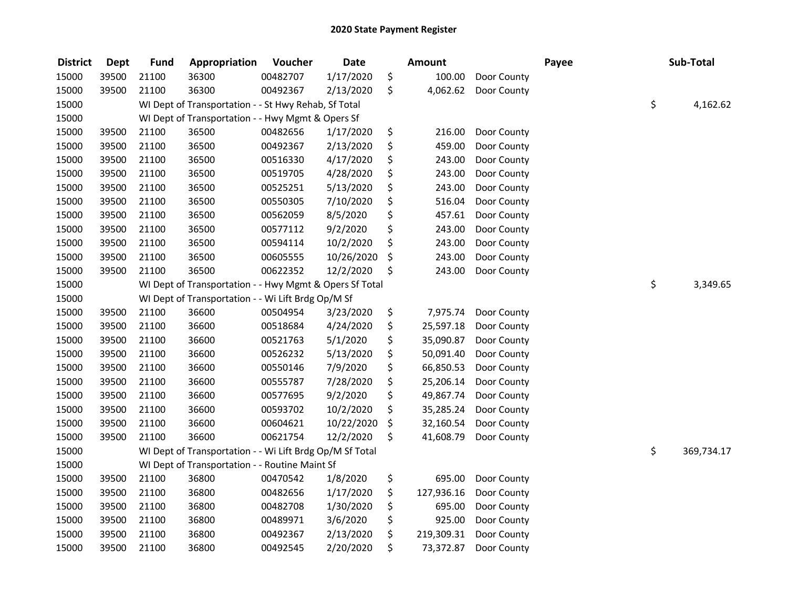| <b>District</b> | <b>Dept</b> | <b>Fund</b> | Appropriation                                            | Voucher  | <b>Date</b> | <b>Amount</b>    |             | Payee | Sub-Total        |
|-----------------|-------------|-------------|----------------------------------------------------------|----------|-------------|------------------|-------------|-------|------------------|
| 15000           | 39500       | 21100       | 36300                                                    | 00482707 | 1/17/2020   | \$<br>100.00     | Door County |       |                  |
| 15000           | 39500       | 21100       | 36300                                                    | 00492367 | 2/13/2020   | \$<br>4,062.62   | Door County |       |                  |
| 15000           |             |             | WI Dept of Transportation - - St Hwy Rehab, Sf Total     |          |             |                  |             |       | \$<br>4,162.62   |
| 15000           |             |             | WI Dept of Transportation - - Hwy Mgmt & Opers Sf        |          |             |                  |             |       |                  |
| 15000           | 39500       | 21100       | 36500                                                    | 00482656 | 1/17/2020   | \$<br>216.00     | Door County |       |                  |
| 15000           | 39500       | 21100       | 36500                                                    | 00492367 | 2/13/2020   | \$<br>459.00     | Door County |       |                  |
| 15000           | 39500       | 21100       | 36500                                                    | 00516330 | 4/17/2020   | \$<br>243.00     | Door County |       |                  |
| 15000           | 39500       | 21100       | 36500                                                    | 00519705 | 4/28/2020   | \$<br>243.00     | Door County |       |                  |
| 15000           | 39500       | 21100       | 36500                                                    | 00525251 | 5/13/2020   | \$<br>243.00     | Door County |       |                  |
| 15000           | 39500       | 21100       | 36500                                                    | 00550305 | 7/10/2020   | \$<br>516.04     | Door County |       |                  |
| 15000           | 39500       | 21100       | 36500                                                    | 00562059 | 8/5/2020    | \$<br>457.61     | Door County |       |                  |
| 15000           | 39500       | 21100       | 36500                                                    | 00577112 | 9/2/2020    | \$<br>243.00     | Door County |       |                  |
| 15000           | 39500       | 21100       | 36500                                                    | 00594114 | 10/2/2020   | \$<br>243.00     | Door County |       |                  |
| 15000           | 39500       | 21100       | 36500                                                    | 00605555 | 10/26/2020  | \$<br>243.00     | Door County |       |                  |
| 15000           | 39500       | 21100       | 36500                                                    | 00622352 | 12/2/2020   | \$<br>243.00     | Door County |       |                  |
| 15000           |             |             | WI Dept of Transportation - - Hwy Mgmt & Opers Sf Total  |          |             |                  |             |       | \$<br>3,349.65   |
| 15000           |             |             | WI Dept of Transportation - - Wi Lift Brdg Op/M Sf       |          |             |                  |             |       |                  |
| 15000           | 39500       | 21100       | 36600                                                    | 00504954 | 3/23/2020   | \$<br>7,975.74   | Door County |       |                  |
| 15000           | 39500       | 21100       | 36600                                                    | 00518684 | 4/24/2020   | \$<br>25,597.18  | Door County |       |                  |
| 15000           | 39500       | 21100       | 36600                                                    | 00521763 | 5/1/2020    | \$<br>35,090.87  | Door County |       |                  |
| 15000           | 39500       | 21100       | 36600                                                    | 00526232 | 5/13/2020   | \$<br>50,091.40  | Door County |       |                  |
| 15000           | 39500       | 21100       | 36600                                                    | 00550146 | 7/9/2020    | \$<br>66,850.53  | Door County |       |                  |
| 15000           | 39500       | 21100       | 36600                                                    | 00555787 | 7/28/2020   | \$<br>25,206.14  | Door County |       |                  |
| 15000           | 39500       | 21100       | 36600                                                    | 00577695 | 9/2/2020    | \$<br>49,867.74  | Door County |       |                  |
| 15000           | 39500       | 21100       | 36600                                                    | 00593702 | 10/2/2020   | \$<br>35,285.24  | Door County |       |                  |
| 15000           | 39500       | 21100       | 36600                                                    | 00604621 | 10/22/2020  | \$<br>32,160.54  | Door County |       |                  |
| 15000           | 39500       | 21100       | 36600                                                    | 00621754 | 12/2/2020   | \$<br>41,608.79  | Door County |       |                  |
| 15000           |             |             | WI Dept of Transportation - - Wi Lift Brdg Op/M Sf Total |          |             |                  |             |       | \$<br>369,734.17 |
| 15000           |             |             | WI Dept of Transportation - - Routine Maint Sf           |          |             |                  |             |       |                  |
| 15000           | 39500       | 21100       | 36800                                                    | 00470542 | 1/8/2020    | \$<br>695.00     | Door County |       |                  |
| 15000           | 39500       | 21100       | 36800                                                    | 00482656 | 1/17/2020   | \$<br>127,936.16 | Door County |       |                  |
| 15000           | 39500       | 21100       | 36800                                                    | 00482708 | 1/30/2020   | \$<br>695.00     | Door County |       |                  |
| 15000           | 39500       | 21100       | 36800                                                    | 00489971 | 3/6/2020    | \$<br>925.00     | Door County |       |                  |
| 15000           | 39500       | 21100       | 36800                                                    | 00492367 | 2/13/2020   | \$<br>219,309.31 | Door County |       |                  |
| 15000           | 39500       | 21100       | 36800                                                    | 00492545 | 2/20/2020   | \$<br>73,372.87  | Door County |       |                  |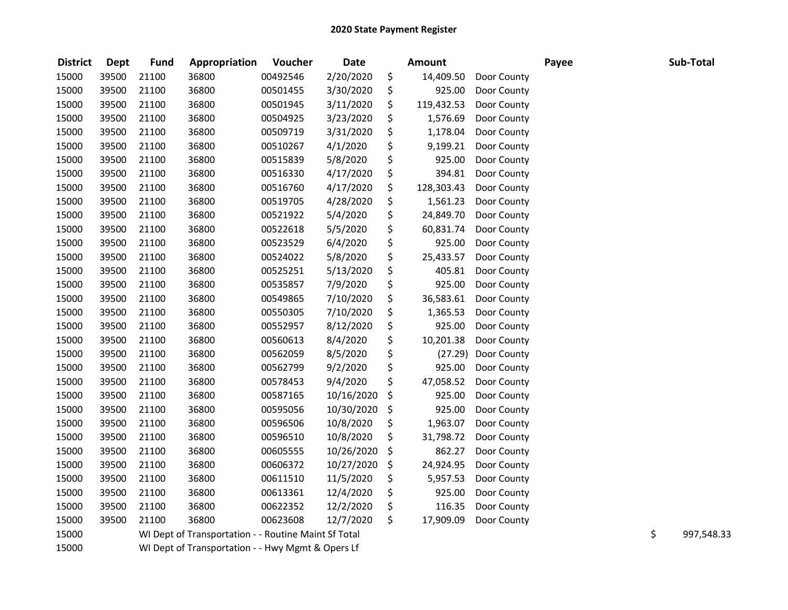| <b>District</b> | <b>Dept</b> | <b>Fund</b> | Appropriation                                        | Voucher  | <b>Date</b> | <b>Amount</b>    |             | Payee | Sub-Total        |
|-----------------|-------------|-------------|------------------------------------------------------|----------|-------------|------------------|-------------|-------|------------------|
| 15000           | 39500       | 21100       | 36800                                                | 00492546 | 2/20/2020   | \$<br>14,409.50  | Door County |       |                  |
| 15000           | 39500       | 21100       | 36800                                                | 00501455 | 3/30/2020   | \$<br>925.00     | Door County |       |                  |
| 15000           | 39500       | 21100       | 36800                                                | 00501945 | 3/11/2020   | \$<br>119,432.53 | Door County |       |                  |
| 15000           | 39500       | 21100       | 36800                                                | 00504925 | 3/23/2020   | \$<br>1,576.69   | Door County |       |                  |
| 15000           | 39500       | 21100       | 36800                                                | 00509719 | 3/31/2020   | \$<br>1,178.04   | Door County |       |                  |
| 15000           | 39500       | 21100       | 36800                                                | 00510267 | 4/1/2020    | \$<br>9,199.21   | Door County |       |                  |
| 15000           | 39500       | 21100       | 36800                                                | 00515839 | 5/8/2020    | \$<br>925.00     | Door County |       |                  |
| 15000           | 39500       | 21100       | 36800                                                | 00516330 | 4/17/2020   | \$<br>394.81     | Door County |       |                  |
| 15000           | 39500       | 21100       | 36800                                                | 00516760 | 4/17/2020   | \$<br>128,303.43 | Door County |       |                  |
| 15000           | 39500       | 21100       | 36800                                                | 00519705 | 4/28/2020   | \$<br>1,561.23   | Door County |       |                  |
| 15000           | 39500       | 21100       | 36800                                                | 00521922 | 5/4/2020    | \$<br>24,849.70  | Door County |       |                  |
| 15000           | 39500       | 21100       | 36800                                                | 00522618 | 5/5/2020    | \$<br>60,831.74  | Door County |       |                  |
| 15000           | 39500       | 21100       | 36800                                                | 00523529 | 6/4/2020    | \$<br>925.00     | Door County |       |                  |
| 15000           | 39500       | 21100       | 36800                                                | 00524022 | 5/8/2020    | \$<br>25,433.57  | Door County |       |                  |
| 15000           | 39500       | 21100       | 36800                                                | 00525251 | 5/13/2020   | \$<br>405.81     | Door County |       |                  |
| 15000           | 39500       | 21100       | 36800                                                | 00535857 | 7/9/2020    | \$<br>925.00     | Door County |       |                  |
| 15000           | 39500       | 21100       | 36800                                                | 00549865 | 7/10/2020   | \$<br>36,583.61  | Door County |       |                  |
| 15000           | 39500       | 21100       | 36800                                                | 00550305 | 7/10/2020   | \$<br>1,365.53   | Door County |       |                  |
| 15000           | 39500       | 21100       | 36800                                                | 00552957 | 8/12/2020   | \$<br>925.00     | Door County |       |                  |
| 15000           | 39500       | 21100       | 36800                                                | 00560613 | 8/4/2020    | \$<br>10,201.38  | Door County |       |                  |
| 15000           | 39500       | 21100       | 36800                                                | 00562059 | 8/5/2020    | \$<br>(27.29)    | Door County |       |                  |
| 15000           | 39500       | 21100       | 36800                                                | 00562799 | 9/2/2020    | \$<br>925.00     | Door County |       |                  |
| 15000           | 39500       | 21100       | 36800                                                | 00578453 | 9/4/2020    | \$<br>47,058.52  | Door County |       |                  |
| 15000           | 39500       | 21100       | 36800                                                | 00587165 | 10/16/2020  | \$<br>925.00     | Door County |       |                  |
| 15000           | 39500       | 21100       | 36800                                                | 00595056 | 10/30/2020  | \$<br>925.00     | Door County |       |                  |
| 15000           | 39500       | 21100       | 36800                                                | 00596506 | 10/8/2020   | \$<br>1,963.07   | Door County |       |                  |
| 15000           | 39500       | 21100       | 36800                                                | 00596510 | 10/8/2020   | \$<br>31,798.72  | Door County |       |                  |
| 15000           | 39500       | 21100       | 36800                                                | 00605555 | 10/26/2020  | \$<br>862.27     | Door County |       |                  |
| 15000           | 39500       | 21100       | 36800                                                | 00606372 | 10/27/2020  | \$<br>24,924.95  | Door County |       |                  |
| 15000           | 39500       | 21100       | 36800                                                | 00611510 | 11/5/2020   | \$<br>5,957.53   | Door County |       |                  |
| 15000           | 39500       | 21100       | 36800                                                | 00613361 | 12/4/2020   | \$<br>925.00     | Door County |       |                  |
| 15000           | 39500       | 21100       | 36800                                                | 00622352 | 12/2/2020   | \$<br>116.35     | Door County |       |                  |
| 15000           | 39500       | 21100       | 36800                                                | 00623608 | 12/7/2020   | \$<br>17,909.09  | Door County |       |                  |
| 15000           |             |             | WI Dept of Transportation - - Routine Maint Sf Total |          |             |                  |             |       | \$<br>997,548.33 |
| 15000           |             |             | WI Dept of Transportation - - Hwy Mgmt & Opers Lf    |          |             |                  |             |       |                  |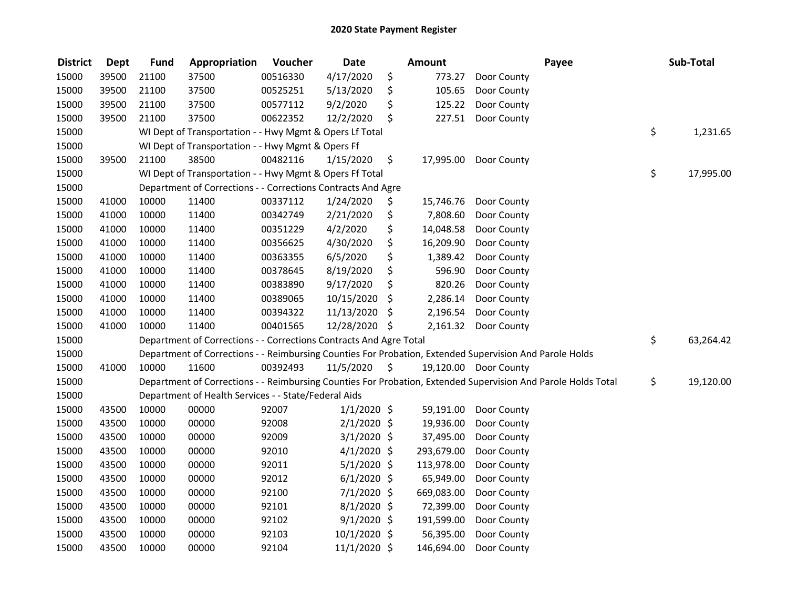| <b>District</b> | <b>Dept</b> | <b>Fund</b> | Appropriation                                                      | Voucher  | <b>Date</b>   |                     | <b>Amount</b> | Payee                                                                                                         | Sub-Total       |
|-----------------|-------------|-------------|--------------------------------------------------------------------|----------|---------------|---------------------|---------------|---------------------------------------------------------------------------------------------------------------|-----------------|
| 15000           | 39500       | 21100       | 37500                                                              | 00516330 | 4/17/2020     | \$                  | 773.27        | Door County                                                                                                   |                 |
| 15000           | 39500       | 21100       | 37500                                                              | 00525251 | 5/13/2020     | \$                  | 105.65        | Door County                                                                                                   |                 |
| 15000           | 39500       | 21100       | 37500                                                              | 00577112 | 9/2/2020      | \$                  | 125.22        | Door County                                                                                                   |                 |
| 15000           | 39500       | 21100       | 37500                                                              | 00622352 | 12/2/2020     | \$                  | 227.51        | Door County                                                                                                   |                 |
| 15000           |             |             | WI Dept of Transportation - - Hwy Mgmt & Opers Lf Total            |          |               |                     |               |                                                                                                               | \$<br>1,231.65  |
| 15000           |             |             | WI Dept of Transportation - - Hwy Mgmt & Opers Ff                  |          |               |                     |               |                                                                                                               |                 |
| 15000           | 39500       | 21100       | 38500                                                              | 00482116 | 1/15/2020     | \$                  | 17,995.00     | Door County                                                                                                   |                 |
| 15000           |             |             | WI Dept of Transportation - - Hwy Mgmt & Opers Ff Total            |          |               |                     |               |                                                                                                               | \$<br>17,995.00 |
| 15000           |             |             | Department of Corrections - - Corrections Contracts And Agre       |          |               |                     |               |                                                                                                               |                 |
| 15000           | 41000       | 10000       | 11400                                                              | 00337112 | 1/24/2020     | \$                  | 15,746.76     | Door County                                                                                                   |                 |
| 15000           | 41000       | 10000       | 11400                                                              | 00342749 | 2/21/2020     | \$                  | 7,808.60      | Door County                                                                                                   |                 |
| 15000           | 41000       | 10000       | 11400                                                              | 00351229 | 4/2/2020      | \$                  | 14,048.58     | Door County                                                                                                   |                 |
| 15000           | 41000       | 10000       | 11400                                                              | 00356625 | 4/30/2020     | \$                  | 16,209.90     | Door County                                                                                                   |                 |
| 15000           | 41000       | 10000       | 11400                                                              | 00363355 | 6/5/2020      | \$                  | 1,389.42      | Door County                                                                                                   |                 |
| 15000           | 41000       | 10000       | 11400                                                              | 00378645 | 8/19/2020     | \$                  | 596.90        | Door County                                                                                                   |                 |
| 15000           | 41000       | 10000       | 11400                                                              | 00383890 | 9/17/2020     | \$                  | 820.26        | Door County                                                                                                   |                 |
| 15000           | 41000       | 10000       | 11400                                                              | 00389065 | 10/15/2020    | \$                  | 2,286.14      | Door County                                                                                                   |                 |
| 15000           | 41000       | 10000       | 11400                                                              | 00394322 | 11/13/2020    | \$                  | 2,196.54      | Door County                                                                                                   |                 |
| 15000           | 41000       | 10000       | 11400                                                              | 00401565 | 12/28/2020 \$ |                     | 2,161.32      | Door County                                                                                                   |                 |
| 15000           |             |             | Department of Corrections - - Corrections Contracts And Agre Total |          |               |                     |               |                                                                                                               | \$<br>63,264.42 |
| 15000           |             |             |                                                                    |          |               |                     |               | Department of Corrections - - Reimbursing Counties For Probation, Extended Supervision And Parole Holds       |                 |
| 15000           | 41000       | 10000       | 11600                                                              | 00392493 | 11/5/2020     | $\ddot{\mathsf{s}}$ |               | 19,120.00 Door County                                                                                         |                 |
| 15000           |             |             |                                                                    |          |               |                     |               | Department of Corrections - - Reimbursing Counties For Probation, Extended Supervision And Parole Holds Total | \$<br>19,120.00 |
| 15000           |             |             | Department of Health Services - - State/Federal Aids               |          |               |                     |               |                                                                                                               |                 |
| 15000           | 43500       | 10000       | 00000                                                              | 92007    | $1/1/2020$ \$ |                     | 59,191.00     | Door County                                                                                                   |                 |
| 15000           | 43500       | 10000       | 00000                                                              | 92008    | $2/1/2020$ \$ |                     | 19,936.00     | Door County                                                                                                   |                 |
| 15000           | 43500       | 10000       | 00000                                                              | 92009    | $3/1/2020$ \$ |                     | 37,495.00     | Door County                                                                                                   |                 |
| 15000           | 43500       | 10000       | 00000                                                              | 92010    | $4/1/2020$ \$ |                     | 293,679.00    | Door County                                                                                                   |                 |
| 15000           | 43500       | 10000       | 00000                                                              | 92011    | $5/1/2020$ \$ |                     | 113,978.00    | Door County                                                                                                   |                 |
| 15000           | 43500       | 10000       | 00000                                                              | 92012    | $6/1/2020$ \$ |                     | 65,949.00     | Door County                                                                                                   |                 |
| 15000           | 43500       | 10000       | 00000                                                              | 92100    | $7/1/2020$ \$ |                     | 669,083.00    | Door County                                                                                                   |                 |
| 15000           | 43500       | 10000       | 00000                                                              | 92101    | $8/1/2020$ \$ |                     | 72,399.00     | Door County                                                                                                   |                 |
| 15000           | 43500       | 10000       | 00000                                                              | 92102    | $9/1/2020$ \$ |                     | 191,599.00    | Door County                                                                                                   |                 |
| 15000           | 43500       | 10000       | 00000                                                              | 92103    | 10/1/2020 \$  |                     | 56,395.00     | Door County                                                                                                   |                 |
| 15000           | 43500       | 10000       | 00000                                                              | 92104    | 11/1/2020 \$  |                     | 146,694.00    | Door County                                                                                                   |                 |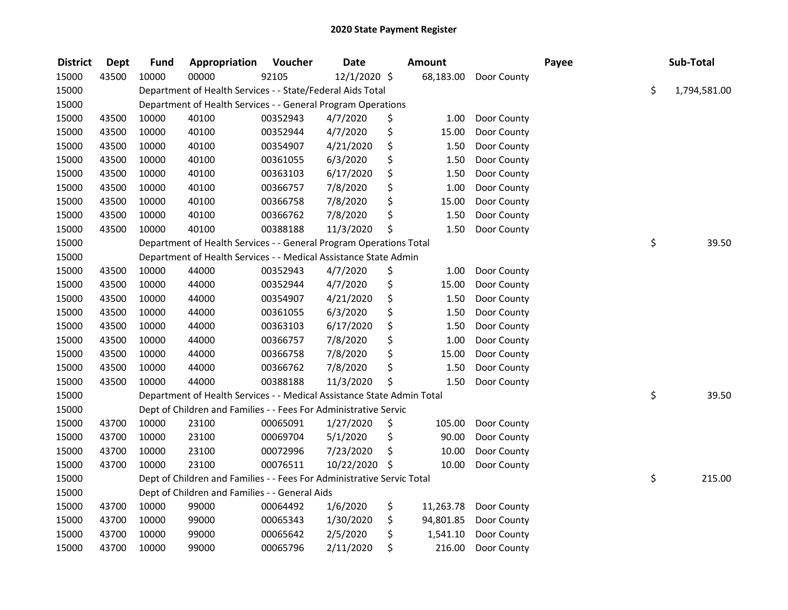| <b>District</b> | <b>Dept</b> | <b>Fund</b> | Appropriation                                                          | Voucher  | <b>Date</b>   | Amount          |             | Payee | Sub-Total          |
|-----------------|-------------|-------------|------------------------------------------------------------------------|----------|---------------|-----------------|-------------|-------|--------------------|
| 15000           | 43500       | 10000       | 00000                                                                  | 92105    | 12/1/2020 \$  | 68,183.00       | Door County |       |                    |
| 15000           |             |             | Department of Health Services - - State/Federal Aids Total             |          |               |                 |             |       | \$<br>1,794,581.00 |
| 15000           |             |             | Department of Health Services - - General Program Operations           |          |               |                 |             |       |                    |
| 15000           | 43500       | 10000       | 40100                                                                  | 00352943 | 4/7/2020      | \$<br>1.00      | Door County |       |                    |
| 15000           | 43500       | 10000       | 40100                                                                  | 00352944 | 4/7/2020      | \$<br>15.00     | Door County |       |                    |
| 15000           | 43500       | 10000       | 40100                                                                  | 00354907 | 4/21/2020     | \$<br>1.50      | Door County |       |                    |
| 15000           | 43500       | 10000       | 40100                                                                  | 00361055 | 6/3/2020      | \$<br>1.50      | Door County |       |                    |
| 15000           | 43500       | 10000       | 40100                                                                  | 00363103 | 6/17/2020     | \$<br>1.50      | Door County |       |                    |
| 15000           | 43500       | 10000       | 40100                                                                  | 00366757 | 7/8/2020      | \$<br>1.00      | Door County |       |                    |
| 15000           | 43500       | 10000       | 40100                                                                  | 00366758 | 7/8/2020      | \$<br>15.00     | Door County |       |                    |
| 15000           | 43500       | 10000       | 40100                                                                  | 00366762 | 7/8/2020      | \$<br>1.50      | Door County |       |                    |
| 15000           | 43500       | 10000       | 40100                                                                  | 00388188 | 11/3/2020     | \$<br>1.50      | Door County |       |                    |
| 15000           |             |             | Department of Health Services - - General Program Operations Total     |          |               |                 |             |       | \$<br>39.50        |
| 15000           |             |             | Department of Health Services - - Medical Assistance State Admin       |          |               |                 |             |       |                    |
| 15000           | 43500       | 10000       | 44000                                                                  | 00352943 | 4/7/2020      | \$<br>1.00      | Door County |       |                    |
| 15000           | 43500       | 10000       | 44000                                                                  | 00352944 | 4/7/2020      | \$<br>15.00     | Door County |       |                    |
| 15000           | 43500       | 10000       | 44000                                                                  | 00354907 | 4/21/2020     | \$<br>1.50      | Door County |       |                    |
| 15000           | 43500       | 10000       | 44000                                                                  | 00361055 | 6/3/2020      | \$<br>1.50      | Door County |       |                    |
| 15000           | 43500       | 10000       | 44000                                                                  | 00363103 | 6/17/2020     | \$<br>1.50      | Door County |       |                    |
| 15000           | 43500       | 10000       | 44000                                                                  | 00366757 | 7/8/2020      | \$<br>1.00      | Door County |       |                    |
| 15000           | 43500       | 10000       | 44000                                                                  | 00366758 | 7/8/2020      | \$<br>15.00     | Door County |       |                    |
| 15000           | 43500       | 10000       | 44000                                                                  | 00366762 | 7/8/2020      | \$<br>1.50      | Door County |       |                    |
| 15000           | 43500       | 10000       | 44000                                                                  | 00388188 | 11/3/2020     | \$<br>1.50      | Door County |       |                    |
| 15000           |             |             | Department of Health Services - - Medical Assistance State Admin Total |          |               |                 |             |       | \$<br>39.50        |
| 15000           |             |             | Dept of Children and Families - - Fees For Administrative Servic       |          |               |                 |             |       |                    |
| 15000           | 43700       | 10000       | 23100                                                                  | 00065091 | 1/27/2020     | \$<br>105.00    | Door County |       |                    |
| 15000           | 43700       | 10000       | 23100                                                                  | 00069704 | 5/1/2020      | \$<br>90.00     | Door County |       |                    |
| 15000           | 43700       | 10000       | 23100                                                                  | 00072996 | 7/23/2020     | \$<br>10.00     | Door County |       |                    |
| 15000           | 43700       | 10000       | 23100                                                                  | 00076511 | 10/22/2020 \$ | 10.00           | Door County |       |                    |
| 15000           |             |             | Dept of Children and Families - - Fees For Administrative Servic Total |          |               |                 |             |       | \$<br>215.00       |
| 15000           |             |             | Dept of Children and Families - - General Aids                         |          |               |                 |             |       |                    |
| 15000           | 43700       | 10000       | 99000                                                                  | 00064492 | 1/6/2020      | \$<br>11,263.78 | Door County |       |                    |
| 15000           | 43700       | 10000       | 99000                                                                  | 00065343 | 1/30/2020     | \$<br>94,801.85 | Door County |       |                    |
| 15000           | 43700       | 10000       | 99000                                                                  | 00065642 | 2/5/2020      | \$<br>1,541.10  | Door County |       |                    |
| 15000           | 43700       | 10000       | 99000                                                                  | 00065796 | 2/11/2020     | \$<br>216.00    | Door County |       |                    |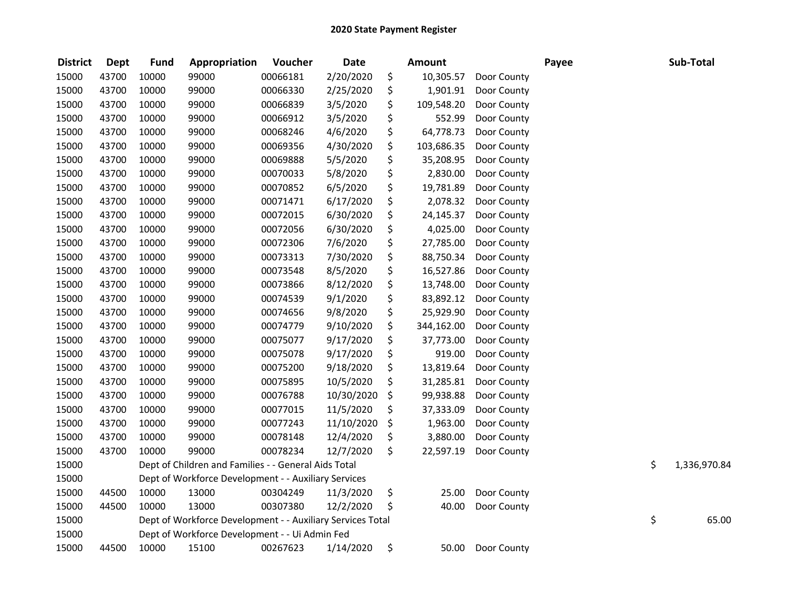| <b>District</b> | <b>Dept</b> | <b>Fund</b> | Appropriation                                              | Voucher  | <b>Date</b> |     | <b>Amount</b> |             | Payee | Sub-Total          |
|-----------------|-------------|-------------|------------------------------------------------------------|----------|-------------|-----|---------------|-------------|-------|--------------------|
| 15000           | 43700       | 10000       | 99000                                                      | 00066181 | 2/20/2020   | \$  | 10,305.57     | Door County |       |                    |
| 15000           | 43700       | 10000       | 99000                                                      | 00066330 | 2/25/2020   | \$  | 1,901.91      | Door County |       |                    |
| 15000           | 43700       | 10000       | 99000                                                      | 00066839 | 3/5/2020    | \$  | 109,548.20    | Door County |       |                    |
| 15000           | 43700       | 10000       | 99000                                                      | 00066912 | 3/5/2020    | \$  | 552.99        | Door County |       |                    |
| 15000           | 43700       | 10000       | 99000                                                      | 00068246 | 4/6/2020    | \$  | 64,778.73     | Door County |       |                    |
| 15000           | 43700       | 10000       | 99000                                                      | 00069356 | 4/30/2020   | \$  | 103,686.35    | Door County |       |                    |
| 15000           | 43700       | 10000       | 99000                                                      | 00069888 | 5/5/2020    | \$  | 35,208.95     | Door County |       |                    |
| 15000           | 43700       | 10000       | 99000                                                      | 00070033 | 5/8/2020    | \$  | 2,830.00      | Door County |       |                    |
| 15000           | 43700       | 10000       | 99000                                                      | 00070852 | 6/5/2020    | \$  | 19,781.89     | Door County |       |                    |
| 15000           | 43700       | 10000       | 99000                                                      | 00071471 | 6/17/2020   | \$  | 2,078.32      | Door County |       |                    |
| 15000           | 43700       | 10000       | 99000                                                      | 00072015 | 6/30/2020   | \$  | 24,145.37     | Door County |       |                    |
| 15000           | 43700       | 10000       | 99000                                                      | 00072056 | 6/30/2020   | \$  | 4,025.00      | Door County |       |                    |
| 15000           | 43700       | 10000       | 99000                                                      | 00072306 | 7/6/2020    | \$  | 27,785.00     | Door County |       |                    |
| 15000           | 43700       | 10000       | 99000                                                      | 00073313 | 7/30/2020   | \$  | 88,750.34     | Door County |       |                    |
| 15000           | 43700       | 10000       | 99000                                                      | 00073548 | 8/5/2020    | \$  | 16,527.86     | Door County |       |                    |
| 15000           | 43700       | 10000       | 99000                                                      | 00073866 | 8/12/2020   | \$  | 13,748.00     | Door County |       |                    |
| 15000           | 43700       | 10000       | 99000                                                      | 00074539 | 9/1/2020    | \$  | 83,892.12     | Door County |       |                    |
| 15000           | 43700       | 10000       | 99000                                                      | 00074656 | 9/8/2020    | \$  | 25,929.90     | Door County |       |                    |
| 15000           | 43700       | 10000       | 99000                                                      | 00074779 | 9/10/2020   | \$  | 344,162.00    | Door County |       |                    |
| 15000           | 43700       | 10000       | 99000                                                      | 00075077 | 9/17/2020   | \$  | 37,773.00     | Door County |       |                    |
| 15000           | 43700       | 10000       | 99000                                                      | 00075078 | 9/17/2020   | \$  | 919.00        | Door County |       |                    |
| 15000           | 43700       | 10000       | 99000                                                      | 00075200 | 9/18/2020   | \$  | 13,819.64     | Door County |       |                    |
| 15000           | 43700       | 10000       | 99000                                                      | 00075895 | 10/5/2020   | \$  | 31,285.81     | Door County |       |                    |
| 15000           | 43700       | 10000       | 99000                                                      | 00076788 | 10/30/2020  | \$  | 99,938.88     | Door County |       |                    |
| 15000           | 43700       | 10000       | 99000                                                      | 00077015 | 11/5/2020   | \$. | 37,333.09     | Door County |       |                    |
| 15000           | 43700       | 10000       | 99000                                                      | 00077243 | 11/10/2020  | \$  | 1,963.00      | Door County |       |                    |
| 15000           | 43700       | 10000       | 99000                                                      | 00078148 | 12/4/2020   | \$  | 3,880.00      | Door County |       |                    |
| 15000           | 43700       | 10000       | 99000                                                      | 00078234 | 12/7/2020   | \$  | 22,597.19     | Door County |       |                    |
| 15000           |             |             | Dept of Children and Families - - General Aids Total       |          |             |     |               |             |       | \$<br>1,336,970.84 |
| 15000           |             |             | Dept of Workforce Development - - Auxiliary Services       |          |             |     |               |             |       |                    |
| 15000           | 44500       | 10000       | 13000                                                      | 00304249 | 11/3/2020   | \$  | 25.00         | Door County |       |                    |
| 15000           | 44500       | 10000       | 13000                                                      | 00307380 | 12/2/2020   | \$  | 40.00         | Door County |       |                    |
| 15000           |             |             | Dept of Workforce Development - - Auxiliary Services Total |          |             |     |               |             |       | \$<br>65.00        |
| 15000           |             |             | Dept of Workforce Development - - Ui Admin Fed             |          |             |     |               |             |       |                    |
| 15000           | 44500       | 10000       | 15100                                                      | 00267623 | 1/14/2020   | \$  | 50.00         | Door County |       |                    |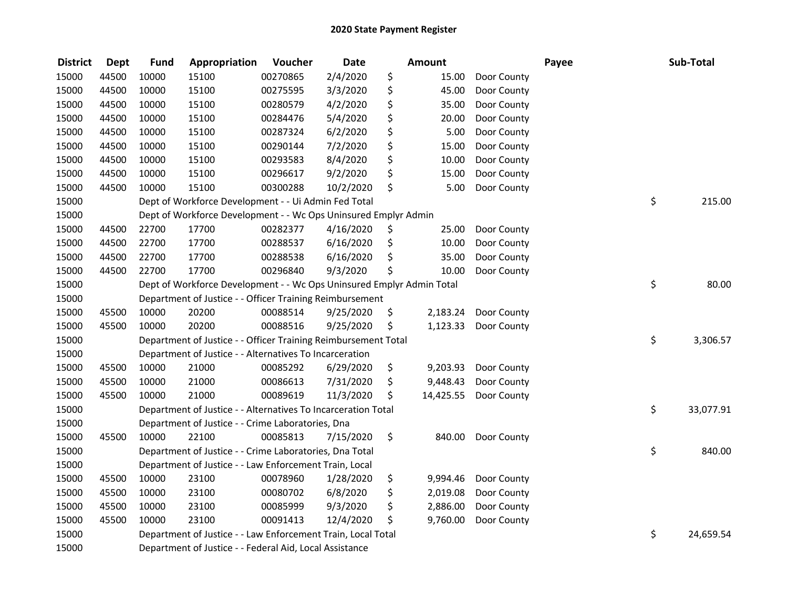| <b>District</b> | <b>Dept</b> | <b>Fund</b> | Appropriation                                                                                                           | Voucher  | <b>Date</b> |    | <b>Amount</b> |             | Payee |    | Sub-Total |  |  |
|-----------------|-------------|-------------|-------------------------------------------------------------------------------------------------------------------------|----------|-------------|----|---------------|-------------|-------|----|-----------|--|--|
| 15000           | 44500       | 10000       | 15100                                                                                                                   | 00270865 | 2/4/2020    | \$ | 15.00         | Door County |       |    |           |  |  |
| 15000           | 44500       | 10000       | 15100                                                                                                                   | 00275595 | 3/3/2020    | \$ | 45.00         | Door County |       |    |           |  |  |
| 15000           | 44500       | 10000       | 15100                                                                                                                   | 00280579 | 4/2/2020    | \$ | 35.00         | Door County |       |    |           |  |  |
| 15000           | 44500       | 10000       | 15100                                                                                                                   | 00284476 | 5/4/2020    | \$ | 20.00         | Door County |       |    |           |  |  |
| 15000           | 44500       | 10000       | 15100                                                                                                                   | 00287324 | 6/2/2020    | \$ | 5.00          | Door County |       |    |           |  |  |
| 15000           | 44500       | 10000       | 15100                                                                                                                   | 00290144 | 7/2/2020    | \$ | 15.00         | Door County |       |    |           |  |  |
| 15000           | 44500       | 10000       | 15100                                                                                                                   | 00293583 | 8/4/2020    | \$ | 10.00         | Door County |       |    |           |  |  |
| 15000           | 44500       | 10000       | 15100                                                                                                                   | 00296617 | 9/2/2020    | \$ | 15.00         | Door County |       |    |           |  |  |
| 15000           | 44500       | 10000       | 15100                                                                                                                   | 00300288 | 10/2/2020   | \$ | 5.00          | Door County |       |    |           |  |  |
| 15000           |             |             | Dept of Workforce Development - - Ui Admin Fed Total                                                                    |          |             |    |               |             |       | \$ | 215.00    |  |  |
| 15000           |             |             | Dept of Workforce Development - - Wc Ops Uninsured Emplyr Admin                                                         |          |             |    |               |             |       |    |           |  |  |
| 15000           | 44500       | 22700       | 17700                                                                                                                   | 00282377 | 4/16/2020   | \$ | 25.00         | Door County |       |    |           |  |  |
| 15000           | 44500       | 22700       | 17700                                                                                                                   | 00288537 | 6/16/2020   | \$ | 10.00         | Door County |       |    |           |  |  |
| 15000           | 44500       | 22700       | 17700                                                                                                                   | 00288538 | 6/16/2020   | \$ | 35.00         | Door County |       |    |           |  |  |
| 15000           | 44500       | 22700       | 17700                                                                                                                   | 00296840 | 9/3/2020    | \$ | 10.00         | Door County |       |    |           |  |  |
| 15000           |             |             | Dept of Workforce Development - - Wc Ops Uninsured Emplyr Admin Total                                                   |          |             |    |               |             |       | \$ | 80.00     |  |  |
| 15000           |             |             | Department of Justice - - Officer Training Reimbursement                                                                |          |             |    |               |             |       |    |           |  |  |
| 15000           | 45500       | 10000       | 20200                                                                                                                   | 00088514 | 9/25/2020   | \$ | 2,183.24      | Door County |       |    |           |  |  |
| 15000           | 45500       | 10000       | 20200                                                                                                                   | 00088516 | 9/25/2020   | \$ | 1,123.33      | Door County |       |    |           |  |  |
| 15000           |             |             | Department of Justice - - Officer Training Reimbursement Total                                                          |          |             |    |               |             |       | \$ | 3,306.57  |  |  |
| 15000           |             |             | Department of Justice - - Alternatives To Incarceration                                                                 |          |             |    |               |             |       |    |           |  |  |
| 15000           | 45500       | 10000       | 21000                                                                                                                   | 00085292 | 6/29/2020   | \$ | 9,203.93      | Door County |       |    |           |  |  |
| 15000           | 45500       | 10000       | 21000                                                                                                                   | 00086613 | 7/31/2020   | \$ | 9,448.43      | Door County |       |    |           |  |  |
| 15000           | 45500       | 10000       | 21000                                                                                                                   | 00089619 | 11/3/2020   | \$ | 14,425.55     | Door County |       |    |           |  |  |
| 15000           |             |             | Department of Justice - - Alternatives To Incarceration Total                                                           |          |             |    |               |             |       | \$ | 33,077.91 |  |  |
| 15000           |             |             | Department of Justice - - Crime Laboratories, Dna                                                                       |          |             |    |               |             |       |    |           |  |  |
| 15000           | 45500       | 10000       | 22100                                                                                                                   | 00085813 | 7/15/2020   | \$ | 840.00        | Door County |       |    |           |  |  |
| 15000           |             |             | Department of Justice - - Crime Laboratories, Dna Total                                                                 |          |             |    |               |             |       | \$ | 840.00    |  |  |
| 15000           |             |             | Department of Justice - - Law Enforcement Train, Local                                                                  |          |             |    |               |             |       |    |           |  |  |
| 15000           | 45500       | 10000       | 23100                                                                                                                   | 00078960 | 1/28/2020   | \$ | 9,994.46      | Door County |       |    |           |  |  |
| 15000           | 45500       | 10000       | 23100                                                                                                                   | 00080702 | 6/8/2020    | \$ | 2,019.08      | Door County |       |    |           |  |  |
| 15000           | 45500       | 10000       | 23100                                                                                                                   | 00085999 | 9/3/2020    | \$ | 2,886.00      | Door County |       |    |           |  |  |
| 15000           | 45500       | 10000       | 23100                                                                                                                   | 00091413 | 12/4/2020   | \$ | 9,760.00      | Door County |       |    |           |  |  |
| 15000           |             |             |                                                                                                                         |          |             |    |               |             |       | \$ | 24,659.54 |  |  |
| 15000           |             |             | Department of Justice - - Law Enforcement Train, Local Total<br>Department of Justice - - Federal Aid, Local Assistance |          |             |    |               |             |       |    |           |  |  |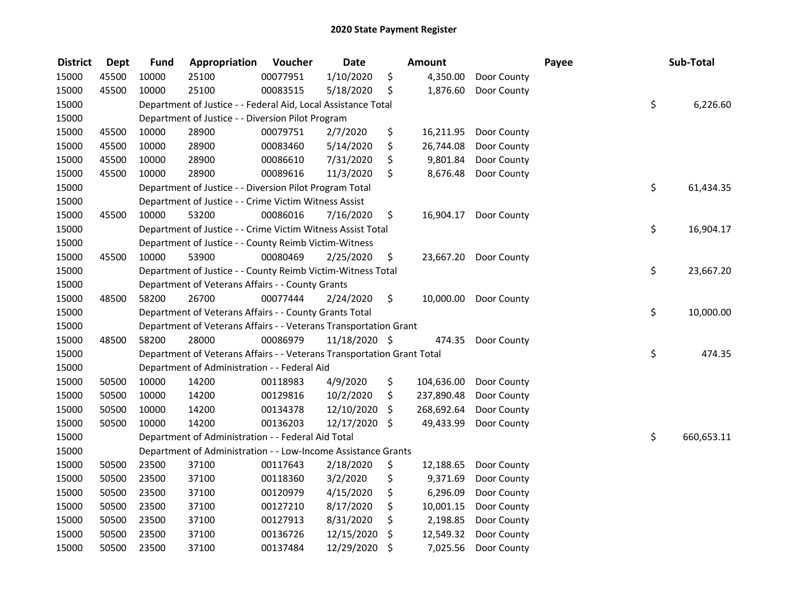| <b>District</b> | <b>Dept</b> | <b>Fund</b> | Appropriation                                                          | Voucher  | <b>Date</b>   | Amount           |             | Payee | Sub-Total        |
|-----------------|-------------|-------------|------------------------------------------------------------------------|----------|---------------|------------------|-------------|-------|------------------|
| 15000           | 45500       | 10000       | 25100                                                                  | 00077951 | 1/10/2020     | \$<br>4,350.00   | Door County |       |                  |
| 15000           | 45500       | 10000       | 25100                                                                  | 00083515 | 5/18/2020     | \$<br>1,876.60   | Door County |       |                  |
| 15000           |             |             | Department of Justice - - Federal Aid, Local Assistance Total          |          |               |                  |             |       | \$<br>6,226.60   |
| 15000           |             |             | Department of Justice - - Diversion Pilot Program                      |          |               |                  |             |       |                  |
| 15000           | 45500       | 10000       | 28900                                                                  | 00079751 | 2/7/2020      | \$<br>16,211.95  | Door County |       |                  |
| 15000           | 45500       | 10000       | 28900                                                                  | 00083460 | 5/14/2020     | \$<br>26,744.08  | Door County |       |                  |
| 15000           | 45500       | 10000       | 28900                                                                  | 00086610 | 7/31/2020     | \$<br>9,801.84   | Door County |       |                  |
| 15000           | 45500       | 10000       | 28900                                                                  | 00089616 | 11/3/2020     | \$<br>8,676.48   | Door County |       |                  |
| 15000           |             |             | Department of Justice - - Diversion Pilot Program Total                |          |               |                  |             |       | \$<br>61,434.35  |
| 15000           |             |             | Department of Justice - - Crime Victim Witness Assist                  |          |               |                  |             |       |                  |
| 15000           | 45500       | 10000       | 53200                                                                  | 00086016 | 7/16/2020     | \$<br>16,904.17  | Door County |       |                  |
| 15000           |             |             | Department of Justice - - Crime Victim Witness Assist Total            |          |               |                  |             |       | \$<br>16,904.17  |
| 15000           |             |             | Department of Justice - - County Reimb Victim-Witness                  |          |               |                  |             |       |                  |
| 15000           | 45500       | 10000       | 53900                                                                  | 00080469 | 2/25/2020     | \$<br>23,667.20  | Door County |       |                  |
| 15000           |             |             | Department of Justice - - County Reimb Victim-Witness Total            |          |               |                  |             |       | \$<br>23,667.20  |
| 15000           |             |             | Department of Veterans Affairs - - County Grants                       |          |               |                  |             |       |                  |
| 15000           | 48500       | 58200       | 26700                                                                  | 00077444 | 2/24/2020     | \$<br>10,000.00  | Door County |       |                  |
| 15000           |             |             | Department of Veterans Affairs - - County Grants Total                 |          |               |                  |             |       | \$<br>10,000.00  |
| 15000           |             |             | Department of Veterans Affairs - - Veterans Transportation Grant       |          |               |                  |             |       |                  |
| 15000           | 48500       | 58200       | 28000                                                                  | 00086979 | 11/18/2020 \$ | 474.35           | Door County |       |                  |
| 15000           |             |             | Department of Veterans Affairs - - Veterans Transportation Grant Total |          |               |                  |             |       | \$<br>474.35     |
| 15000           |             |             | Department of Administration - - Federal Aid                           |          |               |                  |             |       |                  |
| 15000           | 50500       | 10000       | 14200                                                                  | 00118983 | 4/9/2020      | \$<br>104,636.00 | Door County |       |                  |
| 15000           | 50500       | 10000       | 14200                                                                  | 00129816 | 10/2/2020     | \$<br>237,890.48 | Door County |       |                  |
| 15000           | 50500       | 10000       | 14200                                                                  | 00134378 | 12/10/2020    | \$<br>268,692.64 | Door County |       |                  |
| 15000           | 50500       | 10000       | 14200                                                                  | 00136203 | 12/17/2020    | \$<br>49,433.99  | Door County |       |                  |
| 15000           |             |             | Department of Administration - - Federal Aid Total                     |          |               |                  |             |       | \$<br>660,653.11 |
| 15000           |             |             | Department of Administration - - Low-Income Assistance Grants          |          |               |                  |             |       |                  |
| 15000           | 50500       | 23500       | 37100                                                                  | 00117643 | 2/18/2020     | \$<br>12,188.65  | Door County |       |                  |
| 15000           | 50500       | 23500       | 37100                                                                  | 00118360 | 3/2/2020      | \$<br>9,371.69   | Door County |       |                  |
| 15000           | 50500       | 23500       | 37100                                                                  | 00120979 | 4/15/2020     | \$<br>6,296.09   | Door County |       |                  |
| 15000           | 50500       | 23500       | 37100                                                                  | 00127210 | 8/17/2020     | \$<br>10,001.15  | Door County |       |                  |
| 15000           | 50500       | 23500       | 37100                                                                  | 00127913 | 8/31/2020     | \$<br>2,198.85   | Door County |       |                  |
| 15000           | 50500       | 23500       | 37100                                                                  | 00136726 | 12/15/2020    | \$<br>12,549.32  | Door County |       |                  |
| 15000           | 50500       | 23500       | 37100                                                                  | 00137484 | 12/29/2020    | \$<br>7,025.56   | Door County |       |                  |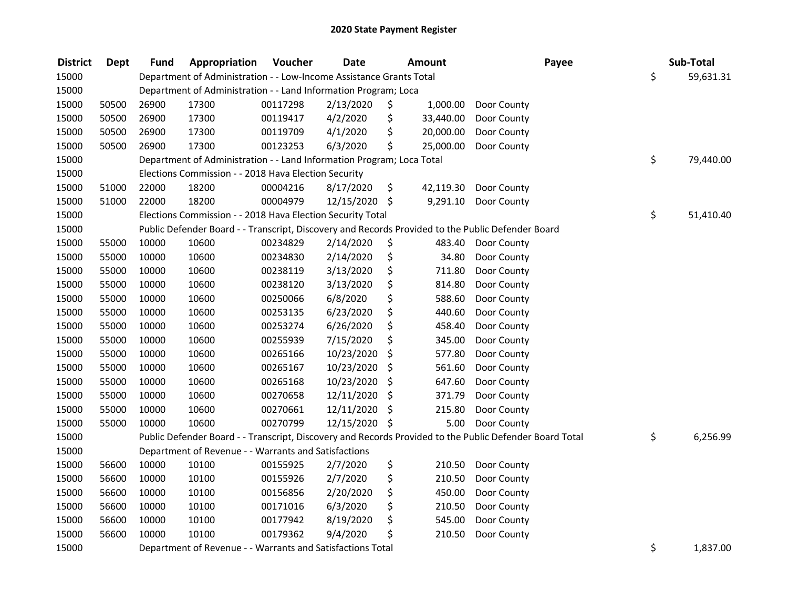| <b>District</b> | <b>Dept</b> | Fund  | Appropriation                                                         | Voucher  | <b>Date</b>   | <b>Amount</b>   | Payee                                                                                                   | Sub-Total       |
|-----------------|-------------|-------|-----------------------------------------------------------------------|----------|---------------|-----------------|---------------------------------------------------------------------------------------------------------|-----------------|
| 15000           |             |       | Department of Administration - - Low-Income Assistance Grants Total   |          |               |                 |                                                                                                         | \$<br>59,631.31 |
| 15000           |             |       | Department of Administration - - Land Information Program; Loca       |          |               |                 |                                                                                                         |                 |
| 15000           | 50500       | 26900 | 17300                                                                 | 00117298 | 2/13/2020     | \$<br>1,000.00  | Door County                                                                                             |                 |
| 15000           | 50500       | 26900 | 17300                                                                 | 00119417 | 4/2/2020      | \$<br>33,440.00 | Door County                                                                                             |                 |
| 15000           | 50500       | 26900 | 17300                                                                 | 00119709 | 4/1/2020      | \$<br>20,000.00 | Door County                                                                                             |                 |
| 15000           | 50500       | 26900 | 17300                                                                 | 00123253 | 6/3/2020      | \$<br>25,000.00 | Door County                                                                                             |                 |
| 15000           |             |       | Department of Administration - - Land Information Program; Loca Total |          |               |                 |                                                                                                         | \$<br>79,440.00 |
| 15000           |             |       | Elections Commission - - 2018 Hava Election Security                  |          |               |                 |                                                                                                         |                 |
| 15000           | 51000       | 22000 | 18200                                                                 | 00004216 | 8/17/2020     | \$<br>42,119.30 | Door County                                                                                             |                 |
| 15000           | 51000       | 22000 | 18200                                                                 | 00004979 | 12/15/2020 \$ | 9,291.10        | Door County                                                                                             |                 |
| 15000           |             |       | Elections Commission - - 2018 Hava Election Security Total            |          |               |                 |                                                                                                         | \$<br>51,410.40 |
| 15000           |             |       |                                                                       |          |               |                 | Public Defender Board - - Transcript, Discovery and Records Provided to the Public Defender Board       |                 |
| 15000           | 55000       | 10000 | 10600                                                                 | 00234829 | 2/14/2020     | \$<br>483.40    | Door County                                                                                             |                 |
| 15000           | 55000       | 10000 | 10600                                                                 | 00234830 | 2/14/2020     | \$<br>34.80     | Door County                                                                                             |                 |
| 15000           | 55000       | 10000 | 10600                                                                 | 00238119 | 3/13/2020     | \$<br>711.80    | Door County                                                                                             |                 |
| 15000           | 55000       | 10000 | 10600                                                                 | 00238120 | 3/13/2020     | \$<br>814.80    | Door County                                                                                             |                 |
| 15000           | 55000       | 10000 | 10600                                                                 | 00250066 | 6/8/2020      | \$<br>588.60    | Door County                                                                                             |                 |
| 15000           | 55000       | 10000 | 10600                                                                 | 00253135 | 6/23/2020     | \$<br>440.60    | Door County                                                                                             |                 |
| 15000           | 55000       | 10000 | 10600                                                                 | 00253274 | 6/26/2020     | \$<br>458.40    | Door County                                                                                             |                 |
| 15000           | 55000       | 10000 | 10600                                                                 | 00255939 | 7/15/2020     | \$<br>345.00    | Door County                                                                                             |                 |
| 15000           | 55000       | 10000 | 10600                                                                 | 00265166 | 10/23/2020    | \$<br>577.80    | Door County                                                                                             |                 |
| 15000           | 55000       | 10000 | 10600                                                                 | 00265167 | 10/23/2020    | \$<br>561.60    | Door County                                                                                             |                 |
| 15000           | 55000       | 10000 | 10600                                                                 | 00265168 | 10/23/2020    | \$<br>647.60    | Door County                                                                                             |                 |
| 15000           | 55000       | 10000 | 10600                                                                 | 00270658 | 12/11/2020    | \$<br>371.79    | Door County                                                                                             |                 |
| 15000           | 55000       | 10000 | 10600                                                                 | 00270661 | 12/11/2020    | \$<br>215.80    | Door County                                                                                             |                 |
| 15000           | 55000       | 10000 | 10600                                                                 | 00270799 | 12/15/2020 \$ | 5.00            | Door County                                                                                             |                 |
| 15000           |             |       |                                                                       |          |               |                 | Public Defender Board - - Transcript, Discovery and Records Provided to the Public Defender Board Total | \$<br>6,256.99  |
| 15000           |             |       | Department of Revenue - - Warrants and Satisfactions                  |          |               |                 |                                                                                                         |                 |
| 15000           | 56600       | 10000 | 10100                                                                 | 00155925 | 2/7/2020      | \$<br>210.50    | Door County                                                                                             |                 |
| 15000           | 56600       | 10000 | 10100                                                                 | 00155926 | 2/7/2020      | \$<br>210.50    | Door County                                                                                             |                 |
| 15000           | 56600       | 10000 | 10100                                                                 | 00156856 | 2/20/2020     | \$<br>450.00    | Door County                                                                                             |                 |
| 15000           | 56600       | 10000 | 10100                                                                 | 00171016 | 6/3/2020      | \$<br>210.50    | Door County                                                                                             |                 |
| 15000           | 56600       | 10000 | 10100                                                                 | 00177942 | 8/19/2020     | \$<br>545.00    | Door County                                                                                             |                 |
| 15000           | 56600       | 10000 | 10100                                                                 | 00179362 | 9/4/2020      | \$<br>210.50    | Door County                                                                                             |                 |
| 15000           |             |       | Department of Revenue - - Warrants and Satisfactions Total            |          |               |                 |                                                                                                         | \$<br>1,837.00  |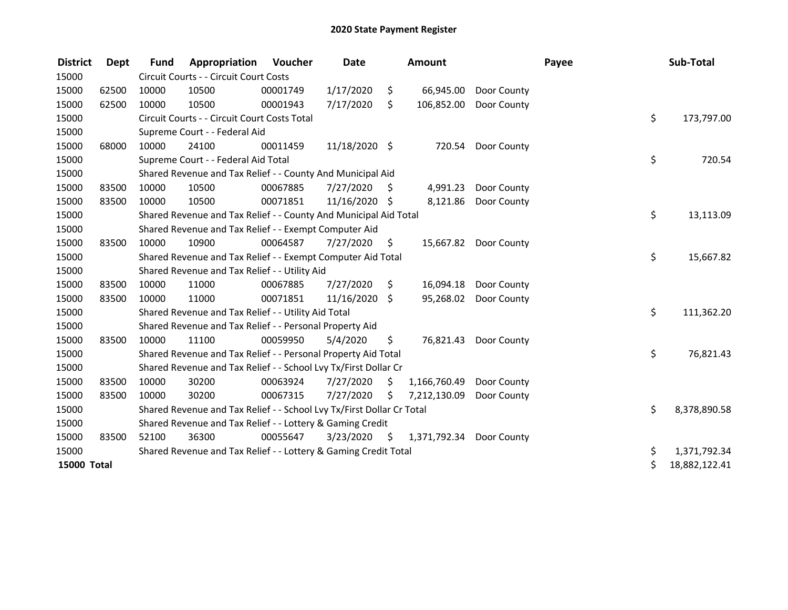| <b>District</b>    | <b>Dept</b> | <b>Fund</b> | Appropriation                                                         | <b>Voucher</b> | <b>Date</b>   |      | <b>Amount</b> |                       | Payee | Sub-Total     |
|--------------------|-------------|-------------|-----------------------------------------------------------------------|----------------|---------------|------|---------------|-----------------------|-------|---------------|
| 15000              |             |             | Circuit Courts - - Circuit Court Costs                                |                |               |      |               |                       |       |               |
| 15000              | 62500       | 10000       | 10500                                                                 | 00001749       | 1/17/2020     | \$   | 66,945.00     | Door County           |       |               |
| 15000              | 62500       | 10000       | 10500                                                                 | 00001943       | 7/17/2020     | \$   | 106,852.00    | Door County           |       |               |
| 15000              |             |             | Circuit Courts - - Circuit Court Costs Total                          |                |               |      |               |                       | \$    | 173,797.00    |
| 15000              |             |             | Supreme Court - - Federal Aid                                         |                |               |      |               |                       |       |               |
| 15000              | 68000       | 10000       | 24100                                                                 | 00011459       | 11/18/2020 \$ |      | 720.54        | Door County           |       |               |
| 15000              |             |             | Supreme Court - - Federal Aid Total                                   |                |               |      |               |                       | \$    | 720.54        |
| 15000              |             |             | Shared Revenue and Tax Relief - - County And Municipal Aid            |                |               |      |               |                       |       |               |
| 15000              | 83500       | 10000       | 10500                                                                 | 00067885       | 7/27/2020     | - \$ | 4,991.23      | Door County           |       |               |
| 15000              | 83500       | 10000       | 10500                                                                 | 00071851       | 11/16/2020 \$ |      | 8,121.86      | Door County           |       |               |
| 15000              |             |             | Shared Revenue and Tax Relief - - County And Municipal Aid Total      |                |               |      |               |                       | \$    | 13,113.09     |
| 15000              |             |             | Shared Revenue and Tax Relief - - Exempt Computer Aid                 |                |               |      |               |                       |       |               |
| 15000              | 83500       | 10000       | 10900                                                                 | 00064587       | 7/27/2020     | \$   |               | 15,667.82 Door County |       |               |
| 15000              |             |             | Shared Revenue and Tax Relief - - Exempt Computer Aid Total           |                |               |      |               |                       | \$    | 15,667.82     |
| 15000              |             |             | Shared Revenue and Tax Relief - - Utility Aid                         |                |               |      |               |                       |       |               |
| 15000              | 83500       | 10000       | 11000                                                                 | 00067885       | 7/27/2020     | \$   | 16,094.18     | Door County           |       |               |
| 15000              | 83500       | 10000       | 11000                                                                 | 00071851       | 11/16/2020    | \$   | 95,268.02     | Door County           |       |               |
| 15000              |             |             | Shared Revenue and Tax Relief - - Utility Aid Total                   |                |               |      |               |                       | \$    | 111,362.20    |
| 15000              |             |             | Shared Revenue and Tax Relief - - Personal Property Aid               |                |               |      |               |                       |       |               |
| 15000              | 83500       | 10000       | 11100                                                                 | 00059950       | 5/4/2020      | \$   | 76,821.43     | Door County           |       |               |
| 15000              |             |             | Shared Revenue and Tax Relief - - Personal Property Aid Total         |                |               |      |               |                       | \$    | 76,821.43     |
| 15000              |             |             | Shared Revenue and Tax Relief - - School Lvy Tx/First Dollar Cr       |                |               |      |               |                       |       |               |
| 15000              | 83500       | 10000       | 30200                                                                 | 00063924       | 7/27/2020     | S    | 1,166,760.49  | Door County           |       |               |
| 15000              | 83500       | 10000       | 30200                                                                 | 00067315       | 7/27/2020     | Ś.   | 7,212,130.09  | Door County           |       |               |
| 15000              |             |             | Shared Revenue and Tax Relief - - School Lvy Tx/First Dollar Cr Total |                |               |      |               |                       | \$    | 8,378,890.58  |
| 15000              |             |             | Shared Revenue and Tax Relief - - Lottery & Gaming Credit             |                |               |      |               |                       |       |               |
| 15000              | 83500       | 52100       | 36300                                                                 | 00055647       | 3/23/2020     | S.   | 1,371,792.34  | Door County           |       |               |
| 15000              |             |             | Shared Revenue and Tax Relief - - Lottery & Gaming Credit Total       |                |               |      |               |                       | \$    | 1,371,792.34  |
| <b>15000 Total</b> |             |             |                                                                       |                |               |      |               |                       | \$    | 18,882,122.41 |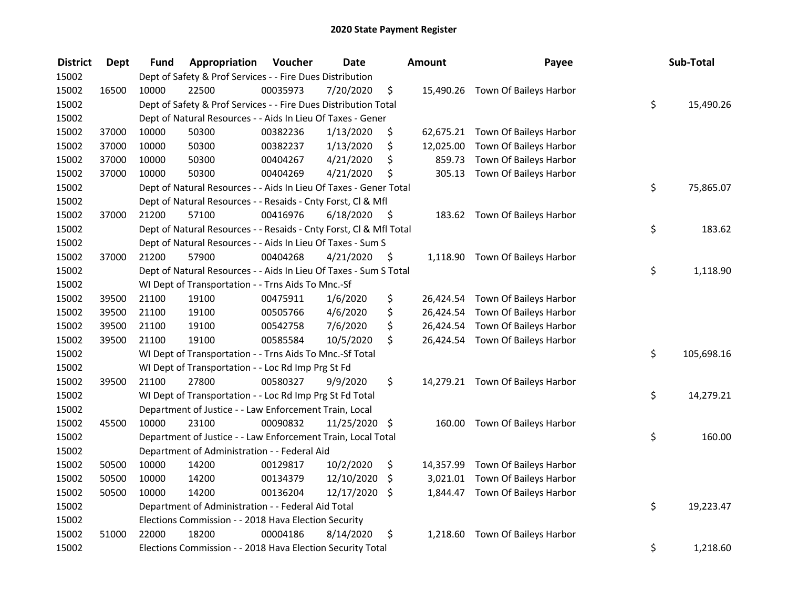| <b>District</b> | <b>Dept</b> | <b>Fund</b> | Appropriation                                                      | Voucher  | <b>Date</b>   |      | Amount    | Payee                            | Sub-Total        |
|-----------------|-------------|-------------|--------------------------------------------------------------------|----------|---------------|------|-----------|----------------------------------|------------------|
| 15002           |             |             | Dept of Safety & Prof Services - - Fire Dues Distribution          |          |               |      |           |                                  |                  |
| 15002           | 16500       | 10000       | 22500                                                              | 00035973 | 7/20/2020     | \$   |           | 15,490.26 Town Of Baileys Harbor |                  |
| 15002           |             |             | Dept of Safety & Prof Services - - Fire Dues Distribution Total    |          |               |      |           |                                  | \$<br>15,490.26  |
| 15002           |             |             | Dept of Natural Resources - - Aids In Lieu Of Taxes - Gener        |          |               |      |           |                                  |                  |
| 15002           | 37000       | 10000       | 50300                                                              | 00382236 | 1/13/2020     | \$   |           | 62,675.21 Town Of Baileys Harbor |                  |
| 15002           | 37000       | 10000       | 50300                                                              | 00382237 | 1/13/2020     | \$   | 12,025.00 | Town Of Baileys Harbor           |                  |
| 15002           | 37000       | 10000       | 50300                                                              | 00404267 | 4/21/2020     | \$   | 859.73    | Town Of Baileys Harbor           |                  |
| 15002           | 37000       | 10000       | 50300                                                              | 00404269 | 4/21/2020     | \$   |           | 305.13 Town Of Baileys Harbor    |                  |
| 15002           |             |             | Dept of Natural Resources - - Aids In Lieu Of Taxes - Gener Total  |          |               |      |           |                                  | \$<br>75,865.07  |
| 15002           |             |             | Dept of Natural Resources - - Resaids - Cnty Forst, Cl & Mfl       |          |               |      |           |                                  |                  |
| 15002           | 37000       | 21200       | 57100                                                              | 00416976 | 6/18/2020     | - \$ |           | 183.62 Town Of Baileys Harbor    |                  |
| 15002           |             |             | Dept of Natural Resources - - Resaids - Cnty Forst, Cl & Mfl Total |          |               |      |           |                                  | \$<br>183.62     |
| 15002           |             |             | Dept of Natural Resources - - Aids In Lieu Of Taxes - Sum S        |          |               |      |           |                                  |                  |
| 15002           | 37000       | 21200       | 57900                                                              | 00404268 | 4/21/2020     | \$   |           | 1,118.90 Town Of Baileys Harbor  |                  |
| 15002           |             |             | Dept of Natural Resources - - Aids In Lieu Of Taxes - Sum S Total  |          |               |      |           |                                  | \$<br>1,118.90   |
| 15002           |             |             | WI Dept of Transportation - - Trns Aids To Mnc.-Sf                 |          |               |      |           |                                  |                  |
| 15002           | 39500       | 21100       | 19100                                                              | 00475911 | 1/6/2020      | \$   | 26,424.54 | Town Of Baileys Harbor           |                  |
| 15002           | 39500       | 21100       | 19100                                                              | 00505766 | 4/6/2020      | \$   |           | 26,424.54 Town Of Baileys Harbor |                  |
| 15002           | 39500       | 21100       | 19100                                                              | 00542758 | 7/6/2020      | \$   |           | 26,424.54 Town Of Baileys Harbor |                  |
| 15002           | 39500       | 21100       | 19100                                                              | 00585584 | 10/5/2020     | \$   |           | 26,424.54 Town Of Baileys Harbor |                  |
| 15002           |             |             | WI Dept of Transportation - - Trns Aids To Mnc.-Sf Total           |          |               |      |           |                                  | \$<br>105,698.16 |
| 15002           |             |             | WI Dept of Transportation - - Loc Rd Imp Prg St Fd                 |          |               |      |           |                                  |                  |
| 15002           | 39500       | 21100       | 27800                                                              | 00580327 | 9/9/2020      | \$   |           | 14,279.21 Town Of Baileys Harbor |                  |
| 15002           |             |             | WI Dept of Transportation - - Loc Rd Imp Prg St Fd Total           |          |               |      |           |                                  | \$<br>14,279.21  |
| 15002           |             |             | Department of Justice - - Law Enforcement Train, Local             |          |               |      |           |                                  |                  |
| 15002           | 45500       | 10000       | 23100                                                              | 00090832 | 11/25/2020 \$ |      |           | 160.00 Town Of Baileys Harbor    |                  |
| 15002           |             |             | Department of Justice - - Law Enforcement Train, Local Total       |          |               |      |           |                                  | \$<br>160.00     |
| 15002           |             |             | Department of Administration - - Federal Aid                       |          |               |      |           |                                  |                  |
| 15002           | 50500       | 10000       | 14200                                                              | 00129817 | 10/2/2020     | \$   | 14,357.99 | Town Of Baileys Harbor           |                  |
| 15002           | 50500       | 10000       | 14200                                                              | 00134379 | 12/10/2020    | \$   | 3,021.01  | Town Of Baileys Harbor           |                  |
| 15002           | 50500       | 10000       | 14200                                                              | 00136204 | 12/17/2020    | \$   |           | 1,844.47 Town Of Baileys Harbor  |                  |
| 15002           |             |             | Department of Administration - - Federal Aid Total                 |          |               |      |           |                                  | \$<br>19,223.47  |
| 15002           |             |             | Elections Commission - - 2018 Hava Election Security               |          |               |      |           |                                  |                  |
| 15002           | 51000       | 22000       | 18200                                                              | 00004186 | 8/14/2020     | \$   | 1,218.60  | Town Of Baileys Harbor           |                  |
| 15002           |             |             | Elections Commission - - 2018 Hava Election Security Total         |          |               |      |           |                                  | \$<br>1,218.60   |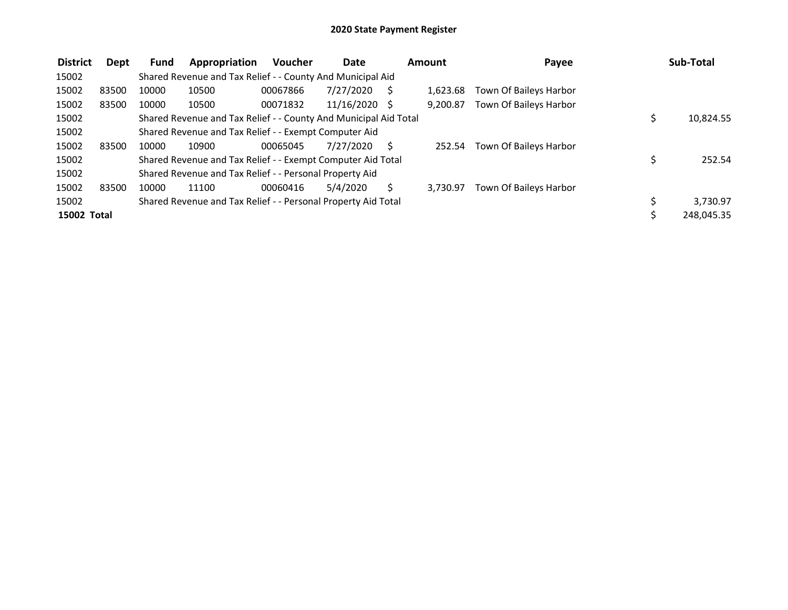| <b>District</b> | Dept  | <b>Fund</b> | Appropriation                                                    | <b>Voucher</b> | <b>Date</b>     | Amount   | Payee                  | Sub-Total    |
|-----------------|-------|-------------|------------------------------------------------------------------|----------------|-----------------|----------|------------------------|--------------|
| 15002           |       |             | Shared Revenue and Tax Relief - - County And Municipal Aid       |                |                 |          |                        |              |
| 15002           | 83500 | 10000       | 10500                                                            | 00067866       | 7/27/2020       | 1.623.68 | Town Of Baileys Harbor |              |
| 15002           | 83500 | 10000       | 10500                                                            | 00071832       | $11/16/2020$ \$ | 9.200.87 | Town Of Baileys Harbor |              |
| 15002           |       |             | Shared Revenue and Tax Relief - - County And Municipal Aid Total |                |                 |          |                        | 10,824.55    |
| 15002           |       |             | Shared Revenue and Tax Relief - - Exempt Computer Aid            |                |                 |          |                        |              |
| 15002           | 83500 | 10000       | 10900                                                            | 00065045       | 7/27/2020       | 252.54   | Town Of Baileys Harbor |              |
| 15002           |       |             | Shared Revenue and Tax Relief - - Exempt Computer Aid Total      |                |                 |          |                        | \$<br>252.54 |
| 15002           |       |             | Shared Revenue and Tax Relief - - Personal Property Aid          |                |                 |          |                        |              |
| 15002           | 83500 | 10000       | 11100                                                            | 00060416       | 5/4/2020        | 3.730.97 | Town Of Baileys Harbor |              |
| 15002           |       |             | Shared Revenue and Tax Relief - - Personal Property Aid Total    |                |                 |          |                        | 3,730.97     |
| 15002 Total     |       |             |                                                                  |                |                 |          |                        | 248,045.35   |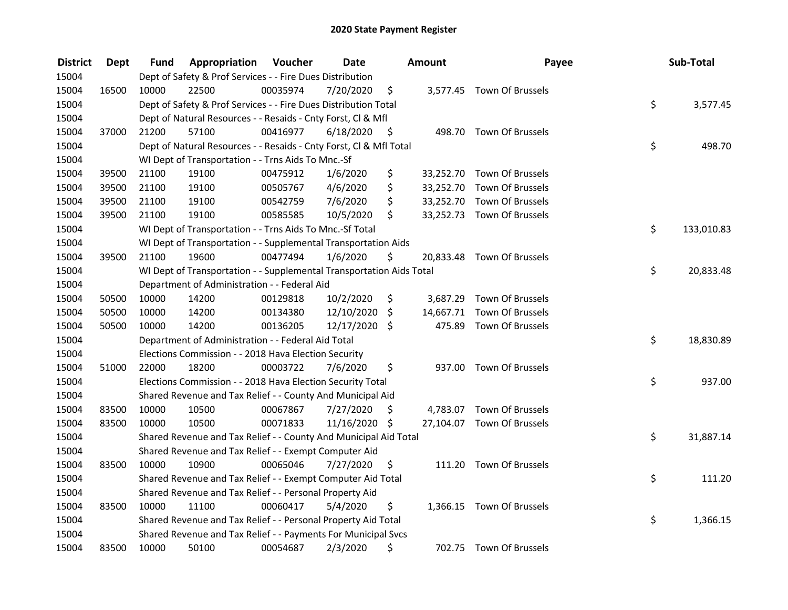| <b>District</b> | <b>Dept</b> | Fund  | Appropriation                                                        | Voucher  | <b>Date</b>   |      | Amount    | Payee                      | Sub-Total        |
|-----------------|-------------|-------|----------------------------------------------------------------------|----------|---------------|------|-----------|----------------------------|------------------|
| 15004           |             |       | Dept of Safety & Prof Services - - Fire Dues Distribution            |          |               |      |           |                            |                  |
| 15004           | 16500       | 10000 | 22500                                                                | 00035974 | 7/20/2020     | \$   |           | 3,577.45 Town Of Brussels  |                  |
| 15004           |             |       | Dept of Safety & Prof Services - - Fire Dues Distribution Total      |          |               |      |           |                            | \$<br>3,577.45   |
| 15004           |             |       | Dept of Natural Resources - - Resaids - Cnty Forst, Cl & Mfl         |          |               |      |           |                            |                  |
| 15004           | 37000       | 21200 | 57100                                                                | 00416977 | 6/18/2020     | - \$ |           | 498.70 Town Of Brussels    |                  |
| 15004           |             |       | Dept of Natural Resources - - Resaids - Cnty Forst, Cl & Mfl Total   |          |               |      |           |                            | \$<br>498.70     |
| 15004           |             |       | WI Dept of Transportation - - Trns Aids To Mnc.-Sf                   |          |               |      |           |                            |                  |
| 15004           | 39500       | 21100 | 19100                                                                | 00475912 | 1/6/2020      | \$   |           | 33,252.70 Town Of Brussels |                  |
| 15004           | 39500       | 21100 | 19100                                                                | 00505767 | 4/6/2020      | \$   |           | 33,252.70 Town Of Brussels |                  |
| 15004           | 39500       | 21100 | 19100                                                                | 00542759 | 7/6/2020      | \$   |           | 33,252.70 Town Of Brussels |                  |
| 15004           | 39500       | 21100 | 19100                                                                | 00585585 | 10/5/2020     | \$   |           | 33,252.73 Town Of Brussels |                  |
| 15004           |             |       | WI Dept of Transportation - - Trns Aids To Mnc.-Sf Total             |          |               |      |           |                            | \$<br>133,010.83 |
| 15004           |             |       | WI Dept of Transportation - - Supplemental Transportation Aids       |          |               |      |           |                            |                  |
| 15004           | 39500       | 21100 | 19600                                                                | 00477494 | 1/6/2020      | \$   |           | 20,833.48 Town Of Brussels |                  |
| 15004           |             |       | WI Dept of Transportation - - Supplemental Transportation Aids Total |          |               |      |           |                            | \$<br>20,833.48  |
| 15004           |             |       | Department of Administration - - Federal Aid                         |          |               |      |           |                            |                  |
| 15004           | 50500       | 10000 | 14200                                                                | 00129818 | 10/2/2020     | \$   | 3,687.29  | Town Of Brussels           |                  |
| 15004           | 50500       | 10000 | 14200                                                                | 00134380 | 12/10/2020    | \$   | 14,667.71 | Town Of Brussels           |                  |
| 15004           | 50500       | 10000 | 14200                                                                | 00136205 | 12/17/2020 \$ |      |           | 475.89 Town Of Brussels    |                  |
| 15004           |             |       | Department of Administration - - Federal Aid Total                   |          |               |      |           |                            | \$<br>18,830.89  |
| 15004           |             |       | Elections Commission - - 2018 Hava Election Security                 |          |               |      |           |                            |                  |
| 15004           | 51000       | 22000 | 18200                                                                | 00003722 | 7/6/2020      | \$   |           | 937.00 Town Of Brussels    |                  |
| 15004           |             |       | Elections Commission - - 2018 Hava Election Security Total           |          |               |      |           |                            | \$<br>937.00     |
| 15004           |             |       | Shared Revenue and Tax Relief - - County And Municipal Aid           |          |               |      |           |                            |                  |
| 15004           | 83500       | 10000 | 10500                                                                | 00067867 | 7/27/2020     | S    |           | 4,783.07 Town Of Brussels  |                  |
| 15004           | 83500       | 10000 | 10500                                                                | 00071833 | 11/16/2020 \$ |      |           | 27,104.07 Town Of Brussels |                  |
| 15004           |             |       | Shared Revenue and Tax Relief - - County And Municipal Aid Total     |          |               |      |           |                            | \$<br>31,887.14  |
| 15004           |             |       | Shared Revenue and Tax Relief - - Exempt Computer Aid                |          |               |      |           |                            |                  |
| 15004           | 83500       | 10000 | 10900                                                                | 00065046 | 7/27/2020     | \$   | 111.20    | Town Of Brussels           |                  |
| 15004           |             |       | Shared Revenue and Tax Relief - - Exempt Computer Aid Total          |          |               |      |           |                            | \$<br>111.20     |
| 15004           |             |       | Shared Revenue and Tax Relief - - Personal Property Aid              |          |               |      |           |                            |                  |
| 15004           | 83500       | 10000 | 11100                                                                | 00060417 | 5/4/2020      | \$   |           | 1,366.15 Town Of Brussels  |                  |
| 15004           |             |       | Shared Revenue and Tax Relief - - Personal Property Aid Total        |          |               |      |           |                            | \$<br>1,366.15   |
| 15004           |             |       | Shared Revenue and Tax Relief - - Payments For Municipal Svcs        |          |               |      |           |                            |                  |
| 15004           | 83500       | 10000 | 50100                                                                | 00054687 | 2/3/2020      | \$   |           | 702.75 Town Of Brussels    |                  |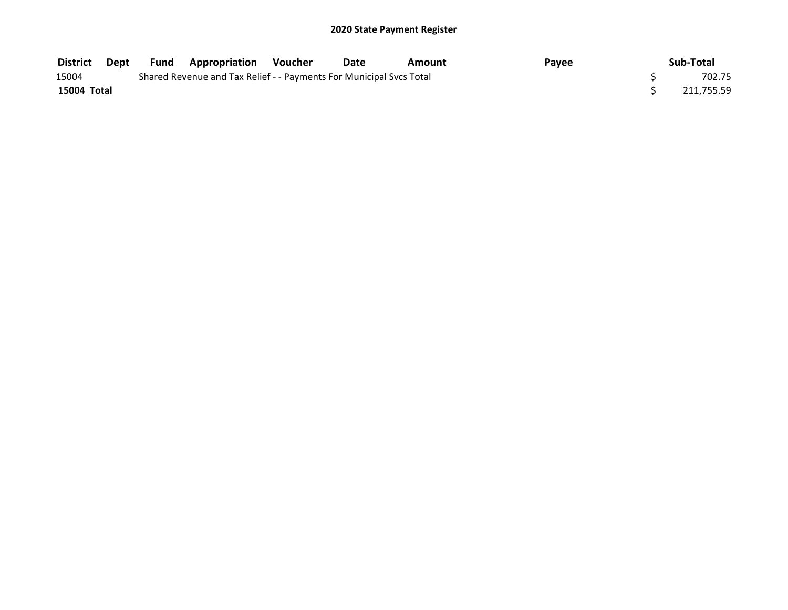| District    | Dept | Fund | <b>Appropriation</b>                                                | Voucher | <b>Date</b> | Amount | <b>Pavee</b> | Sub-Total  |
|-------------|------|------|---------------------------------------------------------------------|---------|-------------|--------|--------------|------------|
| 15004       |      |      | Shared Revenue and Tax Relief - - Payments For Municipal Svcs Total |         |             |        |              | 702.75     |
| 15004 Total |      |      |                                                                     |         |             |        |              | 211.755.59 |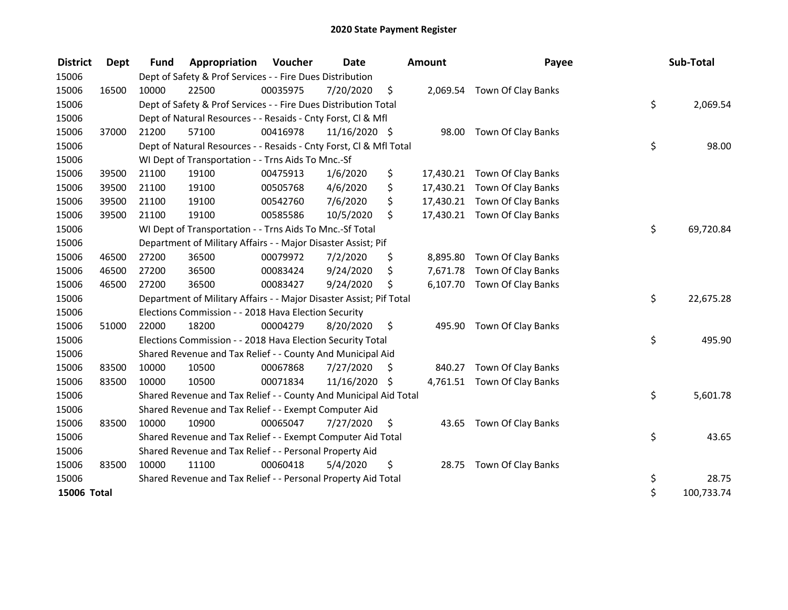| <b>District</b> | <b>Dept</b> | <b>Fund</b> | Appropriation                                                       | Voucher  | <b>Date</b>   | <b>Amount</b>  | Payee                        | Sub-Total        |
|-----------------|-------------|-------------|---------------------------------------------------------------------|----------|---------------|----------------|------------------------------|------------------|
| 15006           |             |             | Dept of Safety & Prof Services - - Fire Dues Distribution           |          |               |                |                              |                  |
| 15006           | 16500       | 10000       | 22500                                                               | 00035975 | 7/20/2020     | \$             | 2,069.54 Town Of Clay Banks  |                  |
| 15006           |             |             | Dept of Safety & Prof Services - - Fire Dues Distribution Total     |          |               |                |                              | \$<br>2,069.54   |
| 15006           |             |             | Dept of Natural Resources - - Resaids - Cnty Forst, CI & Mfl        |          |               |                |                              |                  |
| 15006           | 37000       | 21200       | 57100                                                               | 00416978 | 11/16/2020 \$ |                | 98.00 Town Of Clay Banks     |                  |
| 15006           |             |             | Dept of Natural Resources - - Resaids - Cnty Forst, Cl & Mfl Total  |          |               |                |                              | \$<br>98.00      |
| 15006           |             |             | WI Dept of Transportation - - Trns Aids To Mnc.-Sf                  |          |               |                |                              |                  |
| 15006           | 39500       | 21100       | 19100                                                               | 00475913 | 1/6/2020      | \$             | 17,430.21 Town Of Clay Banks |                  |
| 15006           | 39500       | 21100       | 19100                                                               | 00505768 | 4/6/2020      | \$             | 17,430.21 Town Of Clay Banks |                  |
| 15006           | 39500       | 21100       | 19100                                                               | 00542760 | 7/6/2020      | \$             | 17,430.21 Town Of Clay Banks |                  |
| 15006           | 39500       | 21100       | 19100                                                               | 00585586 | 10/5/2020     | \$             | 17,430.21 Town Of Clay Banks |                  |
| 15006           |             |             | WI Dept of Transportation - - Trns Aids To Mnc.-Sf Total            |          |               |                |                              | \$<br>69,720.84  |
| 15006           |             |             | Department of Military Affairs - - Major Disaster Assist; Pif       |          |               |                |                              |                  |
| 15006           | 46500       | 27200       | 36500                                                               | 00079972 | 7/2/2020      | \$<br>8,895.80 | Town Of Clay Banks           |                  |
| 15006           | 46500       | 27200       | 36500                                                               | 00083424 | 9/24/2020     | \$<br>7,671.78 | Town Of Clay Banks           |                  |
| 15006           | 46500       | 27200       | 36500                                                               | 00083427 | 9/24/2020     | \$             | 6,107.70 Town Of Clay Banks  |                  |
| 15006           |             |             | Department of Military Affairs - - Major Disaster Assist; Pif Total |          |               |                |                              | \$<br>22,675.28  |
| 15006           |             |             | Elections Commission - - 2018 Hava Election Security                |          |               |                |                              |                  |
| 15006           | 51000       | 22000       | 18200                                                               | 00004279 | 8/20/2020     | \$             | 495.90 Town Of Clay Banks    |                  |
| 15006           |             |             | Elections Commission - - 2018 Hava Election Security Total          |          |               |                |                              | \$<br>495.90     |
| 15006           |             |             | Shared Revenue and Tax Relief - - County And Municipal Aid          |          |               |                |                              |                  |
| 15006           | 83500       | 10000       | 10500                                                               | 00067868 | 7/27/2020     | \$<br>840.27   | Town Of Clay Banks           |                  |
| 15006           | 83500       | 10000       | 10500                                                               | 00071834 | 11/16/2020 \$ |                | 4,761.51 Town Of Clay Banks  |                  |
| 15006           |             |             | Shared Revenue and Tax Relief - - County And Municipal Aid Total    |          |               |                |                              | \$<br>5,601.78   |
| 15006           |             |             | Shared Revenue and Tax Relief - - Exempt Computer Aid               |          |               |                |                              |                  |
| 15006           | 83500       | 10000       | 10900                                                               | 00065047 | 7/27/2020     | \$             | 43.65 Town Of Clay Banks     |                  |
| 15006           |             |             | Shared Revenue and Tax Relief - - Exempt Computer Aid Total         |          |               |                |                              | \$<br>43.65      |
| 15006           |             |             | Shared Revenue and Tax Relief - - Personal Property Aid             |          |               |                |                              |                  |
| 15006           | 83500       | 10000       | 11100                                                               | 00060418 | 5/4/2020      | \$             | 28.75 Town Of Clay Banks     |                  |
| 15006           |             |             | Shared Revenue and Tax Relief - - Personal Property Aid Total       |          |               |                |                              | \$<br>28.75      |
| 15006 Total     |             |             |                                                                     |          |               |                |                              | \$<br>100,733.74 |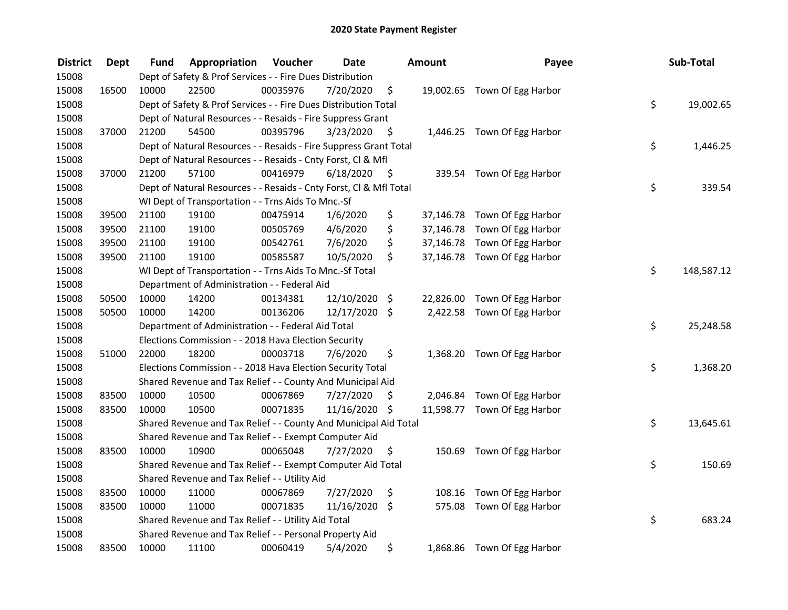| <b>District</b> | <b>Dept</b> | Fund  | Appropriation                                                      | Voucher  | <b>Date</b>   |      | <b>Amount</b> | Payee                        | Sub-Total        |
|-----------------|-------------|-------|--------------------------------------------------------------------|----------|---------------|------|---------------|------------------------------|------------------|
| 15008           |             |       | Dept of Safety & Prof Services - - Fire Dues Distribution          |          |               |      |               |                              |                  |
| 15008           | 16500       | 10000 | 22500                                                              | 00035976 | 7/20/2020     | \$   |               | 19,002.65 Town Of Egg Harbor |                  |
| 15008           |             |       | Dept of Safety & Prof Services - - Fire Dues Distribution Total    |          |               |      |               |                              | \$<br>19,002.65  |
| 15008           |             |       | Dept of Natural Resources - - Resaids - Fire Suppress Grant        |          |               |      |               |                              |                  |
| 15008           | 37000       | 21200 | 54500                                                              | 00395796 | 3/23/2020     | \$   |               | 1,446.25 Town Of Egg Harbor  |                  |
| 15008           |             |       | Dept of Natural Resources - - Resaids - Fire Suppress Grant Total  |          |               |      |               |                              | \$<br>1,446.25   |
| 15008           |             |       | Dept of Natural Resources - - Resaids - Cnty Forst, Cl & Mfl       |          |               |      |               |                              |                  |
| 15008           | 37000       | 21200 | 57100                                                              | 00416979 | 6/18/2020     | - \$ |               | 339.54 Town Of Egg Harbor    |                  |
| 15008           |             |       | Dept of Natural Resources - - Resaids - Cnty Forst, Cl & Mfl Total |          |               |      |               |                              | \$<br>339.54     |
| 15008           |             |       | WI Dept of Transportation - - Trns Aids To Mnc.-Sf                 |          |               |      |               |                              |                  |
| 15008           | 39500       | 21100 | 19100                                                              | 00475914 | 1/6/2020      | \$   |               | 37,146.78 Town Of Egg Harbor |                  |
| 15008           | 39500       | 21100 | 19100                                                              | 00505769 | 4/6/2020      | \$   |               | 37,146.78 Town Of Egg Harbor |                  |
| 15008           | 39500       | 21100 | 19100                                                              | 00542761 | 7/6/2020      | \$   |               | 37,146.78 Town Of Egg Harbor |                  |
| 15008           | 39500       | 21100 | 19100                                                              | 00585587 | 10/5/2020     | \$   |               | 37,146.78 Town Of Egg Harbor |                  |
| 15008           |             |       | WI Dept of Transportation - - Trns Aids To Mnc.-Sf Total           |          |               |      |               |                              | \$<br>148,587.12 |
| 15008           |             |       | Department of Administration - - Federal Aid                       |          |               |      |               |                              |                  |
| 15008           | 50500       | 10000 | 14200                                                              | 00134381 | 12/10/2020 \$ |      | 22,826.00     | Town Of Egg Harbor           |                  |
| 15008           | 50500       | 10000 | 14200                                                              | 00136206 | 12/17/2020 \$ |      |               | 2,422.58 Town Of Egg Harbor  |                  |
| 15008           |             |       | Department of Administration - - Federal Aid Total                 |          |               |      |               |                              | \$<br>25,248.58  |
| 15008           |             |       | Elections Commission - - 2018 Hava Election Security               |          |               |      |               |                              |                  |
| 15008           | 51000       | 22000 | 18200                                                              | 00003718 | 7/6/2020      | \$   |               | 1,368.20 Town Of Egg Harbor  |                  |
| 15008           |             |       | Elections Commission - - 2018 Hava Election Security Total         |          |               |      |               |                              | \$<br>1,368.20   |
| 15008           |             |       | Shared Revenue and Tax Relief - - County And Municipal Aid         |          |               |      |               |                              |                  |
| 15008           | 83500       | 10000 | 10500                                                              | 00067869 | 7/27/2020     | \$   |               | 2,046.84 Town Of Egg Harbor  |                  |
| 15008           | 83500       | 10000 | 10500                                                              | 00071835 | 11/16/2020    | \$   |               | 11,598.77 Town Of Egg Harbor |                  |
| 15008           |             |       | Shared Revenue and Tax Relief - - County And Municipal Aid Total   |          |               |      |               |                              | \$<br>13,645.61  |
| 15008           |             |       | Shared Revenue and Tax Relief - - Exempt Computer Aid              |          |               |      |               |                              |                  |
| 15008           | 83500       | 10000 | 10900                                                              | 00065048 | 7/27/2020     | \$   |               | 150.69 Town Of Egg Harbor    |                  |
| 15008           |             |       | Shared Revenue and Tax Relief - - Exempt Computer Aid Total        |          |               |      |               |                              | \$<br>150.69     |
| 15008           |             |       | Shared Revenue and Tax Relief - - Utility Aid                      |          |               |      |               |                              |                  |
| 15008           | 83500       | 10000 | 11000                                                              | 00067869 | 7/27/2020     | \$   | 108.16        | Town Of Egg Harbor           |                  |
| 15008           | 83500       | 10000 | 11000                                                              | 00071835 | 11/16/2020    | \$   | 575.08        | Town Of Egg Harbor           |                  |
| 15008           |             |       | Shared Revenue and Tax Relief - - Utility Aid Total                |          |               |      |               |                              | \$<br>683.24     |
| 15008           |             |       | Shared Revenue and Tax Relief - - Personal Property Aid            |          |               |      |               |                              |                  |
| 15008           | 83500       | 10000 | 11100                                                              | 00060419 | 5/4/2020      | \$   |               | 1,868.86 Town Of Egg Harbor  |                  |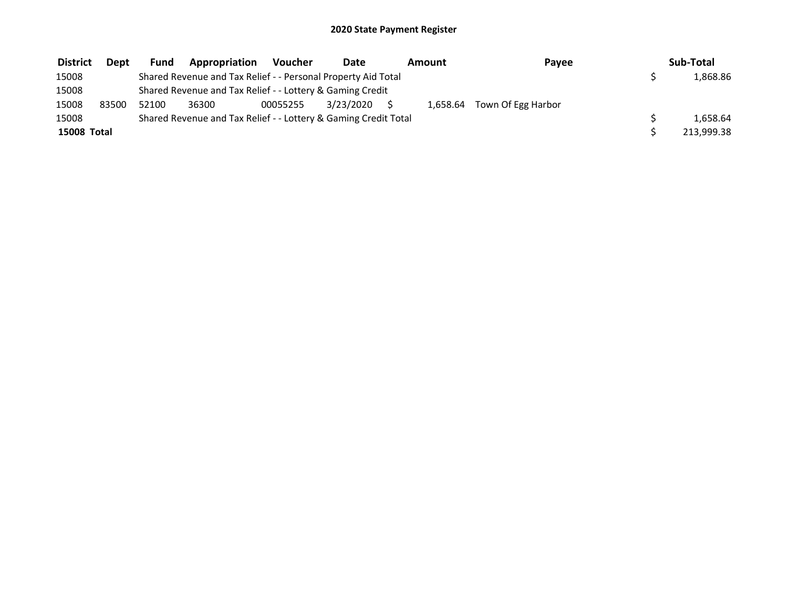| <b>District</b> | Dept  | <b>Fund</b> | Appropriation                                                   | <b>Voucher</b> | Date      |  | Amount | Pavee                       |  | Sub-Total  |  |  |  |  |
|-----------------|-------|-------------|-----------------------------------------------------------------|----------------|-----------|--|--------|-----------------------------|--|------------|--|--|--|--|
| 15008           |       |             | Shared Revenue and Tax Relief - - Personal Property Aid Total   |                |           |  |        |                             |  | 1,868.86   |  |  |  |  |
| 15008           |       |             | Shared Revenue and Tax Relief - - Lottery & Gaming Credit       |                |           |  |        |                             |  |            |  |  |  |  |
| 15008           | 83500 | 52100       | 36300                                                           | 00055255       | 3/23/2020 |  |        | 1,658.64 Town Of Egg Harbor |  |            |  |  |  |  |
| 15008           |       |             | Shared Revenue and Tax Relief - - Lottery & Gaming Credit Total |                |           |  |        |                             |  | 1,658.64   |  |  |  |  |
| 15008 Total     |       |             |                                                                 |                |           |  |        |                             |  | 213,999.38 |  |  |  |  |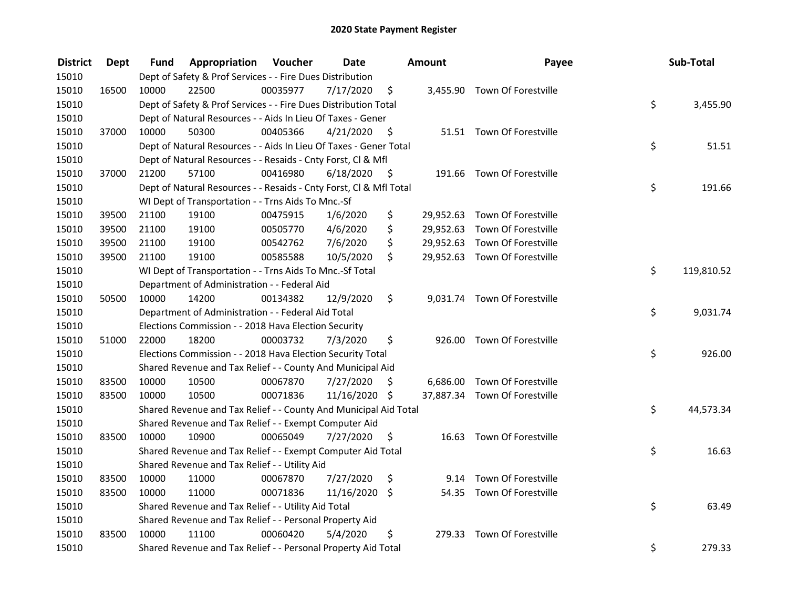| <b>District</b> | <b>Dept</b> | Fund  | Appropriation                                                      | Voucher  | <b>Date</b>   |                     | Amount | Payee                         | Sub-Total        |
|-----------------|-------------|-------|--------------------------------------------------------------------|----------|---------------|---------------------|--------|-------------------------------|------------------|
| 15010           |             |       | Dept of Safety & Prof Services - - Fire Dues Distribution          |          |               |                     |        |                               |                  |
| 15010           | 16500       | 10000 | 22500                                                              | 00035977 | 7/17/2020     | \$                  |        | 3,455.90 Town Of Forestville  |                  |
| 15010           |             |       | Dept of Safety & Prof Services - - Fire Dues Distribution Total    |          |               |                     |        |                               | \$<br>3,455.90   |
| 15010           |             |       | Dept of Natural Resources - - Aids In Lieu Of Taxes - Gener        |          |               |                     |        |                               |                  |
| 15010           | 37000       | 10000 | 50300                                                              | 00405366 | 4/21/2020     | - \$                |        | 51.51 Town Of Forestville     |                  |
| 15010           |             |       | Dept of Natural Resources - - Aids In Lieu Of Taxes - Gener Total  |          |               |                     |        |                               | \$<br>51.51      |
| 15010           |             |       | Dept of Natural Resources - - Resaids - Cnty Forst, Cl & Mfl       |          |               |                     |        |                               |                  |
| 15010           | 37000       | 21200 | 57100                                                              | 00416980 | 6/18/2020     | $\ddot{\mathsf{s}}$ |        | 191.66 Town Of Forestville    |                  |
| 15010           |             |       | Dept of Natural Resources - - Resaids - Cnty Forst, Cl & Mfl Total |          |               |                     |        |                               | \$<br>191.66     |
| 15010           |             |       | WI Dept of Transportation - - Trns Aids To Mnc.-Sf                 |          |               |                     |        |                               |                  |
| 15010           | 39500       | 21100 | 19100                                                              | 00475915 | 1/6/2020      | \$                  |        | 29,952.63 Town Of Forestville |                  |
| 15010           | 39500       | 21100 | 19100                                                              | 00505770 | 4/6/2020      | \$                  |        | 29,952.63 Town Of Forestville |                  |
| 15010           | 39500       | 21100 | 19100                                                              | 00542762 | 7/6/2020      | \$                  |        | 29,952.63 Town Of Forestville |                  |
| 15010           | 39500       | 21100 | 19100                                                              | 00585588 | 10/5/2020     | \$                  |        | 29,952.63 Town Of Forestville |                  |
| 15010           |             |       | WI Dept of Transportation - - Trns Aids To Mnc.-Sf Total           |          |               |                     |        |                               | \$<br>119,810.52 |
| 15010           |             |       | Department of Administration - - Federal Aid                       |          |               |                     |        |                               |                  |
| 15010           | 50500       | 10000 | 14200                                                              | 00134382 | 12/9/2020     | \$                  |        | 9,031.74 Town Of Forestville  |                  |
| 15010           |             |       | Department of Administration - - Federal Aid Total                 |          |               |                     |        |                               | \$<br>9,031.74   |
| 15010           |             |       | Elections Commission - - 2018 Hava Election Security               |          |               |                     |        |                               |                  |
| 15010           | 51000       | 22000 | 18200                                                              | 00003732 | 7/3/2020      | \$                  |        | 926.00 Town Of Forestville    |                  |
| 15010           |             |       | Elections Commission - - 2018 Hava Election Security Total         |          |               |                     |        |                               | \$<br>926.00     |
| 15010           |             |       | Shared Revenue and Tax Relief - - County And Municipal Aid         |          |               |                     |        |                               |                  |
| 15010           | 83500       | 10000 | 10500                                                              | 00067870 | 7/27/2020     | \$.                 |        | 6,686.00 Town Of Forestville  |                  |
| 15010           | 83500       | 10000 | 10500                                                              | 00071836 | 11/16/2020 \$ |                     |        | 37,887.34 Town Of Forestville |                  |
| 15010           |             |       | Shared Revenue and Tax Relief - - County And Municipal Aid Total   |          |               |                     |        |                               | \$<br>44,573.34  |
| 15010           |             |       | Shared Revenue and Tax Relief - - Exempt Computer Aid              |          |               |                     |        |                               |                  |
| 15010           | 83500       | 10000 | 10900                                                              | 00065049 | 7/27/2020     | \$                  |        | 16.63 Town Of Forestville     |                  |
| 15010           |             |       | Shared Revenue and Tax Relief - - Exempt Computer Aid Total        |          |               |                     |        |                               | \$<br>16.63      |
| 15010           |             |       | Shared Revenue and Tax Relief - - Utility Aid                      |          |               |                     |        |                               |                  |
| 15010           | 83500       | 10000 | 11000                                                              | 00067870 | 7/27/2020     | \$                  |        | 9.14 Town Of Forestville      |                  |
| 15010           | 83500       | 10000 | 11000                                                              | 00071836 | 11/16/2020    | \$                  |        | 54.35 Town Of Forestville     |                  |
| 15010           |             |       | Shared Revenue and Tax Relief - - Utility Aid Total                |          |               |                     |        |                               | \$<br>63.49      |
| 15010           |             |       | Shared Revenue and Tax Relief - - Personal Property Aid            |          |               |                     |        |                               |                  |
| 15010           | 83500       | 10000 | 11100                                                              | 00060420 | 5/4/2020      | \$                  |        | 279.33 Town Of Forestville    |                  |
| 15010           |             |       | Shared Revenue and Tax Relief - - Personal Property Aid Total      |          |               |                     |        |                               | \$<br>279.33     |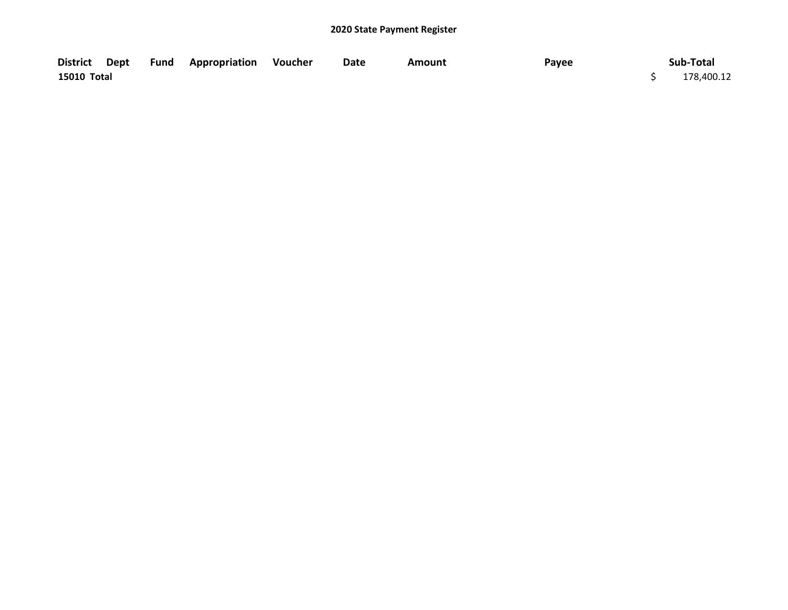|             |  | District Dept Fund Appropriation Voucher | Date | Amount | Payee | Sub-Total  |
|-------------|--|------------------------------------------|------|--------|-------|------------|
| 15010 Total |  |                                          |      |        |       | 178,400.12 |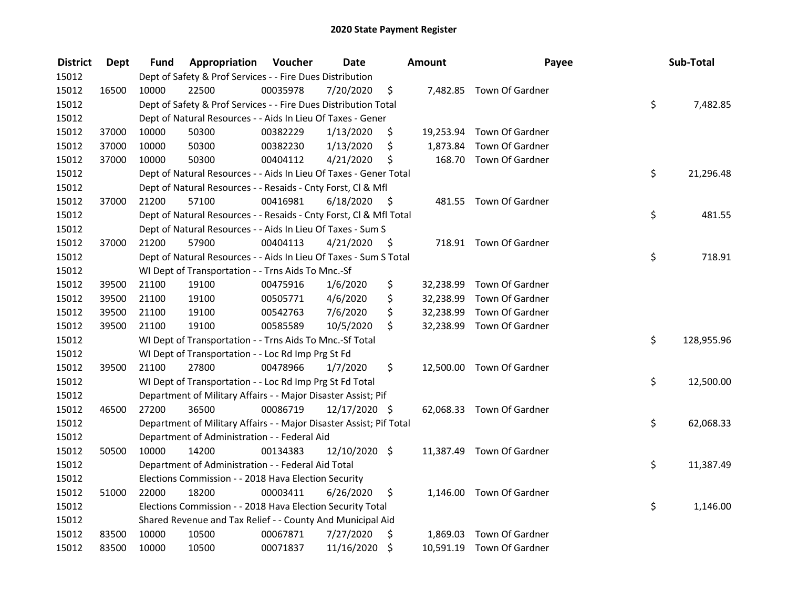| <b>District</b> | <b>Dept</b> | Fund  | Appropriation                                                       | Voucher  | <b>Date</b>   |         | Amount    | Payee                     | Sub-Total        |
|-----------------|-------------|-------|---------------------------------------------------------------------|----------|---------------|---------|-----------|---------------------------|------------------|
| 15012           |             |       | Dept of Safety & Prof Services - - Fire Dues Distribution           |          |               |         |           |                           |                  |
| 15012           | 16500       | 10000 | 22500                                                               | 00035978 | 7/20/2020     | \$      |           | 7,482.85 Town Of Gardner  |                  |
| 15012           |             |       | Dept of Safety & Prof Services - - Fire Dues Distribution Total     |          |               |         |           |                           | \$<br>7,482.85   |
| 15012           |             |       | Dept of Natural Resources - - Aids In Lieu Of Taxes - Gener         |          |               |         |           |                           |                  |
| 15012           | 37000       | 10000 | 50300                                                               | 00382229 | 1/13/2020     | \$      |           | 19,253.94 Town Of Gardner |                  |
| 15012           | 37000       | 10000 | 50300                                                               | 00382230 | 1/13/2020     | \$      | 1,873.84  | Town Of Gardner           |                  |
| 15012           | 37000       | 10000 | 50300                                                               | 00404112 | 4/21/2020     | \$      |           | 168.70 Town Of Gardner    |                  |
| 15012           |             |       | Dept of Natural Resources - - Aids In Lieu Of Taxes - Gener Total   |          |               |         |           |                           | \$<br>21,296.48  |
| 15012           |             |       | Dept of Natural Resources - - Resaids - Cnty Forst, Cl & Mfl        |          |               |         |           |                           |                  |
| 15012           | 37000       | 21200 | 57100                                                               | 00416981 | 6/18/2020     | - \$    |           | 481.55 Town Of Gardner    |                  |
| 15012           |             |       | Dept of Natural Resources - - Resaids - Cnty Forst, Cl & Mfl Total  |          |               |         |           |                           | \$<br>481.55     |
| 15012           |             |       | Dept of Natural Resources - - Aids In Lieu Of Taxes - Sum S         |          |               |         |           |                           |                  |
| 15012           | 37000       | 21200 | 57900                                                               | 00404113 | 4/21/2020     | -S      |           | 718.91 Town Of Gardner    |                  |
| 15012           |             |       | Dept of Natural Resources - - Aids In Lieu Of Taxes - Sum S Total   |          |               |         |           |                           | \$<br>718.91     |
| 15012           |             |       | WI Dept of Transportation - - Trns Aids To Mnc.-Sf                  |          |               |         |           |                           |                  |
| 15012           | 39500       | 21100 | 19100                                                               | 00475916 | 1/6/2020      | \$      | 32,238.99 | Town Of Gardner           |                  |
| 15012           | 39500       | 21100 | 19100                                                               | 00505771 | 4/6/2020      | \$      | 32,238.99 | Town Of Gardner           |                  |
| 15012           | 39500       | 21100 | 19100                                                               | 00542763 | 7/6/2020      | \$      | 32,238.99 | Town Of Gardner           |                  |
| 15012           | 39500       | 21100 | 19100                                                               | 00585589 | 10/5/2020     | \$      |           | 32,238.99 Town Of Gardner |                  |
| 15012           |             |       | WI Dept of Transportation - - Trns Aids To Mnc.-Sf Total            |          |               |         |           |                           | \$<br>128,955.96 |
| 15012           |             |       | WI Dept of Transportation - - Loc Rd Imp Prg St Fd                  |          |               |         |           |                           |                  |
| 15012           | 39500       | 21100 | 27800                                                               | 00478966 | 1/7/2020      | \$      |           | 12,500.00 Town Of Gardner |                  |
| 15012           |             |       | WI Dept of Transportation - - Loc Rd Imp Prg St Fd Total            |          |               |         |           |                           | \$<br>12,500.00  |
| 15012           |             |       | Department of Military Affairs - - Major Disaster Assist; Pif       |          |               |         |           |                           |                  |
| 15012           | 46500       | 27200 | 36500                                                               | 00086719 | 12/17/2020 \$ |         |           | 62,068.33 Town Of Gardner |                  |
| 15012           |             |       | Department of Military Affairs - - Major Disaster Assist; Pif Total |          |               |         |           |                           | \$<br>62,068.33  |
| 15012           |             |       | Department of Administration - - Federal Aid                        |          |               |         |           |                           |                  |
| 15012           | 50500       | 10000 | 14200                                                               | 00134383 | 12/10/2020 \$ |         |           | 11,387.49 Town Of Gardner |                  |
| 15012           |             |       | Department of Administration - - Federal Aid Total                  |          |               |         |           |                           | \$<br>11,387.49  |
| 15012           |             |       | Elections Commission - - 2018 Hava Election Security                |          |               |         |           |                           |                  |
| 15012           | 51000       | 22000 | 18200                                                               | 00003411 | 6/26/2020     | \$      |           | 1,146.00 Town Of Gardner  |                  |
| 15012           |             |       | Elections Commission - - 2018 Hava Election Security Total          |          |               |         |           |                           | \$<br>1,146.00   |
| 15012           |             |       | Shared Revenue and Tax Relief - - County And Municipal Aid          |          |               |         |           |                           |                  |
| 15012           | 83500       | 10000 | 10500                                                               | 00067871 | 7/27/2020     | \$      | 1,869.03  | Town Of Gardner           |                  |
| 15012           | 83500       | 10000 | 10500                                                               | 00071837 | 11/16/2020    | $\zeta$ |           | 10,591.19 Town Of Gardner |                  |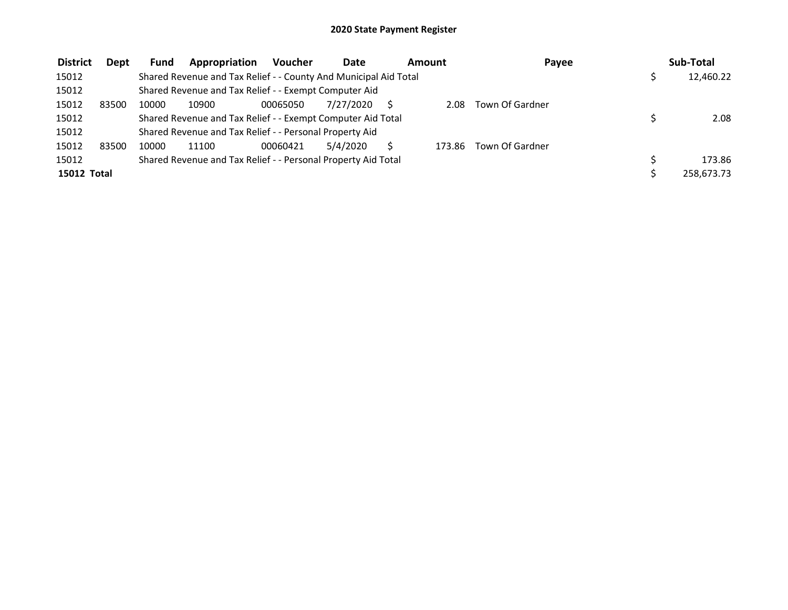| <b>District</b>    | Dept  | <b>Fund</b> | Appropriation                                                    | <b>Voucher</b> | <b>Date</b> | Amount |        | Payee           | Sub-Total  |
|--------------------|-------|-------------|------------------------------------------------------------------|----------------|-------------|--------|--------|-----------------|------------|
| 15012              |       |             | Shared Revenue and Tax Relief - - County And Municipal Aid Total |                |             |        |        |                 | 12,460.22  |
| 15012              |       |             | Shared Revenue and Tax Relief - - Exempt Computer Aid            |                |             |        |        |                 |            |
| 15012              | 83500 | 10000       | 10900                                                            | 00065050       | 7/27/2020   |        | 2.08   | Town Of Gardner |            |
| 15012              |       |             | Shared Revenue and Tax Relief - - Exempt Computer Aid Total      |                |             |        |        |                 | 2.08       |
| 15012              |       |             | Shared Revenue and Tax Relief - - Personal Property Aid          |                |             |        |        |                 |            |
| 15012              | 83500 | 10000       | 11100                                                            | 00060421       | 5/4/2020    |        | 173.86 | Town Of Gardner |            |
| 15012              |       |             | Shared Revenue and Tax Relief - - Personal Property Aid Total    |                |             |        |        |                 | 173.86     |
| <b>15012 Total</b> |       |             |                                                                  |                |             |        |        |                 | 258.673.73 |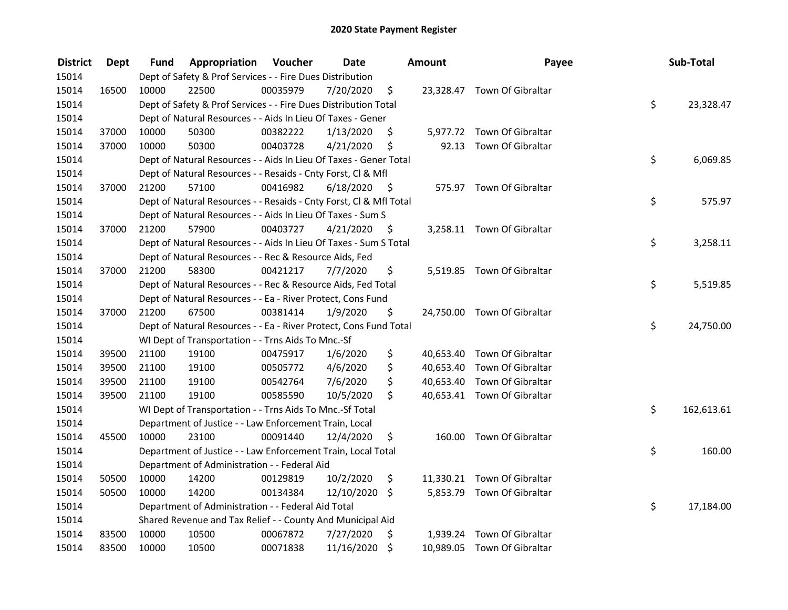| <b>District</b> | <b>Dept</b> | Fund  | Appropriation                                                      | Voucher  | <b>Date</b>   |      | <b>Amount</b> | Payee                       | Sub-Total        |
|-----------------|-------------|-------|--------------------------------------------------------------------|----------|---------------|------|---------------|-----------------------------|------------------|
| 15014           |             |       | Dept of Safety & Prof Services - - Fire Dues Distribution          |          |               |      |               |                             |                  |
| 15014           | 16500       | 10000 | 22500                                                              | 00035979 | 7/20/2020     | \$   |               | 23,328.47 Town Of Gibraltar |                  |
| 15014           |             |       | Dept of Safety & Prof Services - - Fire Dues Distribution Total    |          |               |      |               |                             | \$<br>23,328.47  |
| 15014           |             |       | Dept of Natural Resources - - Aids In Lieu Of Taxes - Gener        |          |               |      |               |                             |                  |
| 15014           | 37000       | 10000 | 50300                                                              | 00382222 | 1/13/2020     | \$   |               | 5,977.72 Town Of Gibraltar  |                  |
| 15014           | 37000       | 10000 | 50300                                                              | 00403728 | 4/21/2020     | \$   | 92.13         | Town Of Gibraltar           |                  |
| 15014           |             |       | Dept of Natural Resources - - Aids In Lieu Of Taxes - Gener Total  |          |               |      |               |                             | \$<br>6,069.85   |
| 15014           |             |       | Dept of Natural Resources - - Resaids - Cnty Forst, Cl & Mfl       |          |               |      |               |                             |                  |
| 15014           | 37000       | 21200 | 57100                                                              | 00416982 | 6/18/2020     | - \$ |               | 575.97 Town Of Gibraltar    |                  |
| 15014           |             |       | Dept of Natural Resources - - Resaids - Cnty Forst, Cl & Mfl Total |          |               |      |               |                             | \$<br>575.97     |
| 15014           |             |       | Dept of Natural Resources - - Aids In Lieu Of Taxes - Sum S        |          |               |      |               |                             |                  |
| 15014           | 37000       | 21200 | 57900                                                              | 00403727 | 4/21/2020     | -\$  |               | 3,258.11 Town Of Gibraltar  |                  |
| 15014           |             |       | Dept of Natural Resources - - Aids In Lieu Of Taxes - Sum S Total  |          |               |      |               |                             | \$<br>3,258.11   |
| 15014           |             |       | Dept of Natural Resources - - Rec & Resource Aids, Fed             |          |               |      |               |                             |                  |
| 15014           | 37000       | 21200 | 58300                                                              | 00421217 | 7/7/2020      | \$   |               | 5,519.85 Town Of Gibraltar  |                  |
| 15014           |             |       | Dept of Natural Resources - - Rec & Resource Aids, Fed Total       |          |               |      |               |                             | \$<br>5,519.85   |
| 15014           |             |       | Dept of Natural Resources - - Ea - River Protect, Cons Fund        |          |               |      |               |                             |                  |
| 15014           | 37000       | 21200 | 67500                                                              | 00381414 | 1/9/2020      | \$   |               | 24,750.00 Town Of Gibraltar |                  |
| 15014           |             |       | Dept of Natural Resources - - Ea - River Protect, Cons Fund Total  |          |               |      |               |                             | \$<br>24,750.00  |
| 15014           |             |       | WI Dept of Transportation - - Trns Aids To Mnc.-Sf                 |          |               |      |               |                             |                  |
| 15014           | 39500       | 21100 | 19100                                                              | 00475917 | 1/6/2020      | \$   |               | 40,653.40 Town Of Gibraltar |                  |
| 15014           | 39500       | 21100 | 19100                                                              | 00505772 | 4/6/2020      | \$   |               | 40,653.40 Town Of Gibraltar |                  |
| 15014           | 39500       | 21100 | 19100                                                              | 00542764 | 7/6/2020      | \$   |               | 40,653.40 Town Of Gibraltar |                  |
| 15014           | 39500       | 21100 | 19100                                                              | 00585590 | 10/5/2020     | \$   |               | 40,653.41 Town Of Gibraltar |                  |
| 15014           |             |       | WI Dept of Transportation - - Trns Aids To Mnc.-Sf Total           |          |               |      |               |                             | \$<br>162,613.61 |
| 15014           |             |       | Department of Justice - - Law Enforcement Train, Local             |          |               |      |               |                             |                  |
| 15014           | 45500       | 10000 | 23100                                                              | 00091440 | 12/4/2020     | \$   |               | 160.00 Town Of Gibraltar    |                  |
| 15014           |             |       | Department of Justice - - Law Enforcement Train, Local Total       |          |               |      |               |                             | \$<br>160.00     |
| 15014           |             |       | Department of Administration - - Federal Aid                       |          |               |      |               |                             |                  |
| 15014           | 50500       | 10000 | 14200                                                              | 00129819 | 10/2/2020     | \$   |               | 11,330.21 Town Of Gibraltar |                  |
| 15014           | 50500       | 10000 | 14200                                                              | 00134384 | 12/10/2020 \$ |      |               | 5,853.79 Town Of Gibraltar  |                  |
| 15014           |             |       | Department of Administration - - Federal Aid Total                 |          |               |      |               |                             | \$<br>17,184.00  |
| 15014           |             |       | Shared Revenue and Tax Relief - - County And Municipal Aid         |          |               |      |               |                             |                  |
| 15014           | 83500       | 10000 | 10500                                                              | 00067872 | 7/27/2020     | \$   | 1,939.24      | Town Of Gibraltar           |                  |
| 15014           | 83500       | 10000 | 10500                                                              | 00071838 | 11/16/2020    | \$   |               | 10,989.05 Town Of Gibraltar |                  |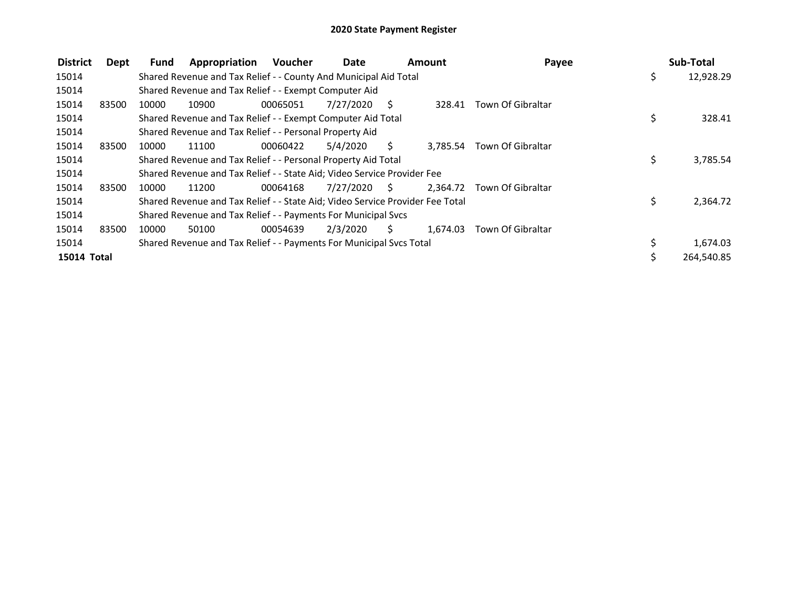| <b>District</b> | Dept  | Fund  | Appropriation                                                                 | Voucher  | Date      | <b>Amount</b> |          | Payee                      |    | Sub-Total  |
|-----------------|-------|-------|-------------------------------------------------------------------------------|----------|-----------|---------------|----------|----------------------------|----|------------|
| 15014           |       |       | Shared Revenue and Tax Relief - - County And Municipal Aid Total              |          |           |               |          |                            | \$ | 12,928.29  |
| 15014           |       |       | Shared Revenue and Tax Relief - - Exempt Computer Aid                         |          |           |               |          |                            |    |            |
| 15014           | 83500 | 10000 | 10900                                                                         | 00065051 | 7/27/2020 | - S           |          | 328.41 Town Of Gibraltar   |    |            |
| 15014           |       |       | Shared Revenue and Tax Relief - - Exempt Computer Aid Total                   |          |           |               |          |                            | \$ | 328.41     |
| 15014           |       |       | Shared Revenue and Tax Relief - - Personal Property Aid                       |          |           |               |          |                            |    |            |
| 15014           | 83500 | 10000 | 11100                                                                         | 00060422 | 5/4/2020  | S.            | 3.785.54 | Town Of Gibraltar          |    |            |
| 15014           |       |       | Shared Revenue and Tax Relief - - Personal Property Aid Total                 |          |           |               |          |                            | \$ | 3,785.54   |
| 15014           |       |       | Shared Revenue and Tax Relief - - State Aid; Video Service Provider Fee       |          |           |               |          |                            |    |            |
| 15014           | 83500 | 10000 | 11200                                                                         | 00064168 | 7/27/2020 | - S           |          | 2.364.72 Town Of Gibraltar |    |            |
| 15014           |       |       | Shared Revenue and Tax Relief - - State Aid; Video Service Provider Fee Total |          |           |               |          |                            | \$ | 2,364.72   |
| 15014           |       |       | Shared Revenue and Tax Relief - - Payments For Municipal Svcs                 |          |           |               |          |                            |    |            |
| 15014           | 83500 | 10000 | 50100                                                                         | 00054639 | 2/3/2020  | S.            | 1.674.03 | Town Of Gibraltar          |    |            |
| 15014           |       |       | Shared Revenue and Tax Relief - - Payments For Municipal Svcs Total           |          |           |               |          |                            |    | 1,674.03   |
| 15014 Total     |       |       |                                                                               |          |           |               |          |                            | Ś. | 264,540.85 |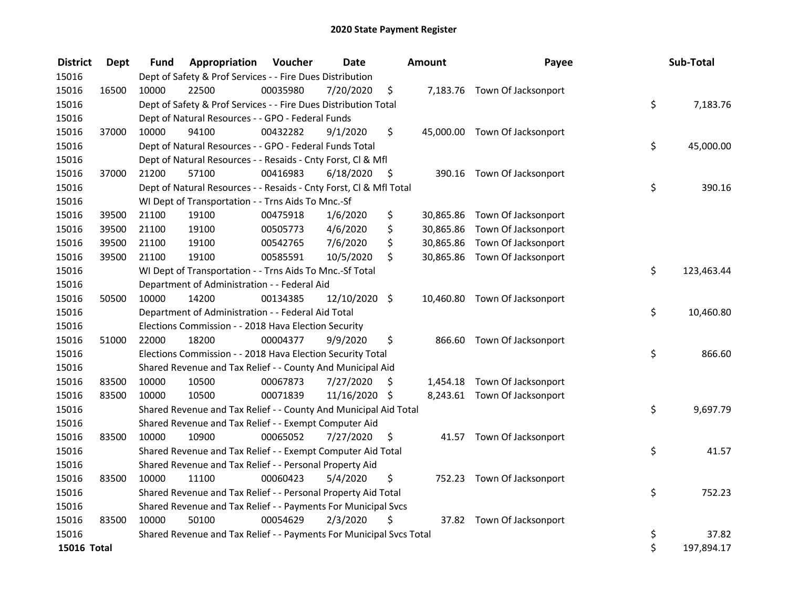| <b>District</b> | <b>Dept</b> | Fund  | Appropriation                                                       | Voucher  | <b>Date</b>   |      | <b>Amount</b> | Payee                         | Sub-Total        |
|-----------------|-------------|-------|---------------------------------------------------------------------|----------|---------------|------|---------------|-------------------------------|------------------|
| 15016           |             |       | Dept of Safety & Prof Services - - Fire Dues Distribution           |          |               |      |               |                               |                  |
| 15016           | 16500       | 10000 | 22500                                                               | 00035980 | 7/20/2020     | \$   |               | 7,183.76 Town Of Jacksonport  |                  |
| 15016           |             |       | Dept of Safety & Prof Services - - Fire Dues Distribution Total     |          |               |      |               |                               | \$<br>7,183.76   |
| 15016           |             |       | Dept of Natural Resources - - GPO - Federal Funds                   |          |               |      |               |                               |                  |
| 15016           | 37000       | 10000 | 94100                                                               | 00432282 | 9/1/2020      | \$   |               | 45,000.00 Town Of Jacksonport |                  |
| 15016           |             |       | Dept of Natural Resources - - GPO - Federal Funds Total             |          |               |      |               |                               | \$<br>45,000.00  |
| 15016           |             |       | Dept of Natural Resources - - Resaids - Cnty Forst, Cl & Mfl        |          |               |      |               |                               |                  |
| 15016           | 37000       | 21200 | 57100                                                               | 00416983 | 6/18/2020     | - \$ |               | 390.16 Town Of Jacksonport    |                  |
| 15016           |             |       | Dept of Natural Resources - - Resaids - Cnty Forst, Cl & Mfl Total  |          |               |      |               |                               | \$<br>390.16     |
| 15016           |             |       | WI Dept of Transportation - - Trns Aids To Mnc.-Sf                  |          |               |      |               |                               |                  |
| 15016           | 39500       | 21100 | 19100                                                               | 00475918 | 1/6/2020      | \$   |               | 30,865.86 Town Of Jacksonport |                  |
| 15016           | 39500       | 21100 | 19100                                                               | 00505773 | 4/6/2020      | \$   | 30,865.86     | Town Of Jacksonport           |                  |
| 15016           | 39500       | 21100 | 19100                                                               | 00542765 | 7/6/2020      | \$   | 30,865.86     | Town Of Jacksonport           |                  |
| 15016           | 39500       | 21100 | 19100                                                               | 00585591 | 10/5/2020     | \$   |               | 30,865.86 Town Of Jacksonport |                  |
| 15016           |             |       | WI Dept of Transportation - - Trns Aids To Mnc.-Sf Total            |          |               |      |               |                               | \$<br>123,463.44 |
| 15016           |             |       | Department of Administration - - Federal Aid                        |          |               |      |               |                               |                  |
| 15016           | 50500       | 10000 | 14200                                                               | 00134385 | 12/10/2020 \$ |      |               | 10,460.80 Town Of Jacksonport |                  |
| 15016           |             |       | Department of Administration - - Federal Aid Total                  |          |               |      |               |                               | \$<br>10,460.80  |
| 15016           |             |       | Elections Commission - - 2018 Hava Election Security                |          |               |      |               |                               |                  |
| 15016           | 51000       | 22000 | 18200                                                               | 00004377 | 9/9/2020      | \$   |               | 866.60 Town Of Jacksonport    |                  |
| 15016           |             |       | Elections Commission - - 2018 Hava Election Security Total          |          |               |      |               |                               | \$<br>866.60     |
| 15016           |             |       | Shared Revenue and Tax Relief - - County And Municipal Aid          |          |               |      |               |                               |                  |
| 15016           | 83500       | 10000 | 10500                                                               | 00067873 | 7/27/2020     | \$   |               | 1,454.18 Town Of Jacksonport  |                  |
| 15016           | 83500       | 10000 | 10500                                                               | 00071839 | 11/16/2020 \$ |      |               | 8,243.61 Town Of Jacksonport  |                  |
| 15016           |             |       | Shared Revenue and Tax Relief - - County And Municipal Aid Total    |          |               |      |               |                               | \$<br>9,697.79   |
| 15016           |             |       | Shared Revenue and Tax Relief - - Exempt Computer Aid               |          |               |      |               |                               |                  |
| 15016           | 83500       | 10000 | 10900                                                               | 00065052 | 7/27/2020     | \$   |               | 41.57 Town Of Jacksonport     |                  |
| 15016           |             |       | Shared Revenue and Tax Relief - - Exempt Computer Aid Total         |          |               |      |               |                               | \$<br>41.57      |
| 15016           |             |       | Shared Revenue and Tax Relief - - Personal Property Aid             |          |               |      |               |                               |                  |
| 15016           | 83500       | 10000 | 11100                                                               | 00060423 | 5/4/2020      | \$   |               | 752.23 Town Of Jacksonport    |                  |
| 15016           |             |       | Shared Revenue and Tax Relief - - Personal Property Aid Total       |          |               |      |               |                               | \$<br>752.23     |
| 15016           |             |       | Shared Revenue and Tax Relief - - Payments For Municipal Svcs       |          |               |      |               |                               |                  |
| 15016           | 83500       | 10000 | 50100                                                               | 00054629 | 2/3/2020      | \$   |               | 37.82 Town Of Jacksonport     |                  |
| 15016           |             |       | Shared Revenue and Tax Relief - - Payments For Municipal Svcs Total |          |               |      |               |                               | \$<br>37.82      |
| 15016 Total     |             |       |                                                                     |          |               |      |               |                               | \$<br>197,894.17 |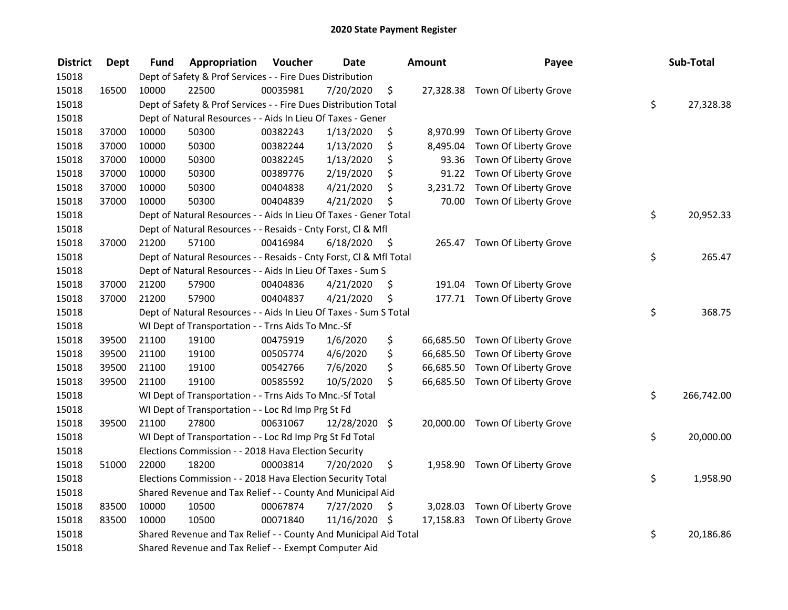| <b>District</b> | <b>Dept</b> | Fund  | Appropriation                                                      | Voucher  | <b>Date</b>   |      | <b>Amount</b> | Payee                           | Sub-Total        |
|-----------------|-------------|-------|--------------------------------------------------------------------|----------|---------------|------|---------------|---------------------------------|------------------|
| 15018           |             |       | Dept of Safety & Prof Services - - Fire Dues Distribution          |          |               |      |               |                                 |                  |
| 15018           | 16500       | 10000 | 22500                                                              | 00035981 | 7/20/2020     | \$   |               | 27,328.38 Town Of Liberty Grove |                  |
| 15018           |             |       | Dept of Safety & Prof Services - - Fire Dues Distribution Total    |          |               |      |               |                                 | \$<br>27,328.38  |
| 15018           |             |       | Dept of Natural Resources - - Aids In Lieu Of Taxes - Gener        |          |               |      |               |                                 |                  |
| 15018           | 37000       | 10000 | 50300                                                              | 00382243 | 1/13/2020     | \$   |               | 8,970.99 Town Of Liberty Grove  |                  |
| 15018           | 37000       | 10000 | 50300                                                              | 00382244 | 1/13/2020     | \$   | 8,495.04      | Town Of Liberty Grove           |                  |
| 15018           | 37000       | 10000 | 50300                                                              | 00382245 | 1/13/2020     | \$   | 93.36         | Town Of Liberty Grove           |                  |
| 15018           | 37000       | 10000 | 50300                                                              | 00389776 | 2/19/2020     | \$   | 91.22         | Town Of Liberty Grove           |                  |
| 15018           | 37000       | 10000 | 50300                                                              | 00404838 | 4/21/2020     | \$   |               | 3,231.72 Town Of Liberty Grove  |                  |
| 15018           | 37000       | 10000 | 50300                                                              | 00404839 | 4/21/2020     | \$   | 70.00         | Town Of Liberty Grove           |                  |
| 15018           |             |       | Dept of Natural Resources - - Aids In Lieu Of Taxes - Gener Total  |          |               |      |               |                                 | \$<br>20,952.33  |
| 15018           |             |       | Dept of Natural Resources - - Resaids - Cnty Forst, CI & Mfl       |          |               |      |               |                                 |                  |
| 15018           | 37000       | 21200 | 57100                                                              | 00416984 | 6/18/2020     | - \$ |               | 265.47 Town Of Liberty Grove    |                  |
| 15018           |             |       | Dept of Natural Resources - - Resaids - Cnty Forst, Cl & Mfl Total |          |               |      |               |                                 | \$<br>265.47     |
| 15018           |             |       | Dept of Natural Resources - - Aids In Lieu Of Taxes - Sum S        |          |               |      |               |                                 |                  |
| 15018           | 37000       | 21200 | 57900                                                              | 00404836 | 4/21/2020     | \$   | 191.04        | Town Of Liberty Grove           |                  |
| 15018           | 37000       | 21200 | 57900                                                              | 00404837 | 4/21/2020     | \$   |               | 177.71 Town Of Liberty Grove    |                  |
| 15018           |             |       | Dept of Natural Resources - - Aids In Lieu Of Taxes - Sum S Total  |          |               |      |               |                                 | \$<br>368.75     |
| 15018           |             |       | WI Dept of Transportation - - Trns Aids To Mnc.-Sf                 |          |               |      |               |                                 |                  |
| 15018           | 39500       | 21100 | 19100                                                              | 00475919 | 1/6/2020      | \$   |               | 66,685.50 Town Of Liberty Grove |                  |
| 15018           | 39500       | 21100 | 19100                                                              | 00505774 | 4/6/2020      | \$   | 66,685.50     | Town Of Liberty Grove           |                  |
| 15018           | 39500       | 21100 | 19100                                                              | 00542766 | 7/6/2020      | \$   | 66,685.50     | Town Of Liberty Grove           |                  |
| 15018           | 39500       | 21100 | 19100                                                              | 00585592 | 10/5/2020     | \$   |               | 66,685.50 Town Of Liberty Grove |                  |
| 15018           |             |       | WI Dept of Transportation - - Trns Aids To Mnc.-Sf Total           |          |               |      |               |                                 | \$<br>266,742.00 |
| 15018           |             |       | WI Dept of Transportation - - Loc Rd Imp Prg St Fd                 |          |               |      |               |                                 |                  |
| 15018           | 39500       | 21100 | 27800                                                              | 00631067 | 12/28/2020 \$ |      |               | 20,000.00 Town Of Liberty Grove |                  |
| 15018           |             |       | WI Dept of Transportation - - Loc Rd Imp Prg St Fd Total           |          |               |      |               |                                 | \$<br>20,000.00  |
| 15018           |             |       | Elections Commission - - 2018 Hava Election Security               |          |               |      |               |                                 |                  |
| 15018           | 51000       | 22000 | 18200                                                              | 00003814 | 7/20/2020     | \$   |               | 1,958.90 Town Of Liberty Grove  |                  |
| 15018           |             |       | Elections Commission - - 2018 Hava Election Security Total         |          |               |      |               |                                 | \$<br>1,958.90   |
| 15018           |             |       | Shared Revenue and Tax Relief - - County And Municipal Aid         |          |               |      |               |                                 |                  |
| 15018           | 83500       | 10000 | 10500                                                              | 00067874 | 7/27/2020     | \$   |               | 3,028.03 Town Of Liberty Grove  |                  |
| 15018           | 83500       | 10000 | 10500                                                              | 00071840 | 11/16/2020 \$ |      |               | 17,158.83 Town Of Liberty Grove |                  |
| 15018           |             |       | Shared Revenue and Tax Relief - - County And Municipal Aid Total   |          |               |      |               |                                 | \$<br>20,186.86  |
| 15018           |             |       | Shared Revenue and Tax Relief - - Exempt Computer Aid              |          |               |      |               |                                 |                  |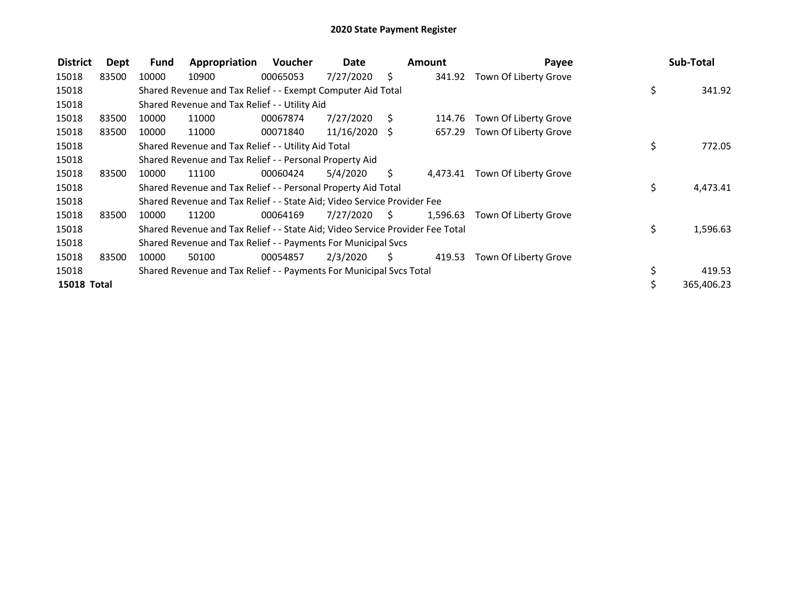| <b>District</b>    | Dept  | <b>Fund</b> | Appropriation                                                                 | <b>Voucher</b> | Date            |      | <b>Amount</b> | Payee                          | Sub-Total      |
|--------------------|-------|-------------|-------------------------------------------------------------------------------|----------------|-----------------|------|---------------|--------------------------------|----------------|
| 15018              | 83500 | 10000       | 10900                                                                         | 00065053       | 7/27/2020       | Ŝ.   | 341.92        | Town Of Liberty Grove          |                |
| 15018              |       |             | Shared Revenue and Tax Relief - - Exempt Computer Aid Total                   |                |                 |      |               |                                | \$<br>341.92   |
| 15018              |       |             | Shared Revenue and Tax Relief - - Utility Aid                                 |                |                 |      |               |                                |                |
| 15018              | 83500 | 10000       | 11000                                                                         | 00067874       | 7/27/2020       | S.   | 114.76        | Town Of Liberty Grove          |                |
| 15018              | 83500 | 10000       | 11000                                                                         | 00071840       | $11/16/2020$ \$ |      | 657.29        | Town Of Liberty Grove          |                |
| 15018              |       |             | Shared Revenue and Tax Relief - - Utility Aid Total                           |                |                 |      |               |                                | \$<br>772.05   |
| 15018              |       |             | Shared Revenue and Tax Relief - - Personal Property Aid                       |                |                 |      |               |                                |                |
| 15018              | 83500 | 10000       | 11100                                                                         | 00060424       | 5/4/2020        | S.   |               | 4,473.41 Town Of Liberty Grove |                |
| 15018              |       |             | Shared Revenue and Tax Relief - - Personal Property Aid Total                 |                |                 |      |               |                                | \$<br>4,473.41 |
| 15018              |       |             | Shared Revenue and Tax Relief - - State Aid; Video Service Provider Fee       |                |                 |      |               |                                |                |
| 15018              | 83500 | 10000       | 11200                                                                         | 00064169       | 7/27/2020       | - \$ | 1,596.63      | Town Of Liberty Grove          |                |
| 15018              |       |             | Shared Revenue and Tax Relief - - State Aid; Video Service Provider Fee Total |                |                 |      |               |                                | \$<br>1,596.63 |
| 15018              |       |             | Shared Revenue and Tax Relief - - Payments For Municipal Svcs                 |                |                 |      |               |                                |                |
| 15018              | 83500 | 10000       | 50100                                                                         | 00054857       | 2/3/2020        | S    | 419.53        | Town Of Liberty Grove          |                |
| 15018              |       |             | Shared Revenue and Tax Relief - - Payments For Municipal Svcs Total           |                |                 |      |               |                                | 419.53         |
| <b>15018 Total</b> |       |             |                                                                               |                |                 |      |               |                                | 365,406.23     |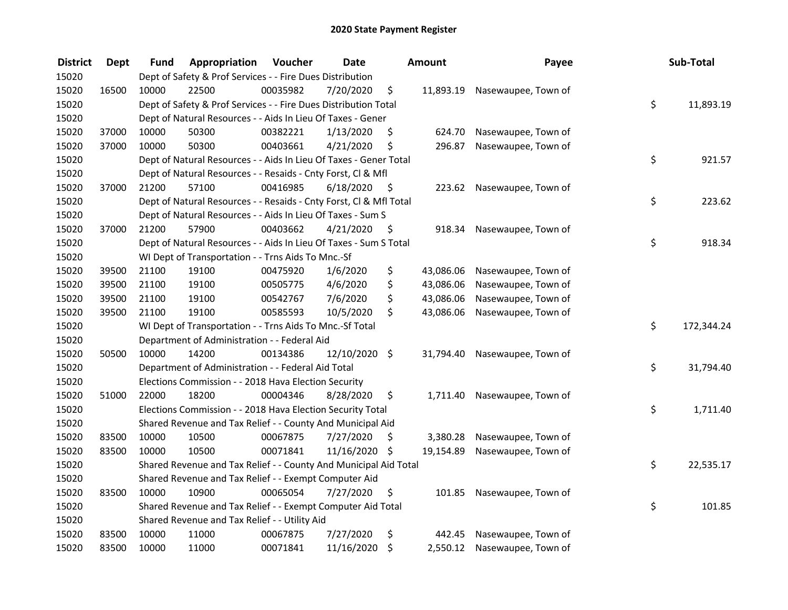| <b>District</b> | <b>Dept</b> | Fund  | Appropriation                                                      | Voucher  | <b>Date</b>   |      | Amount    | Payee                         | Sub-Total        |
|-----------------|-------------|-------|--------------------------------------------------------------------|----------|---------------|------|-----------|-------------------------------|------------------|
| 15020           |             |       | Dept of Safety & Prof Services - - Fire Dues Distribution          |          |               |      |           |                               |                  |
| 15020           | 16500       | 10000 | 22500                                                              | 00035982 | 7/20/2020     | \$   |           | 11,893.19 Nasewaupee, Town of |                  |
| 15020           |             |       | Dept of Safety & Prof Services - - Fire Dues Distribution Total    |          |               |      |           |                               | \$<br>11,893.19  |
| 15020           |             |       | Dept of Natural Resources - - Aids In Lieu Of Taxes - Gener        |          |               |      |           |                               |                  |
| 15020           | 37000       | 10000 | 50300                                                              | 00382221 | 1/13/2020     | \$   | 624.70    | Nasewaupee, Town of           |                  |
| 15020           | 37000       | 10000 | 50300                                                              | 00403661 | 4/21/2020     | \$   | 296.87    | Nasewaupee, Town of           |                  |
| 15020           |             |       | Dept of Natural Resources - - Aids In Lieu Of Taxes - Gener Total  |          |               |      |           |                               | \$<br>921.57     |
| 15020           |             |       | Dept of Natural Resources - - Resaids - Cnty Forst, Cl & Mfl       |          |               |      |           |                               |                  |
| 15020           | 37000       | 21200 | 57100                                                              | 00416985 | 6/18/2020     | - \$ |           | 223.62 Nasewaupee, Town of    |                  |
| 15020           |             |       | Dept of Natural Resources - - Resaids - Cnty Forst, Cl & Mfl Total |          |               |      |           |                               | \$<br>223.62     |
| 15020           |             |       | Dept of Natural Resources - - Aids In Lieu Of Taxes - Sum S        |          |               |      |           |                               |                  |
| 15020           | 37000       | 21200 | 57900                                                              | 00403662 | 4/21/2020     | -\$  | 918.34    | Nasewaupee, Town of           |                  |
| 15020           |             |       | Dept of Natural Resources - - Aids In Lieu Of Taxes - Sum S Total  |          |               |      |           |                               | \$<br>918.34     |
| 15020           |             |       | WI Dept of Transportation - - Trns Aids To Mnc.-Sf                 |          |               |      |           |                               |                  |
| 15020           | 39500       | 21100 | 19100                                                              | 00475920 | 1/6/2020      | \$   | 43,086.06 | Nasewaupee, Town of           |                  |
| 15020           | 39500       | 21100 | 19100                                                              | 00505775 | 4/6/2020      | \$   | 43,086.06 | Nasewaupee, Town of           |                  |
| 15020           | 39500       | 21100 | 19100                                                              | 00542767 | 7/6/2020      | \$   | 43,086.06 | Nasewaupee, Town of           |                  |
| 15020           | 39500       | 21100 | 19100                                                              | 00585593 | 10/5/2020     | \$   | 43,086.06 | Nasewaupee, Town of           |                  |
| 15020           |             |       | WI Dept of Transportation - - Trns Aids To Mnc.-Sf Total           |          |               |      |           |                               | \$<br>172,344.24 |
| 15020           |             |       | Department of Administration - - Federal Aid                       |          |               |      |           |                               |                  |
| 15020           | 50500       | 10000 | 14200                                                              | 00134386 | 12/10/2020 \$ |      | 31,794.40 | Nasewaupee, Town of           |                  |
| 15020           |             |       | Department of Administration - - Federal Aid Total                 |          |               |      |           |                               | \$<br>31,794.40  |
| 15020           |             |       | Elections Commission - - 2018 Hava Election Security               |          |               |      |           |                               |                  |
| 15020           | 51000       | 22000 | 18200                                                              | 00004346 | 8/28/2020     | \$.  |           | 1,711.40 Nasewaupee, Town of  |                  |
| 15020           |             |       | Elections Commission - - 2018 Hava Election Security Total         |          |               |      |           |                               | \$<br>1,711.40   |
| 15020           |             |       | Shared Revenue and Tax Relief - - County And Municipal Aid         |          |               |      |           |                               |                  |
| 15020           | 83500       | 10000 | 10500                                                              | 00067875 | 7/27/2020     | \$   | 3,380.28  | Nasewaupee, Town of           |                  |
| 15020           | 83500       | 10000 | 10500                                                              | 00071841 | 11/16/2020 \$ |      | 19,154.89 | Nasewaupee, Town of           |                  |
| 15020           |             |       | Shared Revenue and Tax Relief - - County And Municipal Aid Total   |          |               |      |           |                               | \$<br>22,535.17  |
| 15020           |             |       | Shared Revenue and Tax Relief - - Exempt Computer Aid              |          |               |      |           |                               |                  |
| 15020           | 83500       | 10000 | 10900                                                              | 00065054 | 7/27/2020     | \$   | 101.85    | Nasewaupee, Town of           |                  |
| 15020           |             |       | Shared Revenue and Tax Relief - - Exempt Computer Aid Total        |          |               |      |           |                               | \$<br>101.85     |
| 15020           |             |       | Shared Revenue and Tax Relief - - Utility Aid                      |          |               |      |           |                               |                  |
| 15020           | 83500       | 10000 | 11000                                                              | 00067875 | 7/27/2020     | \$   | 442.45    | Nasewaupee, Town of           |                  |
| 15020           | 83500       | 10000 | 11000                                                              | 00071841 | 11/16/2020    | \$   |           | 2,550.12 Nasewaupee, Town of  |                  |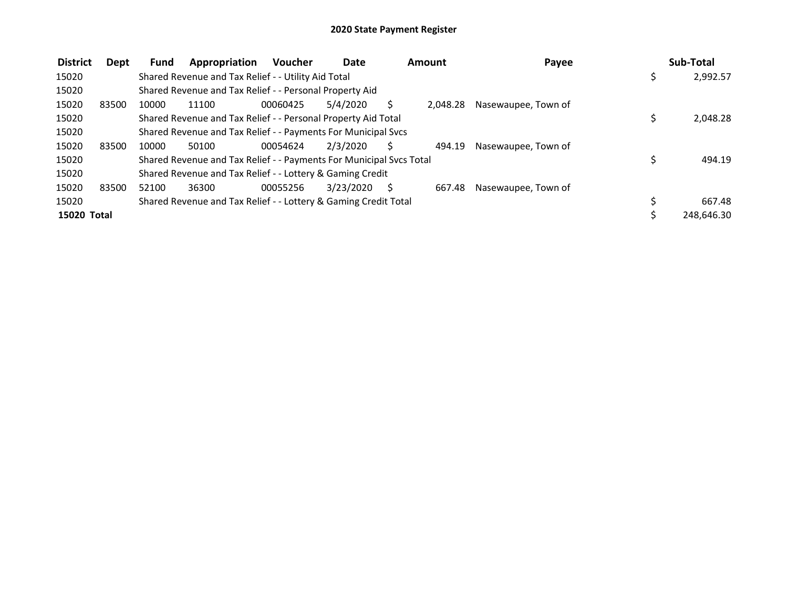| <b>District</b> | Dept  | <b>Fund</b> | Appropriation                                                       | <b>Voucher</b> | Date      | Amount |          | Payee               | Sub-Total  |
|-----------------|-------|-------------|---------------------------------------------------------------------|----------------|-----------|--------|----------|---------------------|------------|
| 15020           |       |             | Shared Revenue and Tax Relief - - Utility Aid Total                 |                |           |        |          |                     | 2,992.57   |
| 15020           |       |             | Shared Revenue and Tax Relief - - Personal Property Aid             |                |           |        |          |                     |            |
| 15020           | 83500 | 10000       | 11100                                                               | 00060425       | 5/4/2020  |        | 2.048.28 | Nasewaupee, Town of |            |
| 15020           |       |             | Shared Revenue and Tax Relief - - Personal Property Aid Total       |                |           |        |          |                     | 2.048.28   |
| 15020           |       |             | Shared Revenue and Tax Relief - - Payments For Municipal Svcs       |                |           |        |          |                     |            |
| 15020           | 83500 | 10000       | 50100                                                               | 00054624       | 2/3/2020  | Ś      | 494.19   | Nasewaupee, Town of |            |
| 15020           |       |             | Shared Revenue and Tax Relief - - Payments For Municipal Svcs Total |                |           |        |          |                     | 494.19     |
| 15020           |       |             | Shared Revenue and Tax Relief - - Lottery & Gaming Credit           |                |           |        |          |                     |            |
| 15020           | 83500 | 52100       | 36300                                                               | 00055256       | 3/23/2020 | S      | 667.48   | Nasewaupee, Town of |            |
| 15020           |       |             | Shared Revenue and Tax Relief - - Lottery & Gaming Credit Total     |                |           |        |          |                     | 667.48     |
| 15020 Total     |       |             |                                                                     |                |           |        |          |                     | 248,646.30 |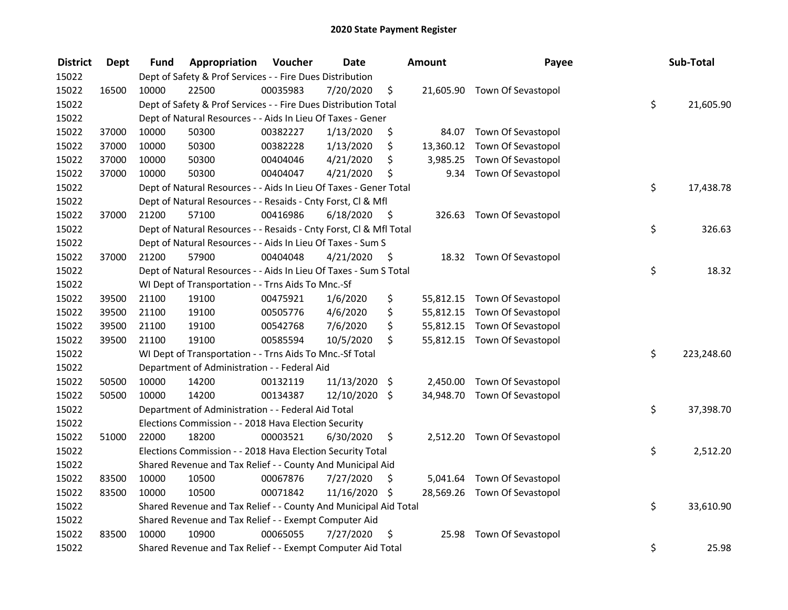| <b>District</b> | <b>Dept</b> | Fund  | Appropriation                                                      | Voucher  | <b>Date</b>   |         | <b>Amount</b> | Payee                        | Sub-Total        |
|-----------------|-------------|-------|--------------------------------------------------------------------|----------|---------------|---------|---------------|------------------------------|------------------|
| 15022           |             |       | Dept of Safety & Prof Services - - Fire Dues Distribution          |          |               |         |               |                              |                  |
| 15022           | 16500       | 10000 | 22500                                                              | 00035983 | 7/20/2020     | \$      |               | 21,605.90 Town Of Sevastopol |                  |
| 15022           |             |       | Dept of Safety & Prof Services - - Fire Dues Distribution Total    |          |               |         |               |                              | \$<br>21,605.90  |
| 15022           |             |       | Dept of Natural Resources - - Aids In Lieu Of Taxes - Gener        |          |               |         |               |                              |                  |
| 15022           | 37000       | 10000 | 50300                                                              | 00382227 | 1/13/2020     | \$      | 84.07         | Town Of Sevastopol           |                  |
| 15022           | 37000       | 10000 | 50300                                                              | 00382228 | 1/13/2020     | \$      | 13,360.12     | Town Of Sevastopol           |                  |
| 15022           | 37000       | 10000 | 50300                                                              | 00404046 | 4/21/2020     | \$      | 3,985.25      | Town Of Sevastopol           |                  |
| 15022           | 37000       | 10000 | 50300                                                              | 00404047 | 4/21/2020     | \$      | 9.34          | Town Of Sevastopol           |                  |
| 15022           |             |       | Dept of Natural Resources - - Aids In Lieu Of Taxes - Gener Total  |          |               |         |               |                              | \$<br>17,438.78  |
| 15022           |             |       | Dept of Natural Resources - - Resaids - Cnty Forst, Cl & Mfl       |          |               |         |               |                              |                  |
| 15022           | 37000       | 21200 | 57100                                                              | 00416986 | 6/18/2020     | - \$    |               | 326.63 Town Of Sevastopol    |                  |
| 15022           |             |       | Dept of Natural Resources - - Resaids - Cnty Forst, Cl & Mfl Total |          |               |         |               |                              | \$<br>326.63     |
| 15022           |             |       | Dept of Natural Resources - - Aids In Lieu Of Taxes - Sum S        |          |               |         |               |                              |                  |
| 15022           | 37000       | 21200 | 57900                                                              | 00404048 | 4/21/2020     | \$.     |               | 18.32 Town Of Sevastopol     |                  |
| 15022           |             |       | Dept of Natural Resources - - Aids In Lieu Of Taxes - Sum S Total  |          |               |         |               |                              | \$<br>18.32      |
| 15022           |             |       | WI Dept of Transportation - - Trns Aids To Mnc.-Sf                 |          |               |         |               |                              |                  |
| 15022           | 39500       | 21100 | 19100                                                              | 00475921 | 1/6/2020      | \$      | 55,812.15     | Town Of Sevastopol           |                  |
| 15022           | 39500       | 21100 | 19100                                                              | 00505776 | 4/6/2020      | \$      | 55,812.15     | Town Of Sevastopol           |                  |
| 15022           | 39500       | 21100 | 19100                                                              | 00542768 | 7/6/2020      | \$      |               | 55,812.15 Town Of Sevastopol |                  |
| 15022           | 39500       | 21100 | 19100                                                              | 00585594 | 10/5/2020     | \$      |               | 55,812.15 Town Of Sevastopol |                  |
| 15022           |             |       | WI Dept of Transportation - - Trns Aids To Mnc.-Sf Total           |          |               |         |               |                              | \$<br>223,248.60 |
| 15022           |             |       | Department of Administration - - Federal Aid                       |          |               |         |               |                              |                  |
| 15022           | 50500       | 10000 | 14200                                                              | 00132119 | 11/13/2020    | \$      | 2,450.00      | Town Of Sevastopol           |                  |
| 15022           | 50500       | 10000 | 14200                                                              | 00134387 | 12/10/2020    | $\zeta$ |               | 34,948.70 Town Of Sevastopol |                  |
| 15022           |             |       | Department of Administration - - Federal Aid Total                 |          |               |         |               |                              | \$<br>37,398.70  |
| 15022           |             |       | Elections Commission - - 2018 Hava Election Security               |          |               |         |               |                              |                  |
| 15022           | 51000       | 22000 | 18200                                                              | 00003521 | 6/30/2020     | \$      |               | 2,512.20 Town Of Sevastopol  |                  |
| 15022           |             |       | Elections Commission - - 2018 Hava Election Security Total         |          |               |         |               |                              | \$<br>2,512.20   |
| 15022           |             |       | Shared Revenue and Tax Relief - - County And Municipal Aid         |          |               |         |               |                              |                  |
| 15022           | 83500       | 10000 | 10500                                                              | 00067876 | 7/27/2020     | \$      |               | 5,041.64 Town Of Sevastopol  |                  |
| 15022           | 83500       | 10000 | 10500                                                              | 00071842 | 11/16/2020 \$ |         |               | 28,569.26 Town Of Sevastopol |                  |
| 15022           |             |       | Shared Revenue and Tax Relief - - County And Municipal Aid Total   |          |               |         |               |                              | \$<br>33,610.90  |
| 15022           |             |       | Shared Revenue and Tax Relief - - Exempt Computer Aid              |          |               |         |               |                              |                  |
| 15022           | 83500       | 10000 | 10900                                                              | 00065055 | 7/27/2020     | \$      | 25.98         | Town Of Sevastopol           |                  |
| 15022           |             |       | Shared Revenue and Tax Relief - - Exempt Computer Aid Total        |          |               |         |               |                              | \$<br>25.98      |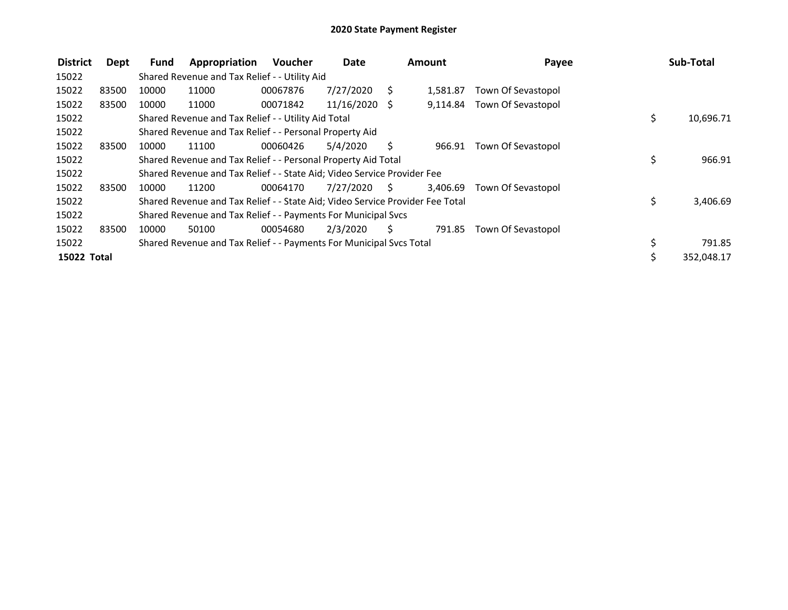| <b>District</b> | Dept  | Fund  | Appropriation                                                                 | <b>Voucher</b> | <b>Date</b><br><b>Amount</b> |    | Payee    | Sub-Total          |                 |
|-----------------|-------|-------|-------------------------------------------------------------------------------|----------------|------------------------------|----|----------|--------------------|-----------------|
| 15022           |       |       | Shared Revenue and Tax Relief - - Utility Aid                                 |                |                              |    |          |                    |                 |
| 15022           | 83500 | 10000 | 11000                                                                         | 00067876       | 7/27/2020                    | S  | 1.581.87 | Town Of Sevastopol |                 |
| 15022           | 83500 | 10000 | 11000                                                                         | 00071842       | 11/16/2020 \$                |    | 9,114.84 | Town Of Sevastopol |                 |
| 15022           |       |       | Shared Revenue and Tax Relief - - Utility Aid Total                           |                |                              |    |          |                    | \$<br>10,696.71 |
| 15022           |       |       | Shared Revenue and Tax Relief - - Personal Property Aid                       |                |                              |    |          |                    |                 |
| 15022           | 83500 | 10000 | 11100                                                                         | 00060426       | 5/4/2020                     | Ś  | 966.91   | Town Of Sevastopol |                 |
| 15022           |       |       | Shared Revenue and Tax Relief - - Personal Property Aid Total                 |                |                              |    |          |                    | \$<br>966.91    |
| 15022           |       |       | Shared Revenue and Tax Relief - - State Aid; Video Service Provider Fee       |                |                              |    |          |                    |                 |
| 15022           | 83500 | 10000 | 11200                                                                         | 00064170       | 7/27/2020                    | S. | 3,406.69 | Town Of Sevastopol |                 |
| 15022           |       |       | Shared Revenue and Tax Relief - - State Aid; Video Service Provider Fee Total |                |                              |    |          |                    | \$<br>3,406.69  |
| 15022           |       |       | Shared Revenue and Tax Relief - - Payments For Municipal Svcs                 |                |                              |    |          |                    |                 |
| 15022           | 83500 | 10000 | 50100                                                                         | 00054680       | 2/3/2020                     | Ś  | 791.85   | Town Of Sevastopol |                 |
| 15022           |       |       | Shared Revenue and Tax Relief - - Payments For Municipal Svcs Total           |                |                              |    |          |                    | 791.85          |
| 15022 Total     |       |       |                                                                               |                |                              |    |          |                    | 352,048.17      |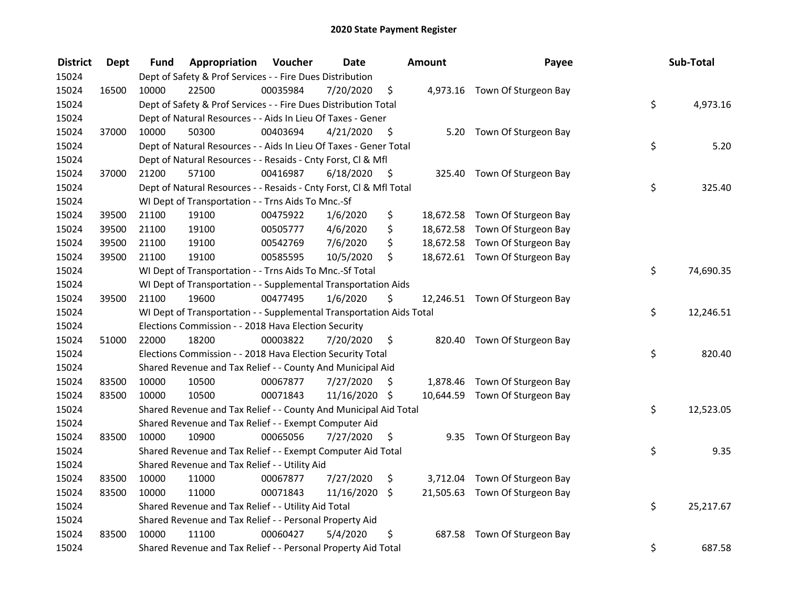| <b>District</b> | <b>Dept</b> | Fund  | Appropriation                                                        | Voucher  | <b>Date</b>   |      | Amount | Payee                          | Sub-Total       |
|-----------------|-------------|-------|----------------------------------------------------------------------|----------|---------------|------|--------|--------------------------------|-----------------|
| 15024           |             |       | Dept of Safety & Prof Services - - Fire Dues Distribution            |          |               |      |        |                                |                 |
| 15024           | 16500       | 10000 | 22500                                                                | 00035984 | 7/20/2020     | \$   |        | 4,973.16 Town Of Sturgeon Bay  |                 |
| 15024           |             |       | Dept of Safety & Prof Services - - Fire Dues Distribution Total      |          |               |      |        |                                | \$<br>4,973.16  |
| 15024           |             |       | Dept of Natural Resources - - Aids In Lieu Of Taxes - Gener          |          |               |      |        |                                |                 |
| 15024           | 37000       | 10000 | 50300                                                                | 00403694 | 4/21/2020     | \$   |        | 5.20 Town Of Sturgeon Bay      |                 |
| 15024           |             |       | Dept of Natural Resources - - Aids In Lieu Of Taxes - Gener Total    |          |               |      |        |                                | \$<br>5.20      |
| 15024           |             |       | Dept of Natural Resources - - Resaids - Cnty Forst, Cl & Mfl         |          |               |      |        |                                |                 |
| 15024           | 37000       | 21200 | 57100                                                                | 00416987 | 6/18/2020     | - \$ |        | 325.40 Town Of Sturgeon Bay    |                 |
| 15024           |             |       | Dept of Natural Resources - - Resaids - Cnty Forst, Cl & Mfl Total   |          |               |      |        |                                | \$<br>325.40    |
| 15024           |             |       | WI Dept of Transportation - - Trns Aids To Mnc.-Sf                   |          |               |      |        |                                |                 |
| 15024           | 39500       | 21100 | 19100                                                                | 00475922 | 1/6/2020      | \$   |        | 18,672.58 Town Of Sturgeon Bay |                 |
| 15024           | 39500       | 21100 | 19100                                                                | 00505777 | 4/6/2020      | \$   |        | 18,672.58 Town Of Sturgeon Bay |                 |
| 15024           | 39500       | 21100 | 19100                                                                | 00542769 | 7/6/2020      | \$   |        | 18,672.58 Town Of Sturgeon Bay |                 |
| 15024           | 39500       | 21100 | 19100                                                                | 00585595 | 10/5/2020     | \$   |        | 18,672.61 Town Of Sturgeon Bay |                 |
| 15024           |             |       | WI Dept of Transportation - - Trns Aids To Mnc.-Sf Total             |          |               |      |        |                                | \$<br>74,690.35 |
| 15024           |             |       | WI Dept of Transportation - - Supplemental Transportation Aids       |          |               |      |        |                                |                 |
| 15024           | 39500       | 21100 | 19600                                                                | 00477495 | 1/6/2020      | \$   |        | 12,246.51 Town Of Sturgeon Bay |                 |
| 15024           |             |       | WI Dept of Transportation - - Supplemental Transportation Aids Total |          |               |      |        |                                | \$<br>12,246.51 |
| 15024           |             |       | Elections Commission - - 2018 Hava Election Security                 |          |               |      |        |                                |                 |
| 15024           | 51000       | 22000 | 18200                                                                | 00003822 | 7/20/2020     | \$   |        | 820.40 Town Of Sturgeon Bay    |                 |
| 15024           |             |       | Elections Commission - - 2018 Hava Election Security Total           |          |               |      |        |                                | \$<br>820.40    |
| 15024           |             |       | Shared Revenue and Tax Relief - - County And Municipal Aid           |          |               |      |        |                                |                 |
| 15024           | 83500       | 10000 | 10500                                                                | 00067877 | 7/27/2020     | S    |        | 1,878.46 Town Of Sturgeon Bay  |                 |
| 15024           | 83500       | 10000 | 10500                                                                | 00071843 | 11/16/2020 \$ |      |        | 10,644.59 Town Of Sturgeon Bay |                 |
| 15024           |             |       | Shared Revenue and Tax Relief - - County And Municipal Aid Total     |          |               |      |        |                                | \$<br>12,523.05 |
| 15024           |             |       | Shared Revenue and Tax Relief - - Exempt Computer Aid                |          |               |      |        |                                |                 |
| 15024           | 83500       | 10000 | 10900                                                                | 00065056 | 7/27/2020     | \$   |        | 9.35 Town Of Sturgeon Bay      |                 |
| 15024           |             |       | Shared Revenue and Tax Relief - - Exempt Computer Aid Total          |          |               |      |        |                                | \$<br>9.35      |
| 15024           |             |       | Shared Revenue and Tax Relief - - Utility Aid                        |          |               |      |        |                                |                 |
| 15024           | 83500       | 10000 | 11000                                                                | 00067877 | 7/27/2020     | \$   |        | 3,712.04 Town Of Sturgeon Bay  |                 |
| 15024           | 83500       | 10000 | 11000                                                                | 00071843 | 11/16/2020    | \$   |        | 21,505.63 Town Of Sturgeon Bay |                 |
| 15024           |             |       | Shared Revenue and Tax Relief - - Utility Aid Total                  |          |               |      |        |                                | \$<br>25,217.67 |
| 15024           |             |       | Shared Revenue and Tax Relief - - Personal Property Aid              |          |               |      |        |                                |                 |
| 15024           | 83500       | 10000 | 11100                                                                | 00060427 | 5/4/2020      | \$   | 687.58 | Town Of Sturgeon Bay           |                 |
| 15024           |             |       | Shared Revenue and Tax Relief - - Personal Property Aid Total        |          |               |      |        |                                | \$<br>687.58    |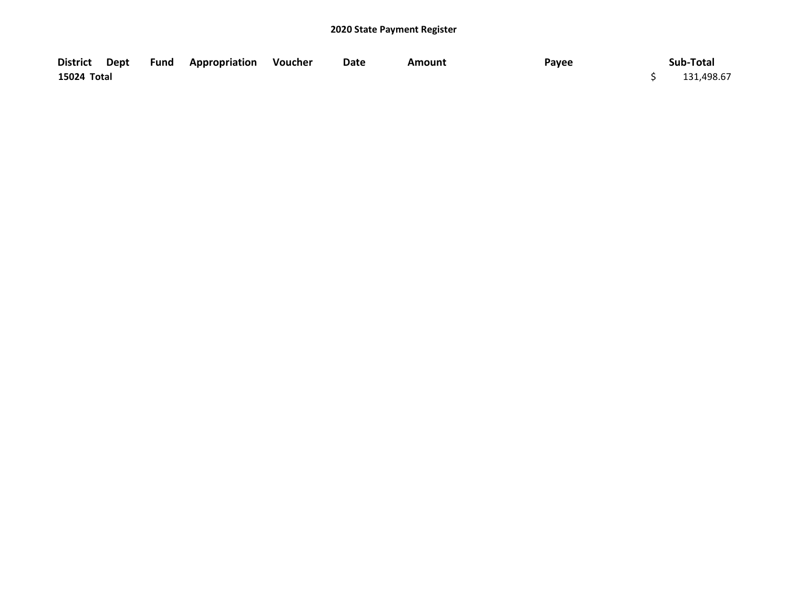|             |  | District Dept Fund Appropriation Voucher | Date | Amount | Payee | Sub-Total  |
|-------------|--|------------------------------------------|------|--------|-------|------------|
| 15024 Total |  |                                          |      |        |       | 131,498.67 |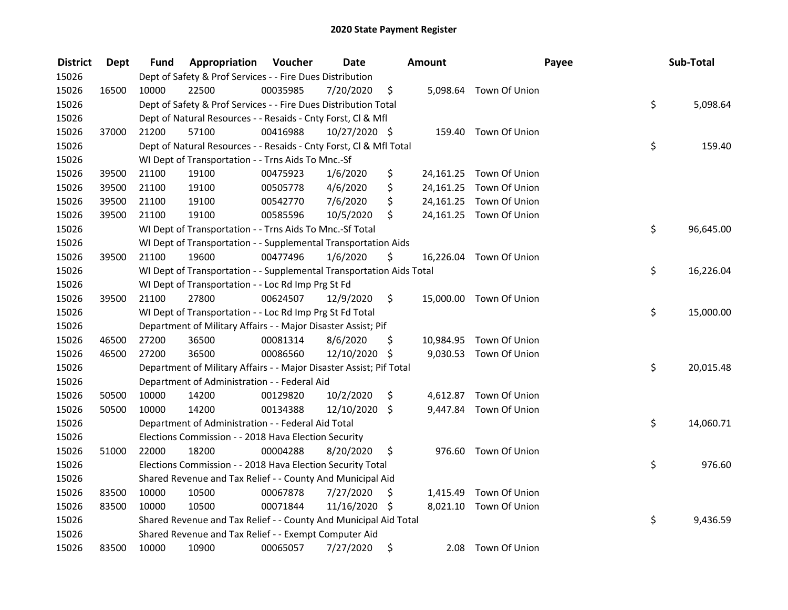| <b>District</b> | <b>Dept</b> | Fund  | Appropriation                                                        | Voucher  | <b>Date</b>   | Amount          |                         | Payee | Sub-Total |
|-----------------|-------------|-------|----------------------------------------------------------------------|----------|---------------|-----------------|-------------------------|-------|-----------|
| 15026           |             |       | Dept of Safety & Prof Services - - Fire Dues Distribution            |          |               |                 |                         |       |           |
| 15026           | 16500       | 10000 | 22500                                                                | 00035985 | 7/20/2020     | \$              | 5,098.64 Town Of Union  |       |           |
| 15026           |             |       | Dept of Safety & Prof Services - - Fire Dues Distribution Total      |          |               |                 |                         | \$    | 5,098.64  |
| 15026           |             |       | Dept of Natural Resources - - Resaids - Cnty Forst, Cl & Mfl         |          |               |                 |                         |       |           |
| 15026           | 37000       | 21200 | 57100                                                                | 00416988 | 10/27/2020 \$ |                 | 159.40 Town Of Union    |       |           |
| 15026           |             |       | Dept of Natural Resources - - Resaids - Cnty Forst, Cl & Mfl Total   |          |               |                 |                         | \$    | 159.40    |
| 15026           |             |       | WI Dept of Transportation - - Trns Aids To Mnc.-Sf                   |          |               |                 |                         |       |           |
| 15026           | 39500       | 21100 | 19100                                                                | 00475923 | 1/6/2020      | \$              | 24,161.25 Town Of Union |       |           |
| 15026           | 39500       | 21100 | 19100                                                                | 00505778 | 4/6/2020      | \$              | 24,161.25 Town Of Union |       |           |
| 15026           | 39500       | 21100 | 19100                                                                | 00542770 | 7/6/2020      | \$              | 24,161.25 Town Of Union |       |           |
| 15026           | 39500       | 21100 | 19100                                                                | 00585596 | 10/5/2020     | \$              | 24,161.25 Town Of Union |       |           |
| 15026           |             |       | WI Dept of Transportation - - Trns Aids To Mnc.-Sf Total             |          |               |                 |                         | \$    | 96,645.00 |
| 15026           |             |       | WI Dept of Transportation - - Supplemental Transportation Aids       |          |               |                 |                         |       |           |
| 15026           | 39500       | 21100 | 19600                                                                | 00477496 | 1/6/2020      | \$              | 16,226.04 Town Of Union |       |           |
| 15026           |             |       | WI Dept of Transportation - - Supplemental Transportation Aids Total |          |               |                 |                         | \$    | 16,226.04 |
| 15026           |             |       | WI Dept of Transportation - - Loc Rd Imp Prg St Fd                   |          |               |                 |                         |       |           |
| 15026           | 39500       | 21100 | 27800                                                                | 00624507 | 12/9/2020     | \$              | 15,000.00 Town Of Union |       |           |
| 15026           |             |       | WI Dept of Transportation - - Loc Rd Imp Prg St Fd Total             |          |               |                 |                         | \$    | 15,000.00 |
| 15026           |             |       | Department of Military Affairs - - Major Disaster Assist; Pif        |          |               |                 |                         |       |           |
| 15026           | 46500       | 27200 | 36500                                                                | 00081314 | 8/6/2020      | \$<br>10,984.95 | Town Of Union           |       |           |
| 15026           | 46500       | 27200 | 36500                                                                | 00086560 | 12/10/2020 \$ |                 | 9,030.53 Town Of Union  |       |           |
| 15026           |             |       | Department of Military Affairs - - Major Disaster Assist; Pif Total  |          |               |                 |                         | \$    | 20,015.48 |
| 15026           |             |       | Department of Administration - - Federal Aid                         |          |               |                 |                         |       |           |
| 15026           | 50500       | 10000 | 14200                                                                | 00129820 | 10/2/2020     | \$              | 4,612.87 Town Of Union  |       |           |
| 15026           | 50500       | 10000 | 14200                                                                | 00134388 | 12/10/2020    | \$              | 9,447.84 Town Of Union  |       |           |
| 15026           |             |       | Department of Administration - - Federal Aid Total                   |          |               |                 |                         | \$    | 14,060.71 |
| 15026           |             |       | Elections Commission - - 2018 Hava Election Security                 |          |               |                 |                         |       |           |
| 15026           | 51000       | 22000 | 18200                                                                | 00004288 | 8/20/2020     | \$              | 976.60 Town Of Union    |       |           |
| 15026           |             |       | Elections Commission - - 2018 Hava Election Security Total           |          |               |                 |                         | \$    | 976.60    |
| 15026           |             |       | Shared Revenue and Tax Relief - - County And Municipal Aid           |          |               |                 |                         |       |           |
| 15026           | 83500       | 10000 | 10500                                                                | 00067878 | 7/27/2020     | \$<br>1,415.49  | Town Of Union           |       |           |
| 15026           | 83500       | 10000 | 10500                                                                | 00071844 | 11/16/2020 \$ |                 | 8,021.10 Town Of Union  |       |           |
| 15026           |             |       | Shared Revenue and Tax Relief - - County And Municipal Aid Total     |          |               |                 |                         | \$    | 9,436.59  |
| 15026           |             |       | Shared Revenue and Tax Relief - - Exempt Computer Aid                |          |               |                 |                         |       |           |
| 15026           | 83500       | 10000 | 10900                                                                | 00065057 | 7/27/2020     | \$<br>2.08      | Town Of Union           |       |           |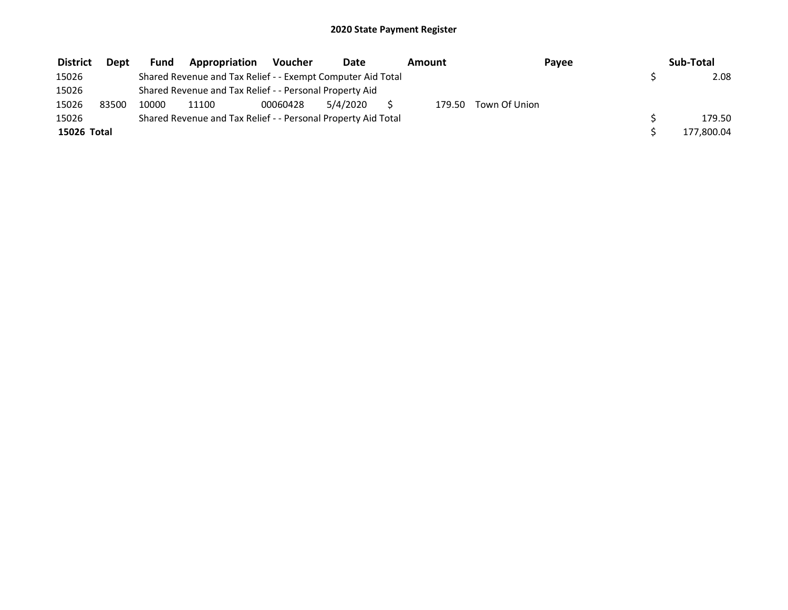| <b>District</b> | <b>Dept</b> | Fund  | Appropriation                                                 | Voucher  | <b>Date</b> | Amount |               | Payee | Sub-Total  |
|-----------------|-------------|-------|---------------------------------------------------------------|----------|-------------|--------|---------------|-------|------------|
| 15026           |             |       | Shared Revenue and Tax Relief - - Exempt Computer Aid Total   |          |             |        |               |       | 2.08       |
| 15026           |             |       | Shared Revenue and Tax Relief - - Personal Property Aid       |          |             |        |               |       |            |
| 15026           | 83500       | 10000 | 11100                                                         | 00060428 | 5/4/2020    | 179.50 | Town Of Union |       |            |
| 15026           |             |       | Shared Revenue and Tax Relief - - Personal Property Aid Total |          |             |        |               |       | 179.50     |
| 15026 Total     |             |       |                                                               |          |             |        |               |       | 177,800.04 |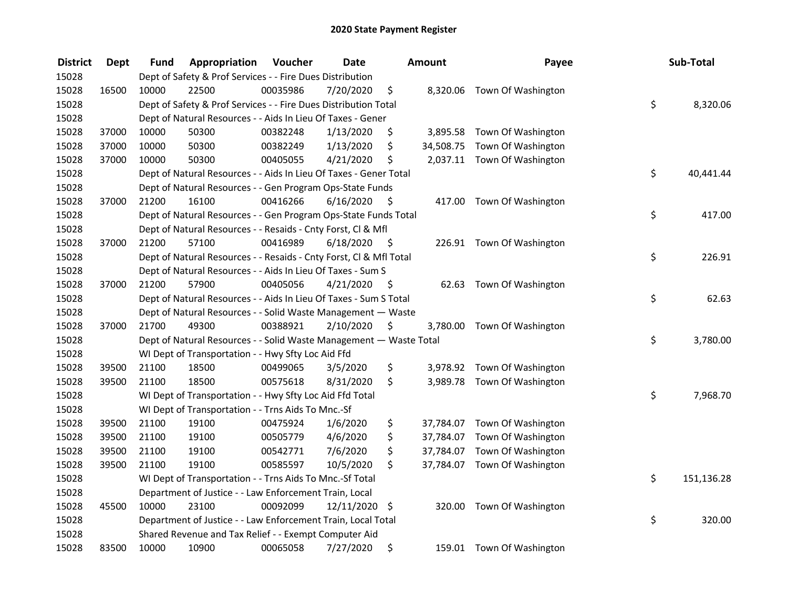| <b>District</b> | <b>Dept</b> | Fund  | Appropriation                                                      | Voucher  | <b>Date</b>   |      | Amount | Payee                        | Sub-Total        |
|-----------------|-------------|-------|--------------------------------------------------------------------|----------|---------------|------|--------|------------------------------|------------------|
| 15028           |             |       | Dept of Safety & Prof Services - - Fire Dues Distribution          |          |               |      |        |                              |                  |
| 15028           | 16500       | 10000 | 22500                                                              | 00035986 | 7/20/2020     | \$   |        | 8,320.06 Town Of Washington  |                  |
| 15028           |             |       | Dept of Safety & Prof Services - - Fire Dues Distribution Total    |          |               |      |        |                              | \$<br>8,320.06   |
| 15028           |             |       | Dept of Natural Resources - - Aids In Lieu Of Taxes - Gener        |          |               |      |        |                              |                  |
| 15028           | 37000       | 10000 | 50300                                                              | 00382248 | 1/13/2020     | \$   |        | 3,895.58 Town Of Washington  |                  |
| 15028           | 37000       | 10000 | 50300                                                              | 00382249 | 1/13/2020     | \$   |        | 34,508.75 Town Of Washington |                  |
| 15028           | 37000       | 10000 | 50300                                                              | 00405055 | 4/21/2020     | \$   |        | 2,037.11 Town Of Washington  |                  |
| 15028           |             |       | Dept of Natural Resources - - Aids In Lieu Of Taxes - Gener Total  |          |               |      |        |                              | \$<br>40,441.44  |
| 15028           |             |       | Dept of Natural Resources - - Gen Program Ops-State Funds          |          |               |      |        |                              |                  |
| 15028           | 37000       | 21200 | 16100                                                              | 00416266 | 6/16/2020     | - \$ |        | 417.00 Town Of Washington    |                  |
| 15028           |             |       | Dept of Natural Resources - - Gen Program Ops-State Funds Total    |          |               |      |        |                              | \$<br>417.00     |
| 15028           |             |       | Dept of Natural Resources - - Resaids - Cnty Forst, Cl & Mfl       |          |               |      |        |                              |                  |
| 15028           | 37000       | 21200 | 57100                                                              | 00416989 | 6/18/2020     | - \$ |        | 226.91 Town Of Washington    |                  |
| 15028           |             |       | Dept of Natural Resources - - Resaids - Cnty Forst, Cl & Mfl Total |          |               |      |        |                              | \$<br>226.91     |
| 15028           |             |       | Dept of Natural Resources - - Aids In Lieu Of Taxes - Sum S        |          |               |      |        |                              |                  |
| 15028           | 37000       | 21200 | 57900                                                              | 00405056 | 4/21/2020     | \$   | 62.63  | Town Of Washington           |                  |
| 15028           |             |       | Dept of Natural Resources - - Aids In Lieu Of Taxes - Sum S Total  |          |               |      |        |                              | \$<br>62.63      |
| 15028           |             |       | Dept of Natural Resources - - Solid Waste Management - Waste       |          |               |      |        |                              |                  |
| 15028           | 37000       | 21700 | 49300                                                              | 00388921 | 2/10/2020     | \$   |        | 3,780.00 Town Of Washington  |                  |
| 15028           |             |       | Dept of Natural Resources - - Solid Waste Management - Waste Total |          |               |      |        |                              | \$<br>3,780.00   |
| 15028           |             |       | WI Dept of Transportation - - Hwy Sfty Loc Aid Ffd                 |          |               |      |        |                              |                  |
| 15028           | 39500       | 21100 | 18500                                                              | 00499065 | 3/5/2020      | \$   |        | 3,978.92 Town Of Washington  |                  |
| 15028           | 39500       | 21100 | 18500                                                              | 00575618 | 8/31/2020     | \$   |        | 3,989.78 Town Of Washington  |                  |
| 15028           |             |       | WI Dept of Transportation - - Hwy Sfty Loc Aid Ffd Total           |          |               |      |        |                              | \$<br>7,968.70   |
| 15028           |             |       | WI Dept of Transportation - - Trns Aids To Mnc.-Sf                 |          |               |      |        |                              |                  |
| 15028           | 39500       | 21100 | 19100                                                              | 00475924 | 1/6/2020      | \$   |        | 37,784.07 Town Of Washington |                  |
| 15028           | 39500       | 21100 | 19100                                                              | 00505779 | 4/6/2020      | \$   |        | 37,784.07 Town Of Washington |                  |
| 15028           | 39500       | 21100 | 19100                                                              | 00542771 | 7/6/2020      | \$   |        | 37,784.07 Town Of Washington |                  |
| 15028           | 39500       | 21100 | 19100                                                              | 00585597 | 10/5/2020     | \$   |        | 37,784.07 Town Of Washington |                  |
| 15028           |             |       | WI Dept of Transportation - - Trns Aids To Mnc.-Sf Total           |          |               |      |        |                              | \$<br>151,136.28 |
| 15028           |             |       | Department of Justice - - Law Enforcement Train, Local             |          |               |      |        |                              |                  |
| 15028           | 45500       | 10000 | 23100                                                              | 00092099 | 12/11/2020 \$ |      |        | 320.00 Town Of Washington    |                  |
| 15028           |             |       | Department of Justice - - Law Enforcement Train, Local Total       |          |               |      |        |                              | \$<br>320.00     |
| 15028           |             |       | Shared Revenue and Tax Relief - - Exempt Computer Aid              |          |               |      |        |                              |                  |
| 15028           | 83500       | 10000 | 10900                                                              | 00065058 | 7/27/2020     | \$   |        | 159.01 Town Of Washington    |                  |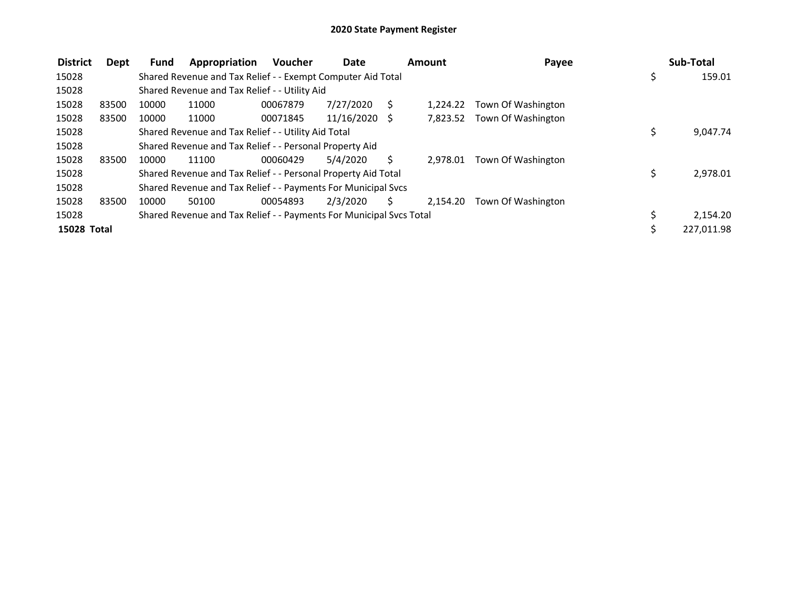| <b>District</b> | Dept  | <b>Fund</b> | Appropriation                                                       | <b>Voucher</b> | <b>Date</b>     |    | Amount   | Payee                       | Sub-Total      |
|-----------------|-------|-------------|---------------------------------------------------------------------|----------------|-----------------|----|----------|-----------------------------|----------------|
| 15028           |       |             | Shared Revenue and Tax Relief - - Exempt Computer Aid Total         |                |                 |    |          |                             | \$<br>159.01   |
| 15028           |       |             | Shared Revenue and Tax Relief - - Utility Aid                       |                |                 |    |          |                             |                |
| 15028           | 83500 | 10000       | 11000                                                               | 00067879       | 7/27/2020       |    | 1.224.22 | Town Of Washington          |                |
| 15028           | 83500 | 10000       | 11000                                                               | 00071845       | $11/16/2020$ \$ |    |          | 7,823.52 Town Of Washington |                |
| 15028           |       |             | Shared Revenue and Tax Relief - - Utility Aid Total                 |                |                 |    |          |                             | 9,047.74       |
| 15028           |       |             | Shared Revenue and Tax Relief - - Personal Property Aid             |                |                 |    |          |                             |                |
| 15028           | 83500 | 10000       | 11100                                                               | 00060429       | 5/4/2020        | S  | 2.978.01 | Town Of Washington          |                |
| 15028           |       |             | Shared Revenue and Tax Relief - - Personal Property Aid Total       |                |                 |    |          |                             | \$<br>2,978.01 |
| 15028           |       |             | Shared Revenue and Tax Relief - - Payments For Municipal Svcs       |                |                 |    |          |                             |                |
| 15028           | 83500 | 10000       | 50100                                                               | 00054893       | 2/3/2020        | S. | 2.154.20 | Town Of Washington          |                |
| 15028           |       |             | Shared Revenue and Tax Relief - - Payments For Municipal Svcs Total |                |                 |    |          |                             | 2,154.20       |
| 15028 Total     |       |             |                                                                     |                |                 |    |          |                             | 227,011.98     |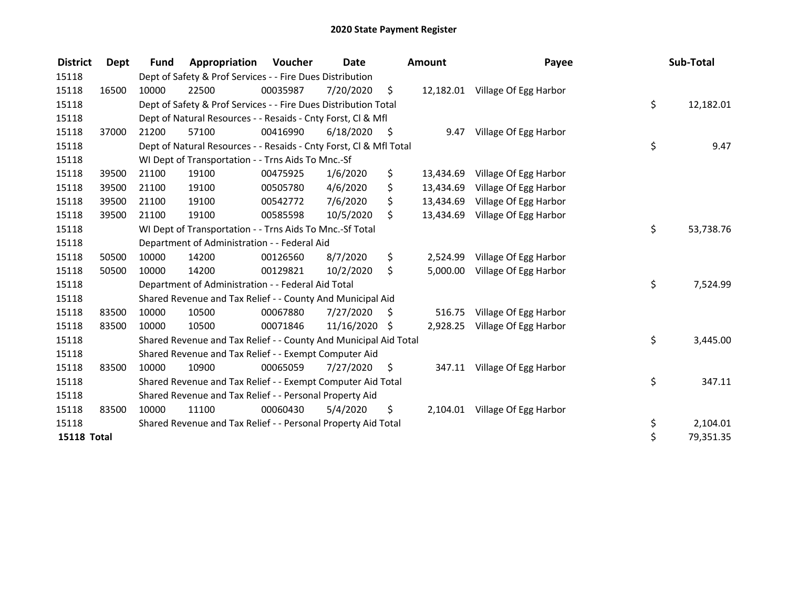| <b>District</b>    | Dept  | <b>Fund</b> | Appropriation                                                      | <b>Voucher</b> | <b>Date</b>   |                     | <b>Amount</b> | Payee                           | Sub-Total       |
|--------------------|-------|-------------|--------------------------------------------------------------------|----------------|---------------|---------------------|---------------|---------------------------------|-----------------|
| 15118              |       |             | Dept of Safety & Prof Services - - Fire Dues Distribution          |                |               |                     |               |                                 |                 |
| 15118              | 16500 | 10000       | 22500                                                              | 00035987       | 7/20/2020     | $\ddot{\mathsf{s}}$ |               | 12,182.01 Village Of Egg Harbor |                 |
| 15118              |       |             | Dept of Safety & Prof Services - - Fire Dues Distribution Total    |                |               |                     |               |                                 | \$<br>12,182.01 |
| 15118              |       |             | Dept of Natural Resources - - Resaids - Cnty Forst, CI & Mfl       |                |               |                     |               |                                 |                 |
| 15118              | 37000 | 21200       | 57100                                                              | 00416990       | 6/18/2020     | - \$                | 9.47          | Village Of Egg Harbor           |                 |
| 15118              |       |             | Dept of Natural Resources - - Resaids - Cnty Forst, Cl & Mfl Total |                |               |                     |               |                                 | \$<br>9.47      |
| 15118              |       |             | WI Dept of Transportation - - Trns Aids To Mnc.-Sf                 |                |               |                     |               |                                 |                 |
| 15118              | 39500 | 21100       | 19100                                                              | 00475925       | 1/6/2020      | \$                  | 13,434.69     | Village Of Egg Harbor           |                 |
| 15118              | 39500 | 21100       | 19100                                                              | 00505780       | 4/6/2020      | \$                  | 13,434.69     | Village Of Egg Harbor           |                 |
| 15118              | 39500 | 21100       | 19100                                                              | 00542772       | 7/6/2020      | \$                  | 13,434.69     | Village Of Egg Harbor           |                 |
| 15118              | 39500 | 21100       | 19100                                                              | 00585598       | 10/5/2020     | Ś.                  | 13,434.69     | Village Of Egg Harbor           |                 |
| 15118              |       |             | WI Dept of Transportation - - Trns Aids To Mnc.-Sf Total           |                |               |                     |               |                                 | \$<br>53,738.76 |
| 15118              |       |             | Department of Administration - - Federal Aid                       |                |               |                     |               |                                 |                 |
| 15118              | 50500 | 10000       | 14200                                                              | 00126560       | 8/7/2020      | \$                  | 2,524.99      | Village Of Egg Harbor           |                 |
| 15118              | 50500 | 10000       | 14200                                                              | 00129821       | 10/2/2020     | \$                  | 5,000.00      | Village Of Egg Harbor           |                 |
| 15118              |       |             | Department of Administration - - Federal Aid Total                 |                |               |                     |               |                                 | \$<br>7,524.99  |
| 15118              |       |             | Shared Revenue and Tax Relief - - County And Municipal Aid         |                |               |                     |               |                                 |                 |
| 15118              | 83500 | 10000       | 10500                                                              | 00067880       | 7/27/2020     | - \$                | 516.75        | Village Of Egg Harbor           |                 |
| 15118              | 83500 | 10000       | 10500                                                              | 00071846       | 11/16/2020 \$ |                     | 2,928.25      | Village Of Egg Harbor           |                 |
| 15118              |       |             | Shared Revenue and Tax Relief - - County And Municipal Aid Total   |                |               |                     |               |                                 | \$<br>3,445.00  |
| 15118              |       |             | Shared Revenue and Tax Relief - - Exempt Computer Aid              |                |               |                     |               |                                 |                 |
| 15118              | 83500 | 10000       | 10900                                                              | 00065059       | 7/27/2020     | -\$                 |               | 347.11 Village Of Egg Harbor    |                 |
| 15118              |       |             | Shared Revenue and Tax Relief - - Exempt Computer Aid Total        |                |               |                     |               |                                 | \$<br>347.11    |
| 15118              |       |             | Shared Revenue and Tax Relief - - Personal Property Aid            |                |               |                     |               |                                 |                 |
| 15118              | 83500 | 10000       | 11100                                                              | 00060430       | 5/4/2020      | \$                  |               | 2,104.01 Village Of Egg Harbor  |                 |
| 15118              |       |             | Shared Revenue and Tax Relief - - Personal Property Aid Total      |                |               |                     |               |                                 | \$<br>2,104.01  |
| <b>15118 Total</b> |       |             |                                                                    |                |               |                     |               |                                 | \$<br>79,351.35 |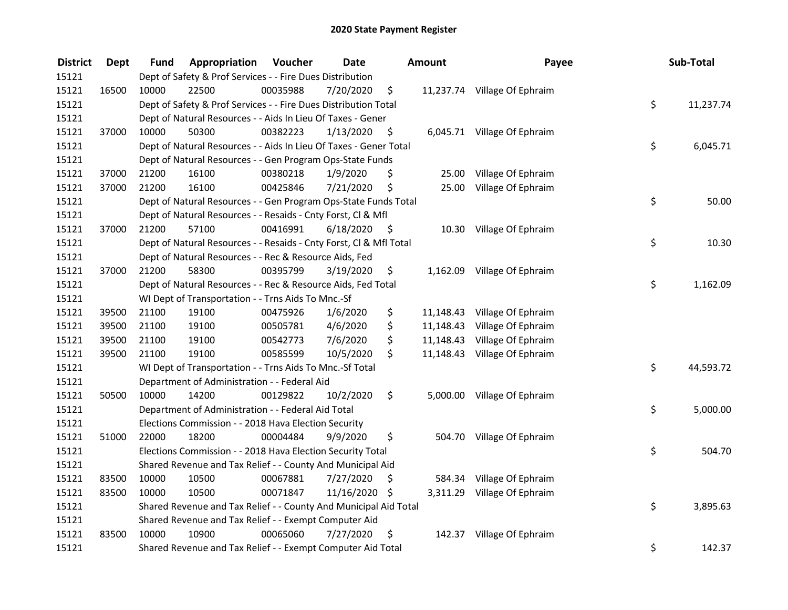| <b>District</b> | <b>Dept</b> | Fund  | Appropriation                                                      | Voucher  | <b>Date</b>   |      | <b>Amount</b> | Payee                        | Sub-Total       |
|-----------------|-------------|-------|--------------------------------------------------------------------|----------|---------------|------|---------------|------------------------------|-----------------|
| 15121           |             |       | Dept of Safety & Prof Services - - Fire Dues Distribution          |          |               |      |               |                              |                 |
| 15121           | 16500       | 10000 | 22500                                                              | 00035988 | 7/20/2020     | \$   |               | 11,237.74 Village Of Ephraim |                 |
| 15121           |             |       | Dept of Safety & Prof Services - - Fire Dues Distribution Total    |          |               |      |               |                              | \$<br>11,237.74 |
| 15121           |             |       | Dept of Natural Resources - - Aids In Lieu Of Taxes - Gener        |          |               |      |               |                              |                 |
| 15121           | 37000       | 10000 | 50300                                                              | 00382223 | 1/13/2020     | \$   |               | 6,045.71 Village Of Ephraim  |                 |
| 15121           |             |       | Dept of Natural Resources - - Aids In Lieu Of Taxes - Gener Total  |          |               |      |               |                              | \$<br>6,045.71  |
| 15121           |             |       | Dept of Natural Resources - - Gen Program Ops-State Funds          |          |               |      |               |                              |                 |
| 15121           | 37000       | 21200 | 16100                                                              | 00380218 | 1/9/2020      | \$   |               | 25.00 Village Of Ephraim     |                 |
| 15121           | 37000       | 21200 | 16100                                                              | 00425846 | 7/21/2020     | \$   | 25.00         | Village Of Ephraim           |                 |
| 15121           |             |       | Dept of Natural Resources - - Gen Program Ops-State Funds Total    |          |               |      |               |                              | \$<br>50.00     |
| 15121           |             |       | Dept of Natural Resources - - Resaids - Cnty Forst, Cl & Mfl       |          |               |      |               |                              |                 |
| 15121           | 37000       | 21200 | 57100                                                              | 00416991 | 6/18/2020     | - \$ |               | 10.30 Village Of Ephraim     |                 |
| 15121           |             |       | Dept of Natural Resources - - Resaids - Cnty Forst, Cl & Mfl Total |          |               |      |               |                              | \$<br>10.30     |
| 15121           |             |       | Dept of Natural Resources - - Rec & Resource Aids, Fed             |          |               |      |               |                              |                 |
| 15121           | 37000       | 21200 | 58300                                                              | 00395799 | 3/19/2020     | \$   |               | 1,162.09 Village Of Ephraim  |                 |
| 15121           |             |       | Dept of Natural Resources - - Rec & Resource Aids, Fed Total       |          |               |      |               |                              | \$<br>1,162.09  |
| 15121           |             |       | WI Dept of Transportation - - Trns Aids To Mnc.-Sf                 |          |               |      |               |                              |                 |
| 15121           | 39500       | 21100 | 19100                                                              | 00475926 | 1/6/2020      | \$   | 11,148.43     | Village Of Ephraim           |                 |
| 15121           | 39500       | 21100 | 19100                                                              | 00505781 | 4/6/2020      | \$   | 11,148.43     | Village Of Ephraim           |                 |
| 15121           | 39500       | 21100 | 19100                                                              | 00542773 | 7/6/2020      | \$   |               | 11,148.43 Village Of Ephraim |                 |
| 15121           | 39500       | 21100 | 19100                                                              | 00585599 | 10/5/2020     | \$   |               | 11,148.43 Village Of Ephraim |                 |
| 15121           |             |       | WI Dept of Transportation - - Trns Aids To Mnc.-Sf Total           |          |               |      |               |                              | \$<br>44,593.72 |
| 15121           |             |       | Department of Administration - - Federal Aid                       |          |               |      |               |                              |                 |
| 15121           | 50500       | 10000 | 14200                                                              | 00129822 | 10/2/2020     | \$.  |               | 5,000.00 Village Of Ephraim  |                 |
| 15121           |             |       | Department of Administration - - Federal Aid Total                 |          |               |      |               |                              | \$<br>5,000.00  |
| 15121           |             |       | Elections Commission - - 2018 Hava Election Security               |          |               |      |               |                              |                 |
| 15121           | 51000       | 22000 | 18200                                                              | 00004484 | 9/9/2020      | \$   |               | 504.70 Village Of Ephraim    |                 |
| 15121           |             |       | Elections Commission - - 2018 Hava Election Security Total         |          |               |      |               |                              | \$<br>504.70    |
| 15121           |             |       | Shared Revenue and Tax Relief - - County And Municipal Aid         |          |               |      |               |                              |                 |
| 15121           | 83500       | 10000 | 10500                                                              | 00067881 | 7/27/2020     | \$   | 584.34        | Village Of Ephraim           |                 |
| 15121           | 83500       | 10000 | 10500                                                              | 00071847 | 11/16/2020 \$ |      |               | 3,311.29 Village Of Ephraim  |                 |
| 15121           |             |       | Shared Revenue and Tax Relief - - County And Municipal Aid Total   |          |               |      |               |                              | \$<br>3,895.63  |
| 15121           |             |       | Shared Revenue and Tax Relief - - Exempt Computer Aid              |          |               |      |               |                              |                 |
| 15121           | 83500       | 10000 | 10900                                                              | 00065060 | 7/27/2020     | \$   |               | 142.37 Village Of Ephraim    |                 |
| 15121           |             |       | Shared Revenue and Tax Relief - - Exempt Computer Aid Total        |          |               |      |               |                              | \$<br>142.37    |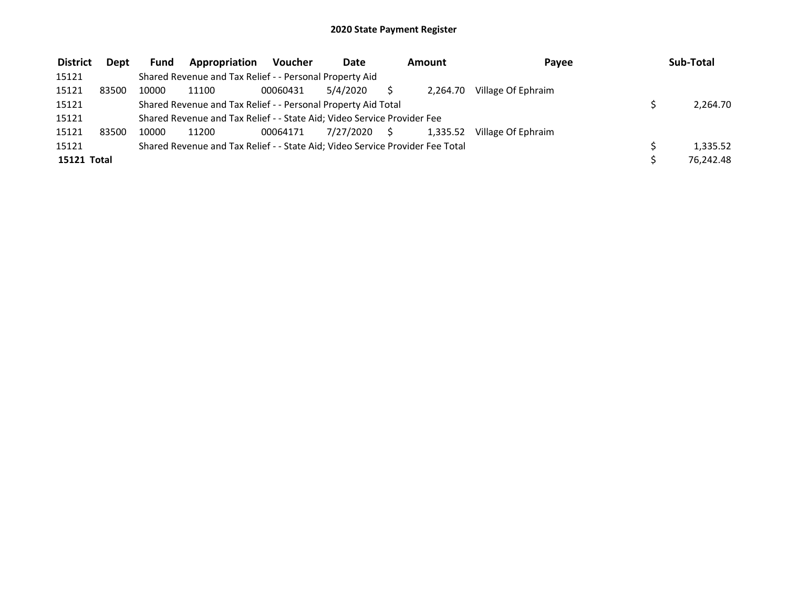| <b>District</b> | Dept  | <b>Fund</b> | Appropriation                                                                 | <b>Voucher</b> | <b>Date</b>  | Amount   | Pavee              | Sub-Total |
|-----------------|-------|-------------|-------------------------------------------------------------------------------|----------------|--------------|----------|--------------------|-----------|
| 15121           |       |             | Shared Revenue and Tax Relief - - Personal Property Aid                       |                |              |          |                    |           |
| 15121           | 83500 | 10000       | 11100                                                                         | 00060431       | 5/4/2020     | 2.264.70 | Village Of Ephraim |           |
| 15121           |       |             | Shared Revenue and Tax Relief - - Personal Property Aid Total                 |                |              |          |                    | 2.264.70  |
| 15121           |       |             | Shared Revenue and Tax Relief - - State Aid; Video Service Provider Fee       |                |              |          |                    |           |
| 15121           | 83500 | 10000       | 11200                                                                         | 00064171       | 7/27/2020 \$ | 1.335.52 | Village Of Ephraim |           |
| 15121           |       |             | Shared Revenue and Tax Relief - - State Aid; Video Service Provider Fee Total |                |              |          |                    | 1,335.52  |
| 15121 Total     |       |             |                                                                               |                |              |          |                    | 76,242.48 |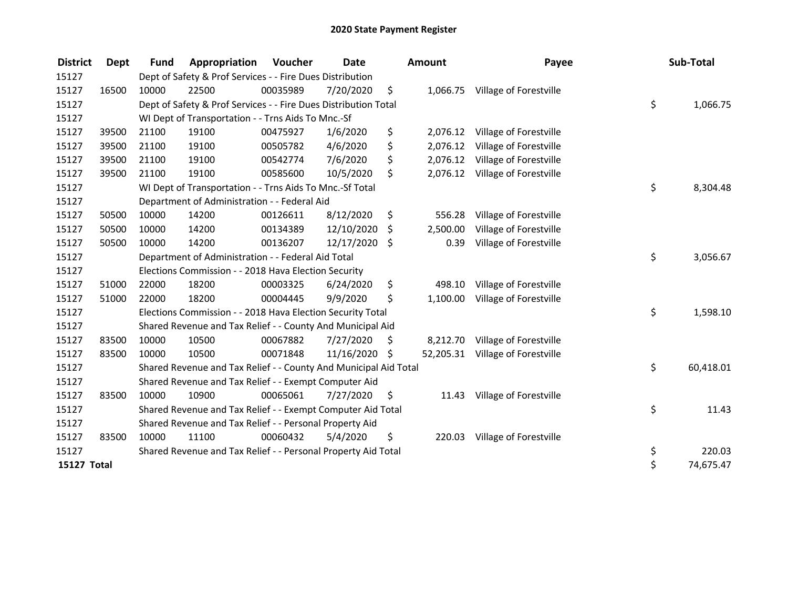| <b>District</b>    | <b>Dept</b> | <b>Fund</b> | Appropriation                                                    | <b>Voucher</b> | <b>Date</b>   |     | <b>Amount</b> | Payee                            | Sub-Total       |
|--------------------|-------------|-------------|------------------------------------------------------------------|----------------|---------------|-----|---------------|----------------------------------|-----------------|
| 15127              |             |             | Dept of Safety & Prof Services - - Fire Dues Distribution        |                |               |     |               |                                  |                 |
| 15127              | 16500       | 10000       | 22500                                                            | 00035989       | 7/20/2020     | \$  | 1,066.75      | Village of Forestville           |                 |
| 15127              |             |             | Dept of Safety & Prof Services - - Fire Dues Distribution Total  |                |               |     |               |                                  | \$<br>1,066.75  |
| 15127              |             |             | WI Dept of Transportation - - Trns Aids To Mnc.-Sf               |                |               |     |               |                                  |                 |
| 15127              | 39500       | 21100       | 19100                                                            | 00475927       | 1/6/2020      | \$  | 2,076.12      | Village of Forestville           |                 |
| 15127              | 39500       | 21100       | 19100                                                            | 00505782       | 4/6/2020      | \$  | 2,076.12      | Village of Forestville           |                 |
| 15127              | 39500       | 21100       | 19100                                                            | 00542774       | 7/6/2020      | \$  | 2,076.12      | Village of Forestville           |                 |
| 15127              | 39500       | 21100       | 19100                                                            | 00585600       | 10/5/2020     | \$  |               | 2,076.12 Village of Forestville  |                 |
| 15127              |             |             | WI Dept of Transportation - - Trns Aids To Mnc.-Sf Total         |                |               |     |               |                                  | \$<br>8,304.48  |
| 15127              |             |             | Department of Administration - - Federal Aid                     |                |               |     |               |                                  |                 |
| 15127              | 50500       | 10000       | 14200                                                            | 00126611       | 8/12/2020     | \$  | 556.28        | Village of Forestville           |                 |
| 15127              | 50500       | 10000       | 14200                                                            | 00134389       | 12/10/2020    | \$  | 2,500.00      | Village of Forestville           |                 |
| 15127              | 50500       | 10000       | 14200                                                            | 00136207       | 12/17/2020 \$ |     | 0.39          | Village of Forestville           |                 |
| 15127              |             |             | Department of Administration - - Federal Aid Total               |                |               |     |               |                                  | \$<br>3,056.67  |
| 15127              |             |             | Elections Commission - - 2018 Hava Election Security             |                |               |     |               |                                  |                 |
| 15127              | 51000       | 22000       | 18200                                                            | 00003325       | 6/24/2020     | \$  | 498.10        | Village of Forestville           |                 |
| 15127              | 51000       | 22000       | 18200                                                            | 00004445       | 9/9/2020      | \$  | 1,100.00      | Village of Forestville           |                 |
| 15127              |             |             | Elections Commission - - 2018 Hava Election Security Total       |                |               |     |               |                                  | \$<br>1,598.10  |
| 15127              |             |             | Shared Revenue and Tax Relief - - County And Municipal Aid       |                |               |     |               |                                  |                 |
| 15127              | 83500       | 10000       | 10500                                                            | 00067882       | 7/27/2020     | \$. | 8,212.70      | Village of Forestville           |                 |
| 15127              | 83500       | 10000       | 10500                                                            | 00071848       | 11/16/2020 \$ |     |               | 52,205.31 Village of Forestville |                 |
| 15127              |             |             | Shared Revenue and Tax Relief - - County And Municipal Aid Total |                |               |     |               |                                  | \$<br>60,418.01 |
| 15127              |             |             | Shared Revenue and Tax Relief - - Exempt Computer Aid            |                |               |     |               |                                  |                 |
| 15127              | 83500       | 10000       | 10900                                                            | 00065061       | 7/27/2020     | \$  | 11.43         | Village of Forestville           |                 |
| 15127              |             |             | Shared Revenue and Tax Relief - - Exempt Computer Aid Total      |                |               |     |               |                                  | \$<br>11.43     |
| 15127              |             |             | Shared Revenue and Tax Relief - - Personal Property Aid          |                |               |     |               |                                  |                 |
| 15127              | 83500       | 10000       | 11100                                                            | 00060432       | 5/4/2020      | \$  | 220.03        | Village of Forestville           |                 |
| 15127              |             |             | Shared Revenue and Tax Relief - - Personal Property Aid Total    |                |               |     |               |                                  | \$<br>220.03    |
| <b>15127 Total</b> |             |             |                                                                  |                |               |     |               |                                  | \$<br>74,675.47 |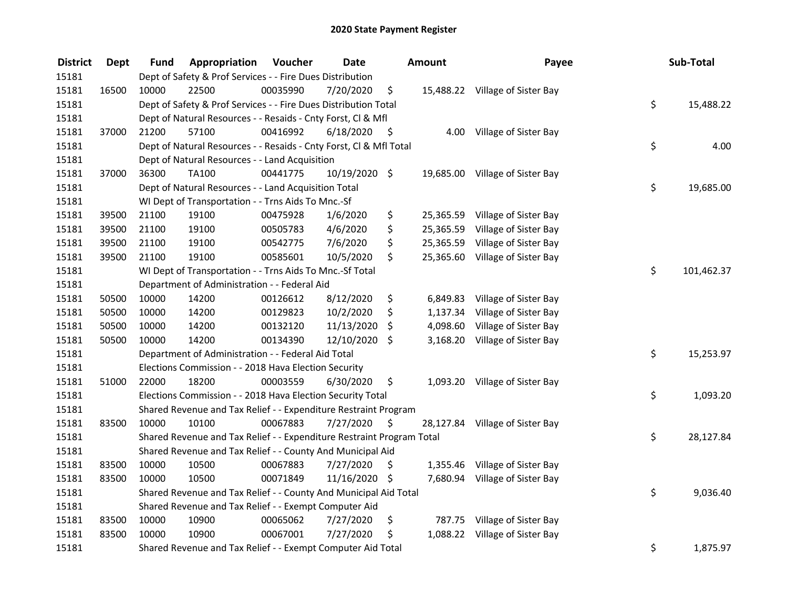| <b>District</b> | <b>Dept</b> | Fund  | Appropriation                                                         | Voucher  | <b>Date</b>   |      | Amount    | Payee                           | Sub-Total        |
|-----------------|-------------|-------|-----------------------------------------------------------------------|----------|---------------|------|-----------|---------------------------------|------------------|
| 15181           |             |       | Dept of Safety & Prof Services - - Fire Dues Distribution             |          |               |      |           |                                 |                  |
| 15181           | 16500       | 10000 | 22500                                                                 | 00035990 | 7/20/2020     | \$   |           | 15,488.22 Village of Sister Bay |                  |
| 15181           |             |       | Dept of Safety & Prof Services - - Fire Dues Distribution Total       |          |               |      |           |                                 | \$<br>15,488.22  |
| 15181           |             |       | Dept of Natural Resources - - Resaids - Cnty Forst, Cl & Mfl          |          |               |      |           |                                 |                  |
| 15181           | 37000       | 21200 | 57100                                                                 | 00416992 | 6/18/2020     | - \$ | 4.00      | Village of Sister Bay           |                  |
| 15181           |             |       | Dept of Natural Resources - - Resaids - Cnty Forst, Cl & Mfl Total    |          |               |      |           |                                 | \$<br>4.00       |
| 15181           |             |       | Dept of Natural Resources - - Land Acquisition                        |          |               |      |           |                                 |                  |
| 15181           | 37000       | 36300 | <b>TA100</b>                                                          | 00441775 | 10/19/2020 \$ |      |           | 19,685.00 Village of Sister Bay |                  |
| 15181           |             |       | Dept of Natural Resources - - Land Acquisition Total                  |          |               |      |           |                                 | \$<br>19,685.00  |
| 15181           |             |       | WI Dept of Transportation - - Trns Aids To Mnc.-Sf                    |          |               |      |           |                                 |                  |
| 15181           | 39500       | 21100 | 19100                                                                 | 00475928 | 1/6/2020      | \$   | 25,365.59 | Village of Sister Bay           |                  |
| 15181           | 39500       | 21100 | 19100                                                                 | 00505783 | 4/6/2020      | \$   | 25,365.59 | Village of Sister Bay           |                  |
| 15181           | 39500       | 21100 | 19100                                                                 | 00542775 | 7/6/2020      | \$   | 25,365.59 | Village of Sister Bay           |                  |
| 15181           | 39500       | 21100 | 19100                                                                 | 00585601 | 10/5/2020     | \$   | 25,365.60 | Village of Sister Bay           |                  |
| 15181           |             |       | WI Dept of Transportation - - Trns Aids To Mnc.-Sf Total              |          |               |      |           |                                 | \$<br>101,462.37 |
| 15181           |             |       | Department of Administration - - Federal Aid                          |          |               |      |           |                                 |                  |
| 15181           | 50500       | 10000 | 14200                                                                 | 00126612 | 8/12/2020     | \$   | 6,849.83  | Village of Sister Bay           |                  |
| 15181           | 50500       | 10000 | 14200                                                                 | 00129823 | 10/2/2020     | \$   | 1,137.34  | Village of Sister Bay           |                  |
| 15181           | 50500       | 10000 | 14200                                                                 | 00132120 | 11/13/2020    | \$   | 4,098.60  | Village of Sister Bay           |                  |
| 15181           | 50500       | 10000 | 14200                                                                 | 00134390 | 12/10/2020 \$ |      | 3,168.20  | Village of Sister Bay           |                  |
| 15181           |             |       | Department of Administration - - Federal Aid Total                    |          |               |      |           |                                 | \$<br>15,253.97  |
| 15181           |             |       | Elections Commission - - 2018 Hava Election Security                  |          |               |      |           |                                 |                  |
| 15181           | 51000       | 22000 | 18200                                                                 | 00003559 | 6/30/2020     | \$.  |           | 1,093.20 Village of Sister Bay  |                  |
| 15181           |             |       | Elections Commission - - 2018 Hava Election Security Total            |          |               |      |           |                                 | \$<br>1,093.20   |
| 15181           |             |       | Shared Revenue and Tax Relief - - Expenditure Restraint Program       |          |               |      |           |                                 |                  |
| 15181           | 83500       | 10000 | 10100                                                                 | 00067883 | 7/27/2020     | S    |           | 28,127.84 Village of Sister Bay |                  |
| 15181           |             |       | Shared Revenue and Tax Relief - - Expenditure Restraint Program Total |          |               |      |           |                                 | \$<br>28,127.84  |
| 15181           |             |       | Shared Revenue and Tax Relief - - County And Municipal Aid            |          |               |      |           |                                 |                  |
| 15181           | 83500       | 10000 | 10500                                                                 | 00067883 | 7/27/2020     | \$.  |           | 1,355.46 Village of Sister Bay  |                  |
| 15181           | 83500       | 10000 | 10500                                                                 | 00071849 | 11/16/2020 \$ |      |           | 7,680.94 Village of Sister Bay  |                  |
| 15181           |             |       | Shared Revenue and Tax Relief - - County And Municipal Aid Total      |          |               |      |           |                                 | \$<br>9,036.40   |
| 15181           |             |       | Shared Revenue and Tax Relief - - Exempt Computer Aid                 |          |               |      |           |                                 |                  |
| 15181           | 83500       | 10000 | 10900                                                                 | 00065062 | 7/27/2020     | \$   |           | 787.75 Village of Sister Bay    |                  |
| 15181           | 83500       | 10000 | 10900                                                                 | 00067001 | 7/27/2020     | \$   |           | 1,088.22 Village of Sister Bay  |                  |
| 15181           |             |       | Shared Revenue and Tax Relief - - Exempt Computer Aid Total           |          |               |      |           |                                 | \$<br>1,875.97   |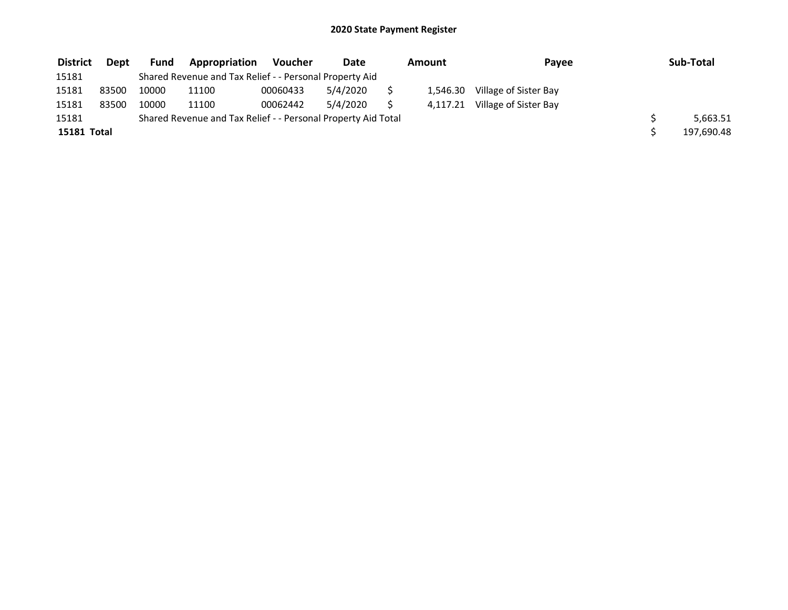| <b>District</b> | Dept  | <b>Fund</b> | <b>Appropriation</b>                                          | Voucher  | Date     | Amount   | Payee                 | Sub-Total  |
|-----------------|-------|-------------|---------------------------------------------------------------|----------|----------|----------|-----------------------|------------|
| 15181           |       |             | Shared Revenue and Tax Relief - - Personal Property Aid       |          |          |          |                       |            |
| 15181           | 83500 | 10000       | 11100                                                         | 00060433 | 5/4/2020 | 1,546.30 | Village of Sister Bay |            |
| 15181           | 83500 | 10000       | 11100                                                         | 00062442 | 5/4/2020 | 4,117.21 | Village of Sister Bay |            |
| 15181           |       |             | Shared Revenue and Tax Relief - - Personal Property Aid Total |          |          |          |                       | 5,663.51   |
| 15181 Total     |       |             |                                                               |          |          |          |                       | 197,690.48 |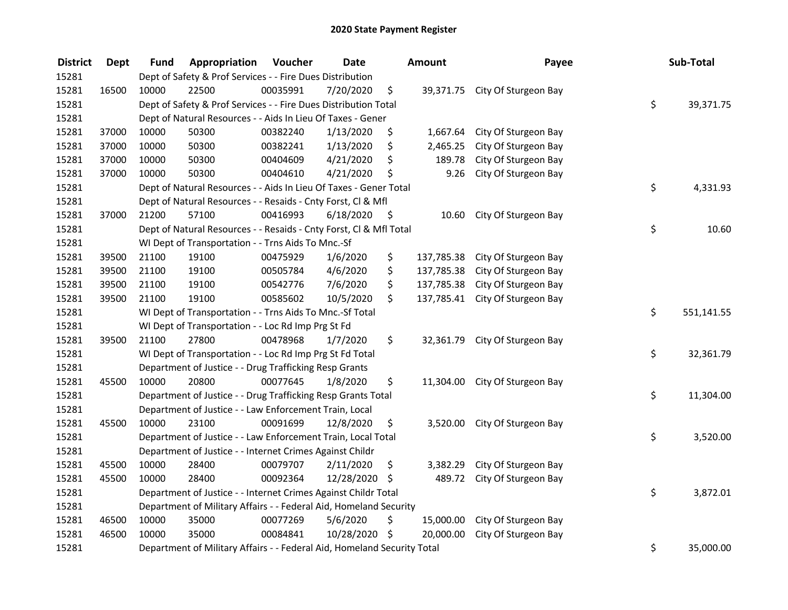| <b>District</b> | <b>Dept</b> | Fund  | Appropriation                                                           | Voucher  | <b>Date</b>   |      | Amount     | Payee                           | Sub-Total        |
|-----------------|-------------|-------|-------------------------------------------------------------------------|----------|---------------|------|------------|---------------------------------|------------------|
| 15281           |             |       | Dept of Safety & Prof Services - - Fire Dues Distribution               |          |               |      |            |                                 |                  |
| 15281           | 16500       | 10000 | 22500                                                                   | 00035991 | 7/20/2020     | \$   |            | 39,371.75 City Of Sturgeon Bay  |                  |
| 15281           |             |       | Dept of Safety & Prof Services - - Fire Dues Distribution Total         |          |               |      |            |                                 | \$<br>39,371.75  |
| 15281           |             |       | Dept of Natural Resources - - Aids In Lieu Of Taxes - Gener             |          |               |      |            |                                 |                  |
| 15281           | 37000       | 10000 | 50300                                                                   | 00382240 | 1/13/2020     | \$   | 1,667.64   | City Of Sturgeon Bay            |                  |
| 15281           | 37000       | 10000 | 50300                                                                   | 00382241 | 1/13/2020     | \$   | 2,465.25   | City Of Sturgeon Bay            |                  |
| 15281           | 37000       | 10000 | 50300                                                                   | 00404609 | 4/21/2020     | \$   | 189.78     | City Of Sturgeon Bay            |                  |
| 15281           | 37000       | 10000 | 50300                                                                   | 00404610 | 4/21/2020     | \$   | 9.26       | City Of Sturgeon Bay            |                  |
| 15281           |             |       | Dept of Natural Resources - - Aids In Lieu Of Taxes - Gener Total       |          |               |      |            |                                 | \$<br>4,331.93   |
| 15281           |             |       | Dept of Natural Resources - - Resaids - Cnty Forst, Cl & Mfl            |          |               |      |            |                                 |                  |
| 15281           | 37000       | 21200 | 57100                                                                   | 00416993 | 6/18/2020     | - \$ | 10.60      | City Of Sturgeon Bay            |                  |
| 15281           |             |       | Dept of Natural Resources - - Resaids - Cnty Forst, Cl & Mfl Total      |          |               |      |            |                                 | \$<br>10.60      |
| 15281           |             |       | WI Dept of Transportation - - Trns Aids To Mnc.-Sf                      |          |               |      |            |                                 |                  |
| 15281           | 39500       | 21100 | 19100                                                                   | 00475929 | 1/6/2020      | \$   | 137,785.38 | City Of Sturgeon Bay            |                  |
| 15281           | 39500       | 21100 | 19100                                                                   | 00505784 | 4/6/2020      | \$   | 137,785.38 | City Of Sturgeon Bay            |                  |
| 15281           | 39500       | 21100 | 19100                                                                   | 00542776 | 7/6/2020      | \$   | 137,785.38 | City Of Sturgeon Bay            |                  |
| 15281           | 39500       | 21100 | 19100                                                                   | 00585602 | 10/5/2020     | \$.  |            | 137,785.41 City Of Sturgeon Bay |                  |
| 15281           |             |       | WI Dept of Transportation - - Trns Aids To Mnc.-Sf Total                |          |               |      |            |                                 | \$<br>551,141.55 |
| 15281           |             |       | WI Dept of Transportation - - Loc Rd Imp Prg St Fd                      |          |               |      |            |                                 |                  |
| 15281           | 39500       | 21100 | 27800                                                                   | 00478968 | 1/7/2020      | \$   |            | 32,361.79 City Of Sturgeon Bay  |                  |
| 15281           |             |       | WI Dept of Transportation - - Loc Rd Imp Prg St Fd Total                |          |               |      |            |                                 | \$<br>32,361.79  |
| 15281           |             |       | Department of Justice - - Drug Trafficking Resp Grants                  |          |               |      |            |                                 |                  |
| 15281           | 45500       | 10000 | 20800                                                                   | 00077645 | 1/8/2020      | \$   |            | 11,304.00 City Of Sturgeon Bay  |                  |
| 15281           |             |       | Department of Justice - - Drug Trafficking Resp Grants Total            |          |               |      |            |                                 | \$<br>11,304.00  |
| 15281           |             |       | Department of Justice - - Law Enforcement Train, Local                  |          |               |      |            |                                 |                  |
| 15281           | 45500       | 10000 | 23100                                                                   | 00091699 | 12/8/2020     | \$   |            | 3,520.00 City Of Sturgeon Bay   |                  |
| 15281           |             |       | Department of Justice - - Law Enforcement Train, Local Total            |          |               |      |            |                                 | \$<br>3,520.00   |
| 15281           |             |       | Department of Justice - - Internet Crimes Against Childr                |          |               |      |            |                                 |                  |
| 15281           | 45500       | 10000 | 28400                                                                   | 00079707 | 2/11/2020     | \$   | 3,382.29   | City Of Sturgeon Bay            |                  |
| 15281           | 45500       | 10000 | 28400                                                                   | 00092364 | 12/28/2020 \$ |      | 489.72     | City Of Sturgeon Bay            |                  |
| 15281           |             |       | Department of Justice - - Internet Crimes Against Childr Total          |          |               |      |            |                                 | \$<br>3,872.01   |
| 15281           |             |       | Department of Military Affairs - - Federal Aid, Homeland Security       |          |               |      |            |                                 |                  |
| 15281           | 46500       | 10000 | 35000                                                                   | 00077269 | 5/6/2020      | \$   |            | 15,000.00 City Of Sturgeon Bay  |                  |
| 15281           | 46500       | 10000 | 35000                                                                   | 00084841 | 10/28/2020 \$ |      | 20,000.00  | City Of Sturgeon Bay            |                  |
| 15281           |             |       | Department of Military Affairs - - Federal Aid, Homeland Security Total |          |               |      |            |                                 | \$<br>35,000.00  |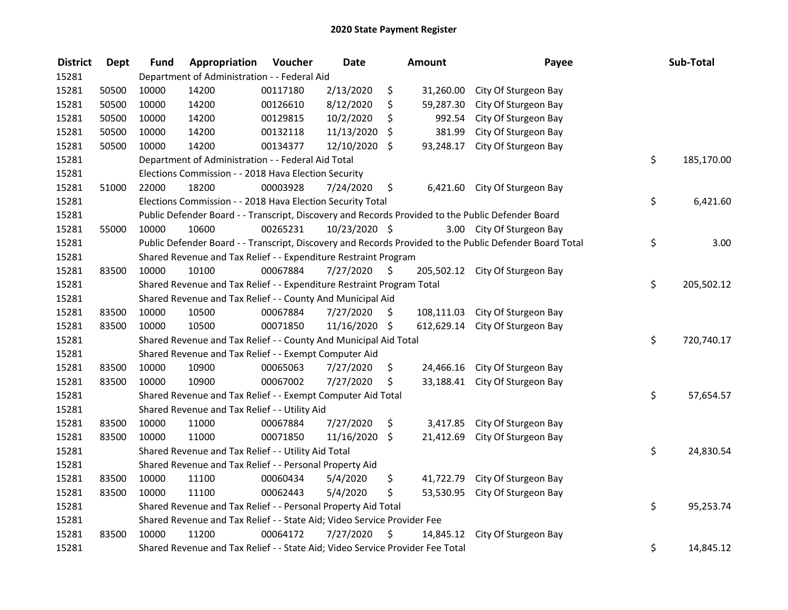| <b>District</b> | <b>Dept</b> | <b>Fund</b> | Appropriation                                                                 | Voucher  | <b>Date</b>   | Amount           | Payee                                                                                                   | Sub-Total        |
|-----------------|-------------|-------------|-------------------------------------------------------------------------------|----------|---------------|------------------|---------------------------------------------------------------------------------------------------------|------------------|
| 15281           |             |             | Department of Administration - - Federal Aid                                  |          |               |                  |                                                                                                         |                  |
| 15281           | 50500       | 10000       | 14200                                                                         | 00117180 | 2/13/2020     | \$<br>31,260.00  | City Of Sturgeon Bay                                                                                    |                  |
| 15281           | 50500       | 10000       | 14200                                                                         | 00126610 | 8/12/2020     | \$<br>59,287.30  | City Of Sturgeon Bay                                                                                    |                  |
| 15281           | 50500       | 10000       | 14200                                                                         | 00129815 | 10/2/2020     | \$<br>992.54     | City Of Sturgeon Bay                                                                                    |                  |
| 15281           | 50500       | 10000       | 14200                                                                         | 00132118 | 11/13/2020    | \$<br>381.99     | City Of Sturgeon Bay                                                                                    |                  |
| 15281           | 50500       | 10000       | 14200                                                                         | 00134377 | 12/10/2020    | \$<br>93,248.17  | City Of Sturgeon Bay                                                                                    |                  |
| 15281           |             |             | Department of Administration - - Federal Aid Total                            |          |               |                  |                                                                                                         | \$<br>185,170.00 |
| 15281           |             |             | Elections Commission - - 2018 Hava Election Security                          |          |               |                  |                                                                                                         |                  |
| 15281           | 51000       | 22000       | 18200                                                                         | 00003928 | 7/24/2020     | \$               | 6,421.60 City Of Sturgeon Bay                                                                           |                  |
| 15281           |             |             | Elections Commission - - 2018 Hava Election Security Total                    |          |               |                  |                                                                                                         | \$<br>6,421.60   |
| 15281           |             |             |                                                                               |          |               |                  | Public Defender Board - - Transcript, Discovery and Records Provided to the Public Defender Board       |                  |
| 15281           | 55000       | 10000       | 10600                                                                         | 00265231 | 10/23/2020 \$ |                  | 3.00 City Of Sturgeon Bay                                                                               |                  |
| 15281           |             |             |                                                                               |          |               |                  | Public Defender Board - - Transcript, Discovery and Records Provided to the Public Defender Board Total | \$<br>3.00       |
| 15281           |             |             | Shared Revenue and Tax Relief - - Expenditure Restraint Program               |          |               |                  |                                                                                                         |                  |
| 15281           | 83500       | 10000       | 10100                                                                         | 00067884 | 7/27/2020     | \$               | 205,502.12 City Of Sturgeon Bay                                                                         |                  |
| 15281           |             |             | Shared Revenue and Tax Relief - - Expenditure Restraint Program Total         |          |               |                  |                                                                                                         | \$<br>205,502.12 |
| 15281           |             |             | Shared Revenue and Tax Relief - - County And Municipal Aid                    |          |               |                  |                                                                                                         |                  |
| 15281           | 83500       | 10000       | 10500                                                                         | 00067884 | 7/27/2020     | \$<br>108,111.03 | City Of Sturgeon Bay                                                                                    |                  |
| 15281           | 83500       | 10000       | 10500                                                                         | 00071850 | 11/16/2020 \$ |                  | 612,629.14 City Of Sturgeon Bay                                                                         |                  |
| 15281           |             |             | Shared Revenue and Tax Relief - - County And Municipal Aid Total              |          |               |                  |                                                                                                         | \$<br>720,740.17 |
| 15281           |             |             | Shared Revenue and Tax Relief - - Exempt Computer Aid                         |          |               |                  |                                                                                                         |                  |
| 15281           | 83500       | 10000       | 10900                                                                         | 00065063 | 7/27/2020     | \$               | 24,466.16 City Of Sturgeon Bay                                                                          |                  |
| 15281           | 83500       | 10000       | 10900                                                                         | 00067002 | 7/27/2020     | \$               | 33,188.41 City Of Sturgeon Bay                                                                          |                  |
| 15281           |             |             | Shared Revenue and Tax Relief - - Exempt Computer Aid Total                   |          |               |                  |                                                                                                         | \$<br>57,654.57  |
| 15281           |             |             | Shared Revenue and Tax Relief - - Utility Aid                                 |          |               |                  |                                                                                                         |                  |
| 15281           | 83500       | 10000       | 11000                                                                         | 00067884 | 7/27/2020     | \$<br>3,417.85   | City Of Sturgeon Bay                                                                                    |                  |
| 15281           | 83500       | 10000       | 11000                                                                         | 00071850 | 11/16/2020    | \$<br>21,412.69  | City Of Sturgeon Bay                                                                                    |                  |
| 15281           |             |             | Shared Revenue and Tax Relief - - Utility Aid Total                           |          |               |                  |                                                                                                         | \$<br>24,830.54  |
| 15281           |             |             | Shared Revenue and Tax Relief - - Personal Property Aid                       |          |               |                  |                                                                                                         |                  |
| 15281           | 83500       | 10000       | 11100                                                                         | 00060434 | 5/4/2020      | \$<br>41,722.79  | City Of Sturgeon Bay                                                                                    |                  |
| 15281           | 83500       | 10000       | 11100                                                                         | 00062443 | 5/4/2020      | \$<br>53,530.95  | City Of Sturgeon Bay                                                                                    |                  |
| 15281           |             |             | Shared Revenue and Tax Relief - - Personal Property Aid Total                 |          |               |                  |                                                                                                         | \$<br>95,253.74  |
| 15281           |             |             | Shared Revenue and Tax Relief - - State Aid; Video Service Provider Fee       |          |               |                  |                                                                                                         |                  |
| 15281           | 83500       | 10000       | 11200                                                                         | 00064172 | 7/27/2020     | \$               | 14,845.12 City Of Sturgeon Bay                                                                          |                  |
| 15281           |             |             | Shared Revenue and Tax Relief - - State Aid; Video Service Provider Fee Total |          |               |                  |                                                                                                         | \$<br>14,845.12  |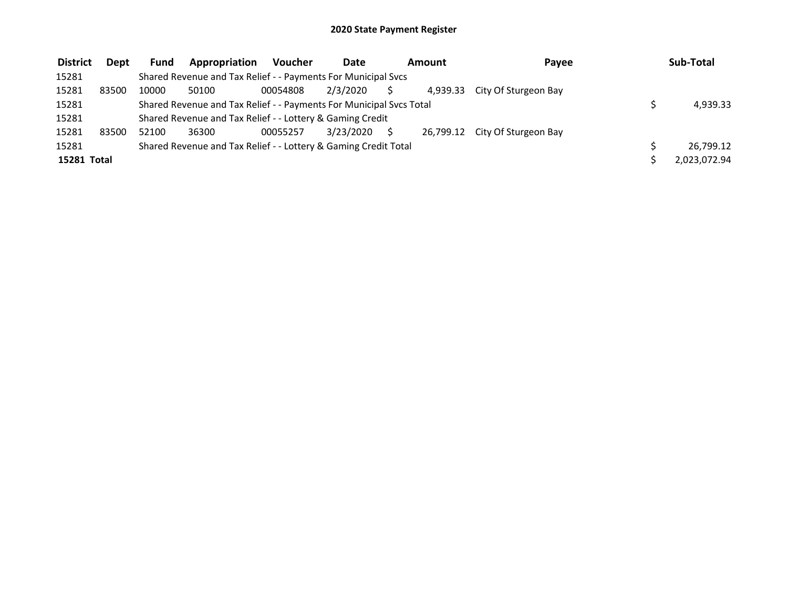| <b>District</b> | Dept  | <b>Fund</b> | Appropriation                                                       | Voucher  | Date      | Amount   | Payee                          | Sub-Total    |
|-----------------|-------|-------------|---------------------------------------------------------------------|----------|-----------|----------|--------------------------------|--------------|
| 15281           |       |             | Shared Revenue and Tax Relief - - Payments For Municipal Svcs       |          |           |          |                                |              |
| 15281           | 83500 | 10000       | 50100                                                               | 00054808 | 2/3/2020  | 4.939.33 | City Of Sturgeon Bay           |              |
| 15281           |       |             | Shared Revenue and Tax Relief - - Payments For Municipal Svcs Total |          |           |          |                                | 4,939.33     |
| 15281           |       |             | Shared Revenue and Tax Relief - - Lottery & Gaming Credit           |          |           |          |                                |              |
| 15281           | 83500 | 52100       | 36300                                                               | 00055257 | 3/23/2020 |          | 26,799.12 City Of Sturgeon Bay |              |
| 15281           |       |             | Shared Revenue and Tax Relief - - Lottery & Gaming Credit Total     |          |           |          |                                | 26,799.12    |
| 15281 Total     |       |             |                                                                     |          |           |          |                                | 2,023,072.94 |